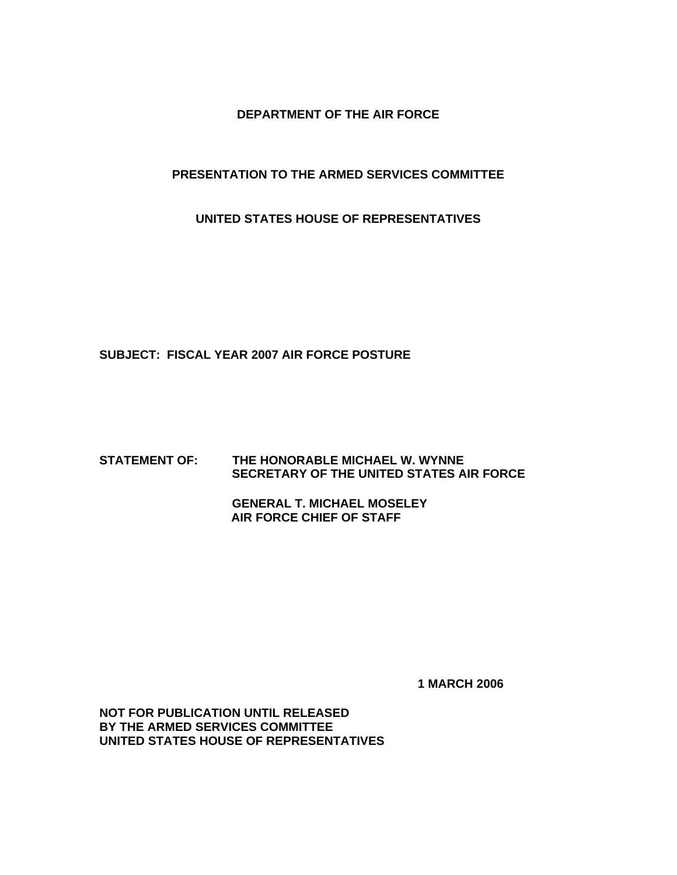**DEPARTMENT OF THE AIR FORCE** 

#### **PRESENTATION TO THE ARMED SERVICES COMMITTEE**

**UNITED STATES HOUSE OF REPRESENTATIVES** 

**SUBJECT: FISCAL YEAR 2007 AIR FORCE POSTURE** 

#### **STATEMENT OF: THE HONORABLE MICHAEL W. WYNNE SECRETARY OF THE UNITED STATES AIR FORCE**

 **GENERAL T. MICHAEL MOSELEY AIR FORCE CHIEF OF STAFF** 

 **1 MARCH 2006** 

**NOT FOR PUBLICATION UNTIL RELEASED BY THE ARMED SERVICES COMMITTEE UNITED STATES HOUSE OF REPRESENTATIVES**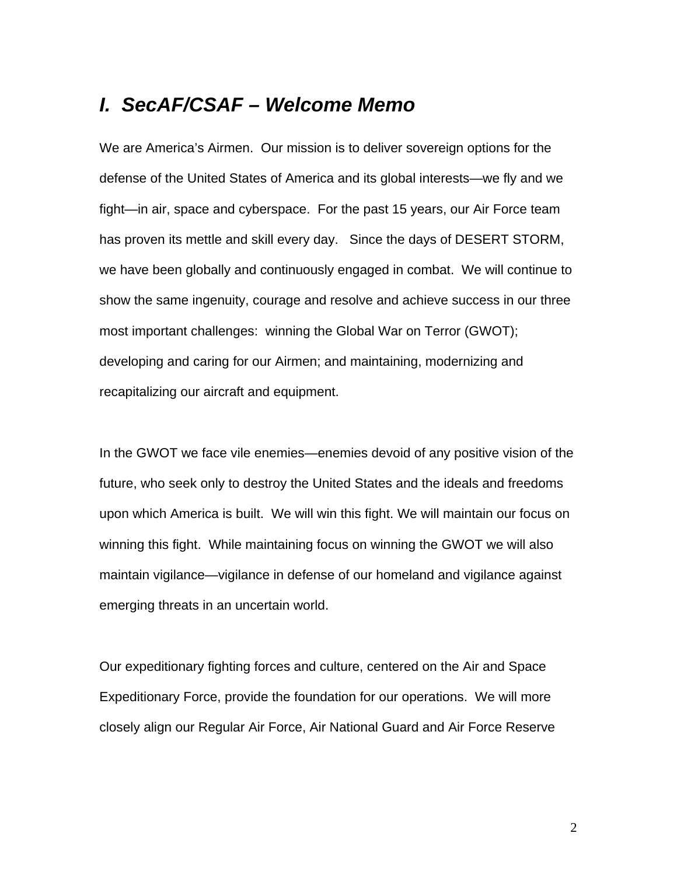# *I. SecAF/CSAF – Welcome Memo*

We are America's Airmen. Our mission is to deliver sovereign options for the defense of the United States of America and its global interests—we fly and we fight—in air, space and cyberspace. For the past 15 years, our Air Force team has proven its mettle and skill every day. Since the days of DESERT STORM, we have been globally and continuously engaged in combat. We will continue to show the same ingenuity, courage and resolve and achieve success in our three most important challenges: winning the Global War on Terror (GWOT); developing and caring for our Airmen; and maintaining, modernizing and recapitalizing our aircraft and equipment.

In the GWOT we face vile enemies—enemies devoid of any positive vision of the future, who seek only to destroy the United States and the ideals and freedoms upon which America is built. We will win this fight. We will maintain our focus on winning this fight. While maintaining focus on winning the GWOT we will also maintain vigilance—vigilance in defense of our homeland and vigilance against emerging threats in an uncertain world.

Our expeditionary fighting forces and culture, centered on the Air and Space Expeditionary Force, provide the foundation for our operations. We will more closely align our Regular Air Force, Air National Guard and Air Force Reserve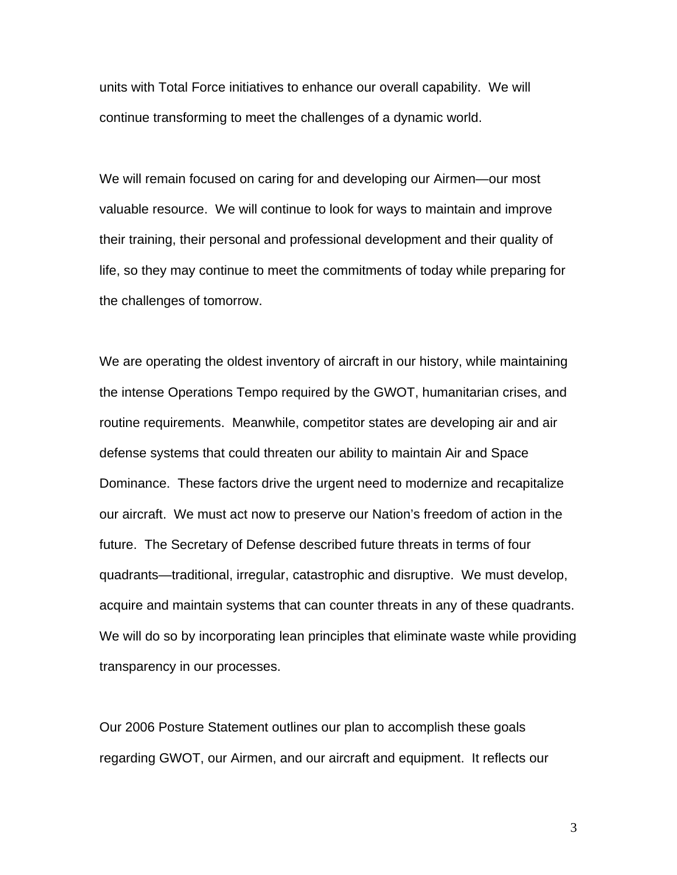units with Total Force initiatives to enhance our overall capability. We will continue transforming to meet the challenges of a dynamic world.

We will remain focused on caring for and developing our Airmen—our most valuable resource. We will continue to look for ways to maintain and improve their training, their personal and professional development and their quality of life, so they may continue to meet the commitments of today while preparing for the challenges of tomorrow.

We are operating the oldest inventory of aircraft in our history, while maintaining the intense Operations Tempo required by the GWOT, humanitarian crises, and routine requirements. Meanwhile, competitor states are developing air and air defense systems that could threaten our ability to maintain Air and Space Dominance. These factors drive the urgent need to modernize and recapitalize our aircraft. We must act now to preserve our Nation's freedom of action in the future. The Secretary of Defense described future threats in terms of four quadrants—traditional, irregular, catastrophic and disruptive. We must develop, acquire and maintain systems that can counter threats in any of these quadrants. We will do so by incorporating lean principles that eliminate waste while providing transparency in our processes.

Our 2006 Posture Statement outlines our plan to accomplish these goals regarding GWOT, our Airmen, and our aircraft and equipment. It reflects our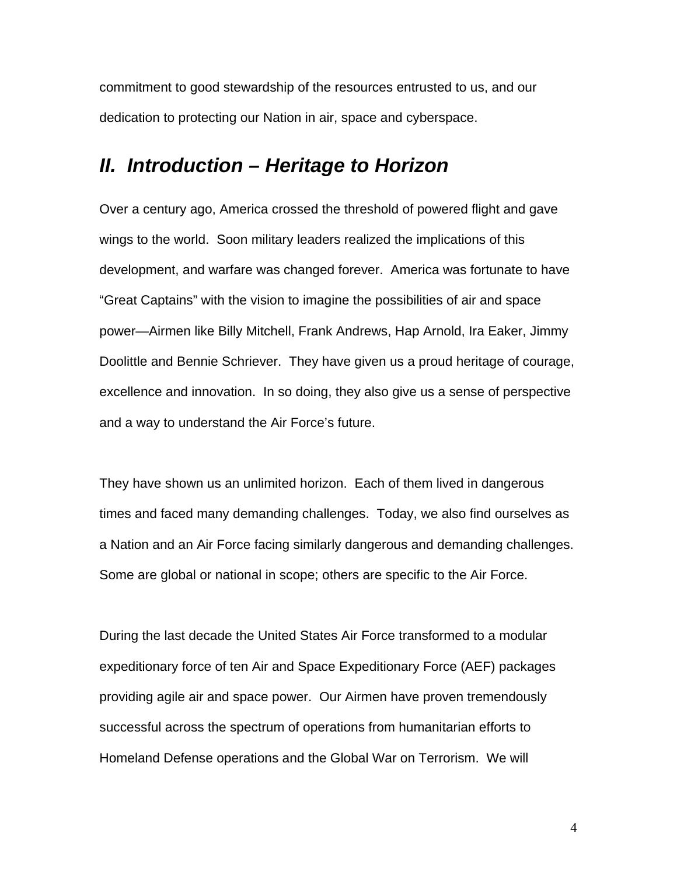commitment to good stewardship of the resources entrusted to us, and our dedication to protecting our Nation in air, space and cyberspace.

# *II. Introduction – Heritage to Horizon*

Over a century ago, America crossed the threshold of powered flight and gave wings to the world. Soon military leaders realized the implications of this development, and warfare was changed forever. America was fortunate to have "Great Captains" with the vision to imagine the possibilities of air and space power—Airmen like Billy Mitchell, Frank Andrews, Hap Arnold, Ira Eaker, Jimmy Doolittle and Bennie Schriever. They have given us a proud heritage of courage, excellence and innovation. In so doing, they also give us a sense of perspective and a way to understand the Air Force's future.

They have shown us an unlimited horizon. Each of them lived in dangerous times and faced many demanding challenges. Today, we also find ourselves as a Nation and an Air Force facing similarly dangerous and demanding challenges. Some are global or national in scope; others are specific to the Air Force.

During the last decade the United States Air Force transformed to a modular expeditionary force of ten Air and Space Expeditionary Force (AEF) packages providing agile air and space power. Our Airmen have proven tremendously successful across the spectrum of operations from humanitarian efforts to Homeland Defense operations and the Global War on Terrorism. We will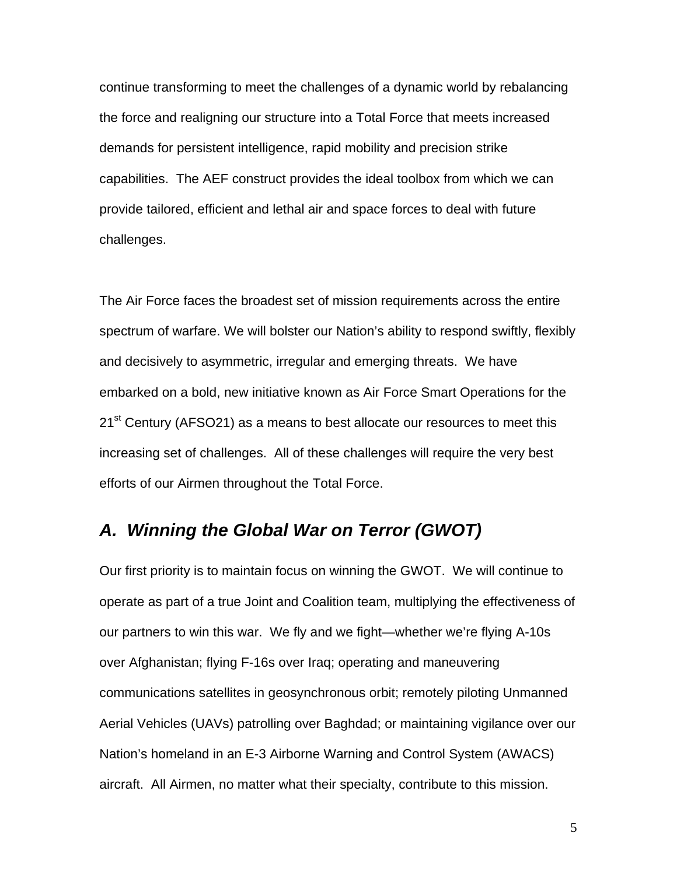continue transforming to meet the challenges of a dynamic world by rebalancing the force and realigning our structure into a Total Force that meets increased demands for persistent intelligence, rapid mobility and precision strike capabilities. The AEF construct provides the ideal toolbox from which we can provide tailored, efficient and lethal air and space forces to deal with future challenges.

The Air Force faces the broadest set of mission requirements across the entire spectrum of warfare. We will bolster our Nation's ability to respond swiftly, flexibly and decisively to asymmetric, irregular and emerging threats. We have embarked on a bold, new initiative known as Air Force Smart Operations for the  $21<sup>st</sup>$  Century (AFSO21) as a means to best allocate our resources to meet this increasing set of challenges. All of these challenges will require the very best efforts of our Airmen throughout the Total Force.

## *A. Winning the Global War on Terror (GWOT)*

Our first priority is to maintain focus on winning the GWOT. We will continue to operate as part of a true Joint and Coalition team, multiplying the effectiveness of our partners to win this war. We fly and we fight—whether we're flying A-10s over Afghanistan; flying F-16s over Iraq; operating and maneuvering communications satellites in geosynchronous orbit; remotely piloting Unmanned Aerial Vehicles (UAVs) patrolling over Baghdad; or maintaining vigilance over our Nation's homeland in an E-3 Airborne Warning and Control System (AWACS) aircraft. All Airmen, no matter what their specialty, contribute to this mission.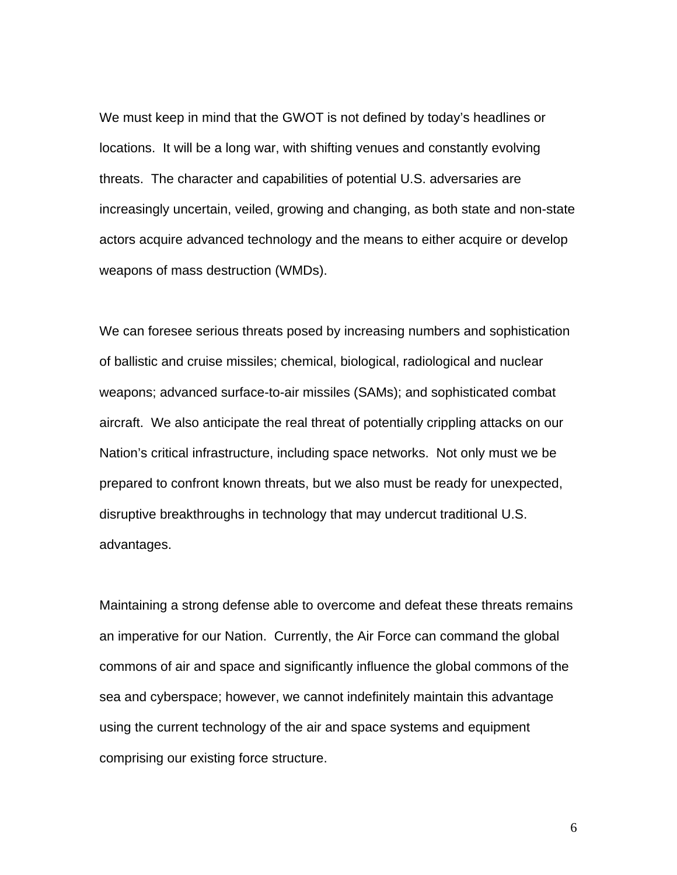We must keep in mind that the GWOT is not defined by today's headlines or locations. It will be a long war, with shifting venues and constantly evolving threats. The character and capabilities of potential U.S. adversaries are increasingly uncertain, veiled, growing and changing, as both state and non-state actors acquire advanced technology and the means to either acquire or develop weapons of mass destruction (WMDs).

We can foresee serious threats posed by increasing numbers and sophistication of ballistic and cruise missiles; chemical, biological, radiological and nuclear weapons; advanced surface-to-air missiles (SAMs); and sophisticated combat aircraft. We also anticipate the real threat of potentially crippling attacks on our Nation's critical infrastructure, including space networks. Not only must we be prepared to confront known threats, but we also must be ready for unexpected, disruptive breakthroughs in technology that may undercut traditional U.S. advantages.

Maintaining a strong defense able to overcome and defeat these threats remains an imperative for our Nation. Currently, the Air Force can command the global commons of air and space and significantly influence the global commons of the sea and cyberspace; however, we cannot indefinitely maintain this advantage using the current technology of the air and space systems and equipment comprising our existing force structure.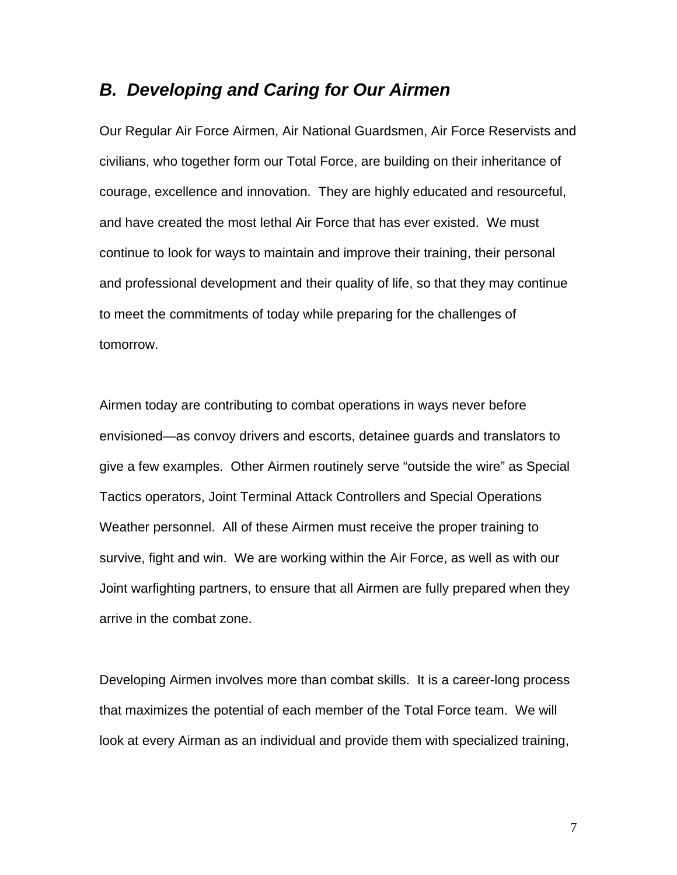## *B. Developing and Caring for Our Airmen*

Our Regular Air Force Airmen, Air National Guardsmen, Air Force Reservists and civilians, who together form our Total Force, are building on their inheritance of courage, excellence and innovation. They are highly educated and resourceful, and have created the most lethal Air Force that has ever existed. We must continue to look for ways to maintain and improve their training, their personal and professional development and their quality of life, so that they may continue to meet the commitments of today while preparing for the challenges of tomorrow.

Airmen today are contributing to combat operations in ways never before envisioned—as convoy drivers and escorts, detainee guards and translators to give a few examples. Other Airmen routinely serve "outside the wire" as Special Tactics operators, Joint Terminal Attack Controllers and Special Operations Weather personnel. All of these Airmen must receive the proper training to survive, fight and win. We are working within the Air Force, as well as with our Joint warfighting partners, to ensure that all Airmen are fully prepared when they arrive in the combat zone.

Developing Airmen involves more than combat skills. It is a career-long process that maximizes the potential of each member of the Total Force team. We will look at every Airman as an individual and provide them with specialized training,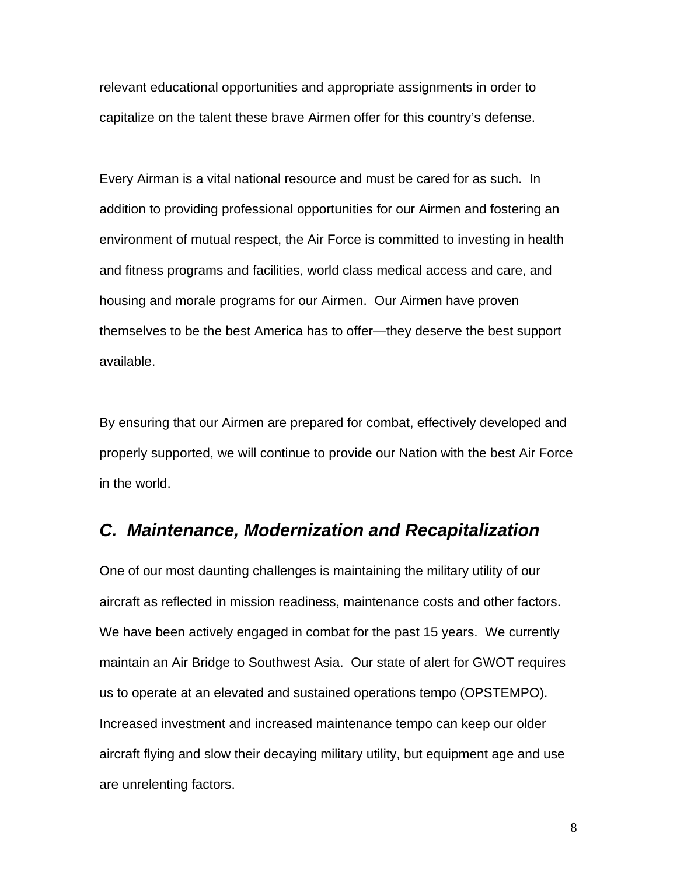relevant educational opportunities and appropriate assignments in order to capitalize on the talent these brave Airmen offer for this country's defense.

Every Airman is a vital national resource and must be cared for as such. In addition to providing professional opportunities for our Airmen and fostering an environment of mutual respect, the Air Force is committed to investing in health and fitness programs and facilities, world class medical access and care, and housing and morale programs for our Airmen. Our Airmen have proven themselves to be the best America has to offer—they deserve the best support available.

By ensuring that our Airmen are prepared for combat, effectively developed and properly supported, we will continue to provide our Nation with the best Air Force in the world.

## *C. Maintenance, Modernization and Recapitalization*

One of our most daunting challenges is maintaining the military utility of our aircraft as reflected in mission readiness, maintenance costs and other factors. We have been actively engaged in combat for the past 15 years. We currently maintain an Air Bridge to Southwest Asia. Our state of alert for GWOT requires us to operate at an elevated and sustained operations tempo (OPSTEMPO). Increased investment and increased maintenance tempo can keep our older aircraft flying and slow their decaying military utility, but equipment age and use are unrelenting factors.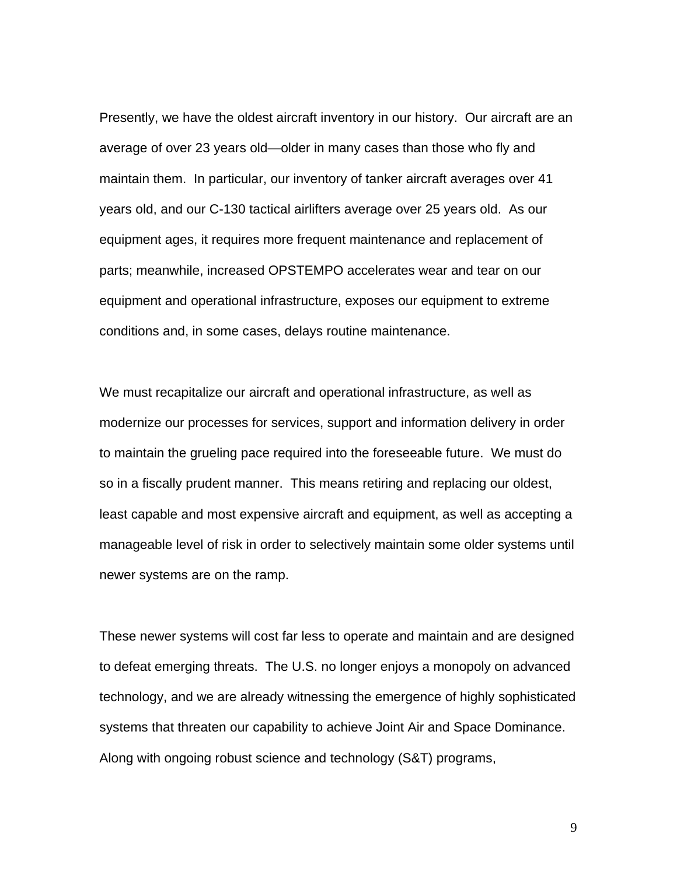Presently, we have the oldest aircraft inventory in our history. Our aircraft are an average of over 23 years old—older in many cases than those who fly and maintain them. In particular, our inventory of tanker aircraft averages over 41 years old, and our C-130 tactical airlifters average over 25 years old. As our equipment ages, it requires more frequent maintenance and replacement of parts; meanwhile, increased OPSTEMPO accelerates wear and tear on our equipment and operational infrastructure, exposes our equipment to extreme conditions and, in some cases, delays routine maintenance.

We must recapitalize our aircraft and operational infrastructure, as well as modernize our processes for services, support and information delivery in order to maintain the grueling pace required into the foreseeable future. We must do so in a fiscally prudent manner. This means retiring and replacing our oldest, least capable and most expensive aircraft and equipment, as well as accepting a manageable level of risk in order to selectively maintain some older systems until newer systems are on the ramp.

These newer systems will cost far less to operate and maintain and are designed to defeat emerging threats. The U.S. no longer enjoys a monopoly on advanced technology, and we are already witnessing the emergence of highly sophisticated systems that threaten our capability to achieve Joint Air and Space Dominance. Along with ongoing robust science and technology (S&T) programs,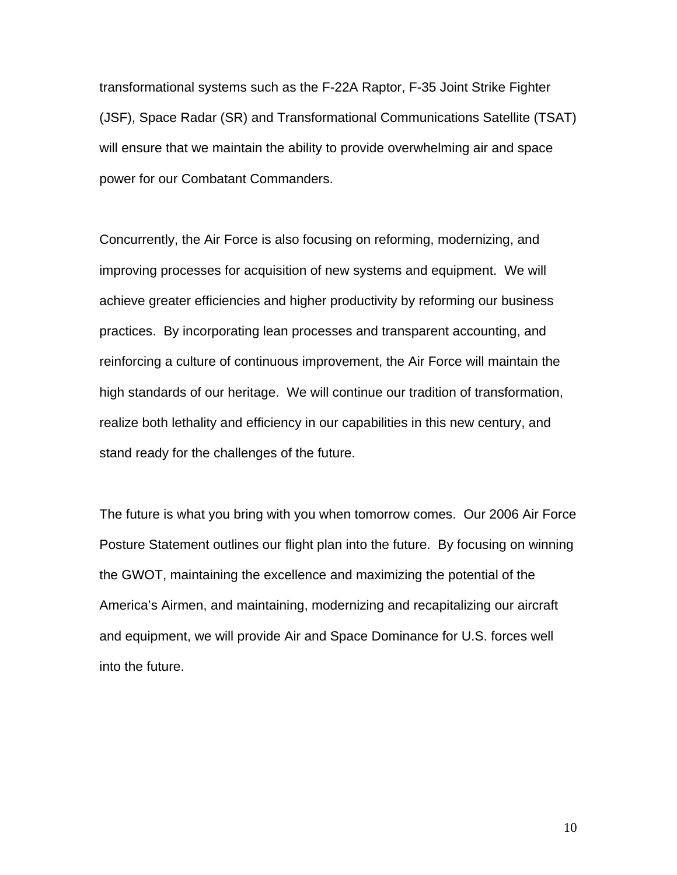transformational systems such as the F-22A Raptor, F-35 Joint Strike Fighter (JSF), Space Radar (SR) and Transformational Communications Satellite (TSAT) will ensure that we maintain the ability to provide overwhelming air and space power for our Combatant Commanders.

Concurrently, the Air Force is also focusing on reforming, modernizing, and improving processes for acquisition of new systems and equipment. We will achieve greater efficiencies and higher productivity by reforming our business practices. By incorporating lean processes and transparent accounting, and reinforcing a culture of continuous improvement, the Air Force will maintain the high standards of our heritage. We will continue our tradition of transformation, realize both lethality and efficiency in our capabilities in this new century, and stand ready for the challenges of the future.

The future is what you bring with you when tomorrow comes. Our 2006 Air Force Posture Statement outlines our flight plan into the future. By focusing on winning the GWOT, maintaining the excellence and maximizing the potential of the America's Airmen, and maintaining, modernizing and recapitalizing our aircraft and equipment, we will provide Air and Space Dominance for U.S. forces well into the future.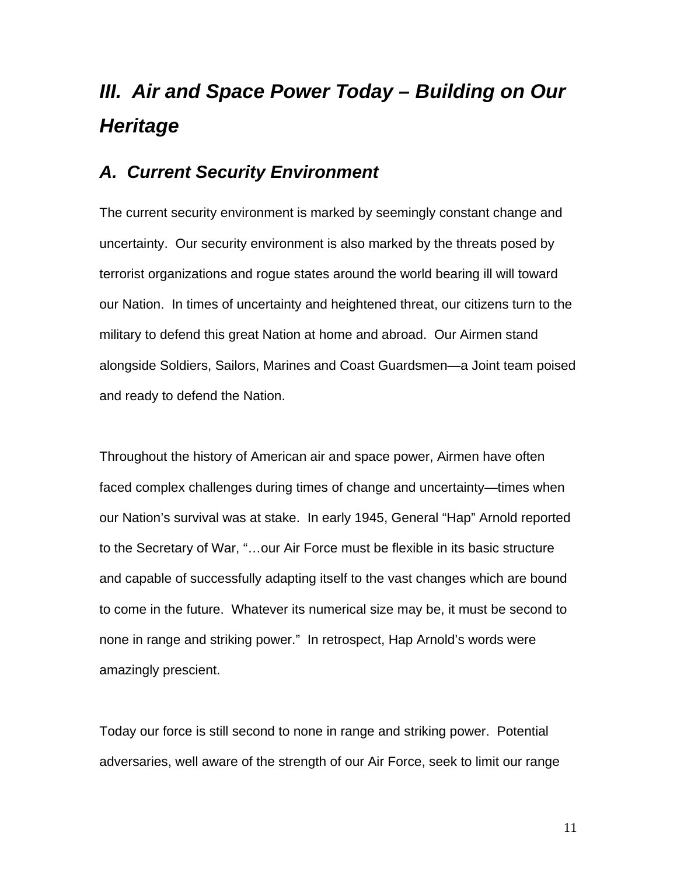# *III. Air and Space Power Today – Building on Our Heritage*

## *A. Current Security Environment*

The current security environment is marked by seemingly constant change and uncertainty. Our security environment is also marked by the threats posed by terrorist organizations and rogue states around the world bearing ill will toward our Nation. In times of uncertainty and heightened threat, our citizens turn to the military to defend this great Nation at home and abroad. Our Airmen stand alongside Soldiers, Sailors, Marines and Coast Guardsmen—a Joint team poised and ready to defend the Nation.

Throughout the history of American air and space power, Airmen have often faced complex challenges during times of change and uncertainty—times when our Nation's survival was at stake. In early 1945, General "Hap" Arnold reported to the Secretary of War, "…our Air Force must be flexible in its basic structure and capable of successfully adapting itself to the vast changes which are bound to come in the future. Whatever its numerical size may be, it must be second to none in range and striking power." In retrospect, Hap Arnold's words were amazingly prescient.

Today our force is still second to none in range and striking power. Potential adversaries, well aware of the strength of our Air Force, seek to limit our range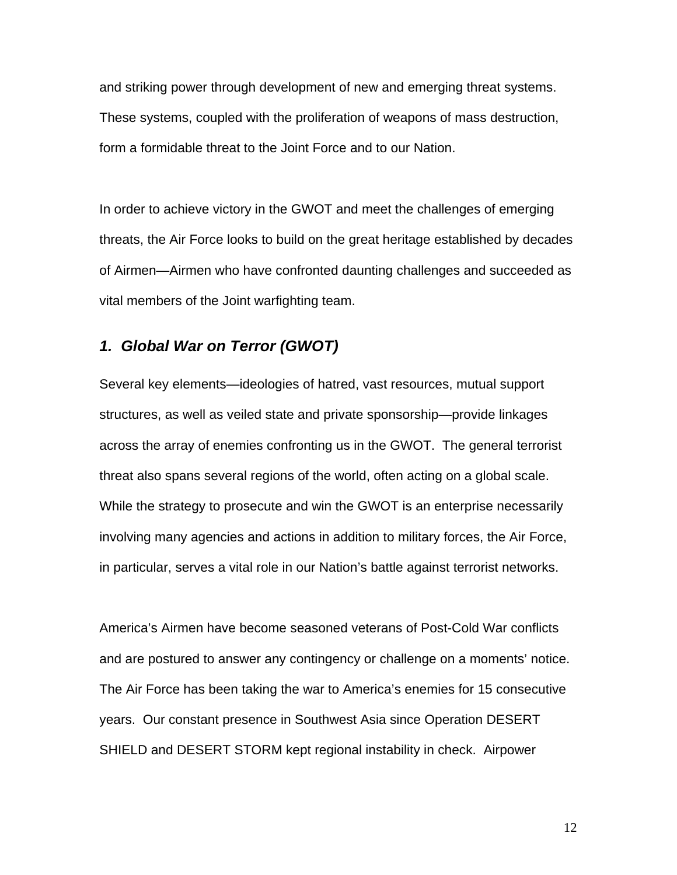and striking power through development of new and emerging threat systems. These systems, coupled with the proliferation of weapons of mass destruction, form a formidable threat to the Joint Force and to our Nation.

In order to achieve victory in the GWOT and meet the challenges of emerging threats, the Air Force looks to build on the great heritage established by decades of Airmen—Airmen who have confronted daunting challenges and succeeded as vital members of the Joint warfighting team.

## *1. Global War on Terror (GWOT)*

Several key elements—ideologies of hatred, vast resources, mutual support structures, as well as veiled state and private sponsorship—provide linkages across the array of enemies confronting us in the GWOT. The general terrorist threat also spans several regions of the world, often acting on a global scale. While the strategy to prosecute and win the GWOT is an enterprise necessarily involving many agencies and actions in addition to military forces, the Air Force, in particular, serves a vital role in our Nation's battle against terrorist networks.

America's Airmen have become seasoned veterans of Post-Cold War conflicts and are postured to answer any contingency or challenge on a moments' notice. The Air Force has been taking the war to America's enemies for 15 consecutive years. Our constant presence in Southwest Asia since Operation DESERT SHIELD and DESERT STORM kept regional instability in check. Airpower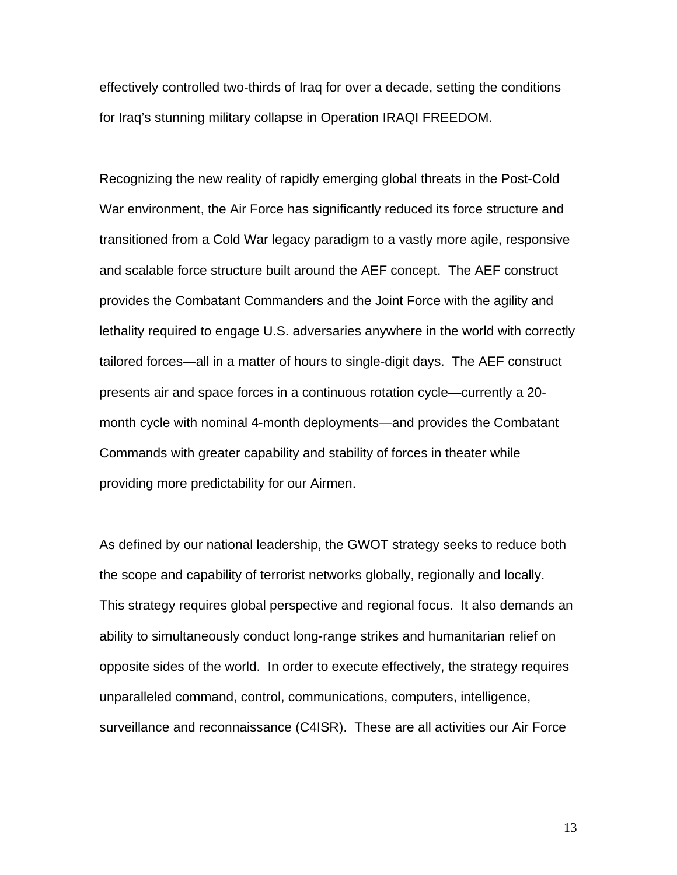effectively controlled two-thirds of Iraq for over a decade, setting the conditions for Iraq's stunning military collapse in Operation IRAQI FREEDOM.

Recognizing the new reality of rapidly emerging global threats in the Post-Cold War environment, the Air Force has significantly reduced its force structure and transitioned from a Cold War legacy paradigm to a vastly more agile, responsive and scalable force structure built around the AEF concept. The AEF construct provides the Combatant Commanders and the Joint Force with the agility and lethality required to engage U.S. adversaries anywhere in the world with correctly tailored forces—all in a matter of hours to single-digit days. The AEF construct presents air and space forces in a continuous rotation cycle—currently a 20 month cycle with nominal 4-month deployments—and provides the Combatant Commands with greater capability and stability of forces in theater while providing more predictability for our Airmen.

As defined by our national leadership, the GWOT strategy seeks to reduce both the scope and capability of terrorist networks globally, regionally and locally. This strategy requires global perspective and regional focus. It also demands an ability to simultaneously conduct long-range strikes and humanitarian relief on opposite sides of the world. In order to execute effectively, the strategy requires unparalleled command, control, communications, computers, intelligence, surveillance and reconnaissance (C4ISR). These are all activities our Air Force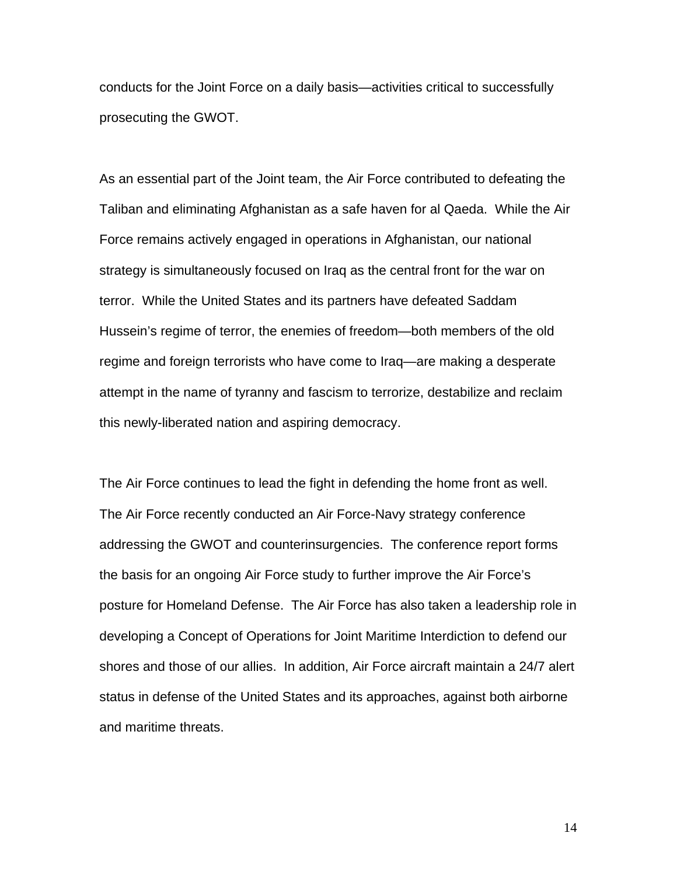conducts for the Joint Force on a daily basis—activities critical to successfully prosecuting the GWOT.

As an essential part of the Joint team, the Air Force contributed to defeating the Taliban and eliminating Afghanistan as a safe haven for al Qaeda. While the Air Force remains actively engaged in operations in Afghanistan, our national strategy is simultaneously focused on Iraq as the central front for the war on terror. While the United States and its partners have defeated Saddam Hussein's regime of terror, the enemies of freedom—both members of the old regime and foreign terrorists who have come to Iraq—are making a desperate attempt in the name of tyranny and fascism to terrorize, destabilize and reclaim this newly-liberated nation and aspiring democracy.

The Air Force continues to lead the fight in defending the home front as well. The Air Force recently conducted an Air Force-Navy strategy conference addressing the GWOT and counterinsurgencies. The conference report forms the basis for an ongoing Air Force study to further improve the Air Force's posture for Homeland Defense. The Air Force has also taken a leadership role in developing a Concept of Operations for Joint Maritime Interdiction to defend our shores and those of our allies. In addition, Air Force aircraft maintain a 24/7 alert status in defense of the United States and its approaches, against both airborne and maritime threats.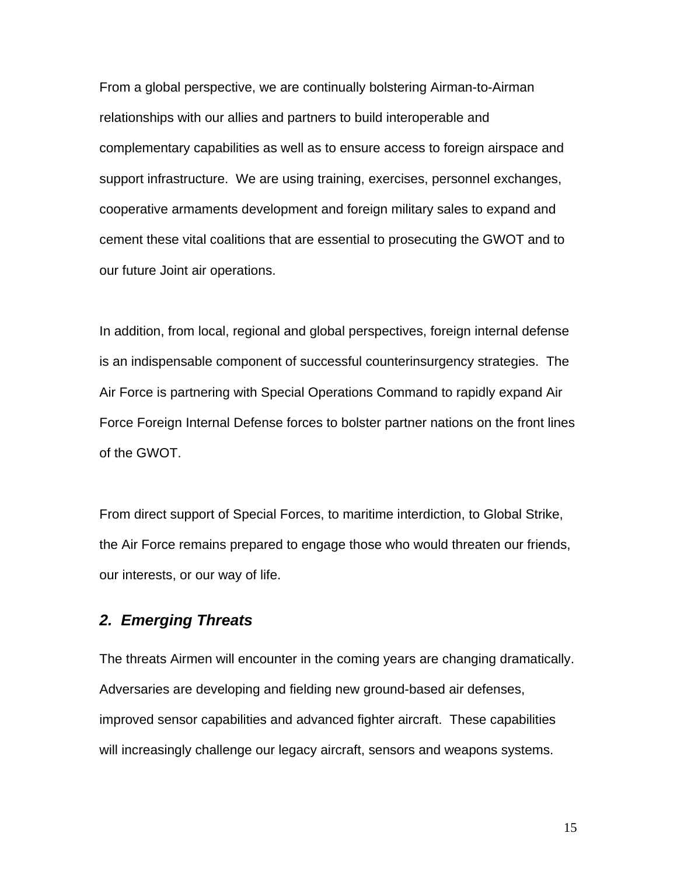From a global perspective, we are continually bolstering Airman-to-Airman relationships with our allies and partners to build interoperable and complementary capabilities as well as to ensure access to foreign airspace and support infrastructure. We are using training, exercises, personnel exchanges, cooperative armaments development and foreign military sales to expand and cement these vital coalitions that are essential to prosecuting the GWOT and to our future Joint air operations.

In addition, from local, regional and global perspectives, foreign internal defense is an indispensable component of successful counterinsurgency strategies. The Air Force is partnering with Special Operations Command to rapidly expand Air Force Foreign Internal Defense forces to bolster partner nations on the front lines of the GWOT.

From direct support of Special Forces, to maritime interdiction, to Global Strike, the Air Force remains prepared to engage those who would threaten our friends, our interests, or our way of life.

## *2. Emerging Threats*

The threats Airmen will encounter in the coming years are changing dramatically. Adversaries are developing and fielding new ground-based air defenses, improved sensor capabilities and advanced fighter aircraft. These capabilities will increasingly challenge our legacy aircraft, sensors and weapons systems.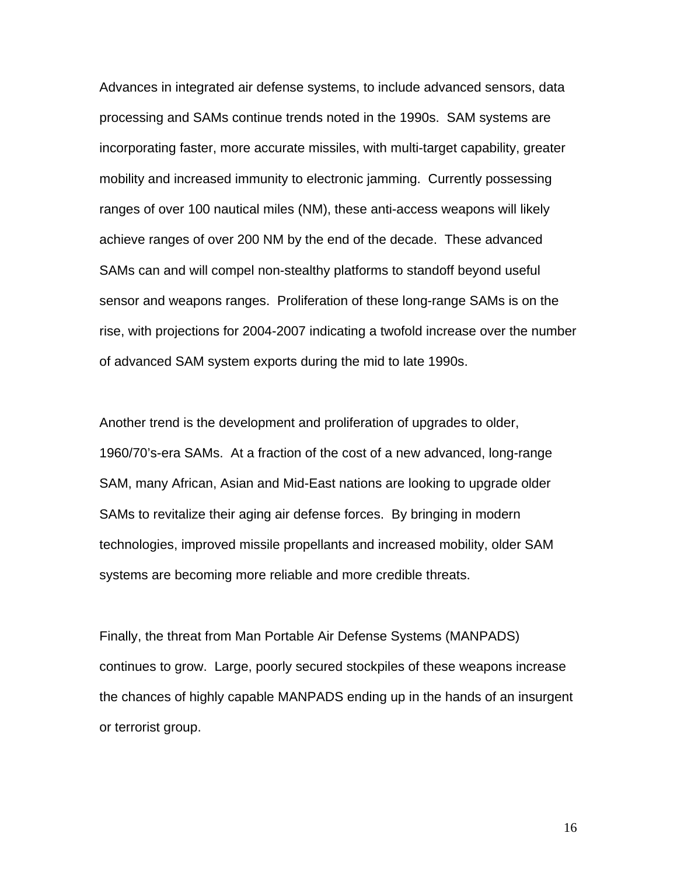Advances in integrated air defense systems, to include advanced sensors, data processing and SAMs continue trends noted in the 1990s. SAM systems are incorporating faster, more accurate missiles, with multi-target capability, greater mobility and increased immunity to electronic jamming. Currently possessing ranges of over 100 nautical miles (NM), these anti-access weapons will likely achieve ranges of over 200 NM by the end of the decade. These advanced SAMs can and will compel non-stealthy platforms to standoff beyond useful sensor and weapons ranges. Proliferation of these long-range SAMs is on the rise, with projections for 2004-2007 indicating a twofold increase over the number of advanced SAM system exports during the mid to late 1990s.

Another trend is the development and proliferation of upgrades to older, 1960/70's-era SAMs. At a fraction of the cost of a new advanced, long-range SAM, many African, Asian and Mid-East nations are looking to upgrade older SAMs to revitalize their aging air defense forces. By bringing in modern technologies, improved missile propellants and increased mobility, older SAM systems are becoming more reliable and more credible threats.

Finally, the threat from Man Portable Air Defense Systems (MANPADS) continues to grow. Large, poorly secured stockpiles of these weapons increase the chances of highly capable MANPADS ending up in the hands of an insurgent or terrorist group.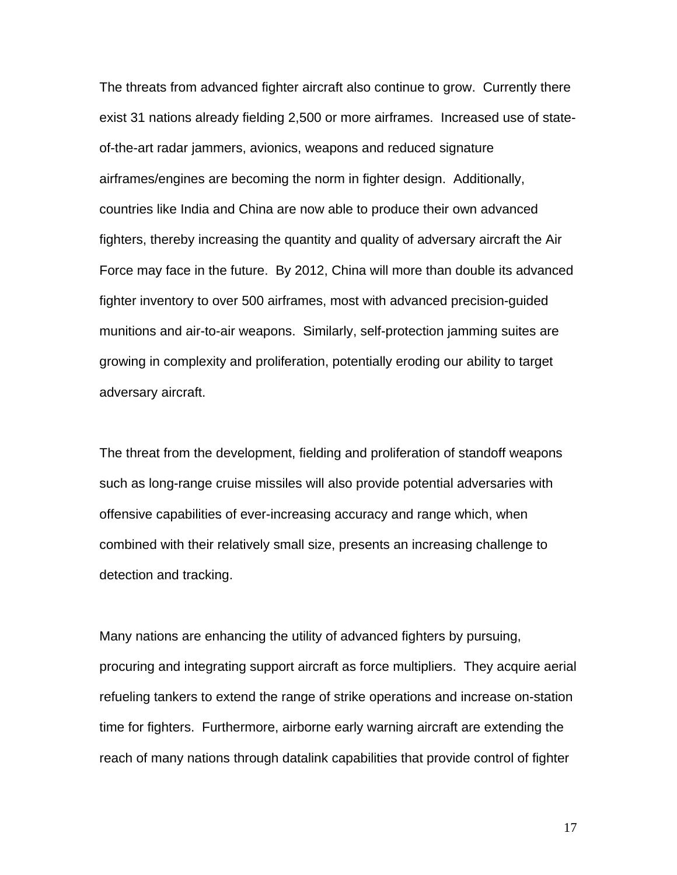The threats from advanced fighter aircraft also continue to grow. Currently there exist 31 nations already fielding 2,500 or more airframes. Increased use of stateof-the-art radar jammers, avionics, weapons and reduced signature airframes/engines are becoming the norm in fighter design. Additionally, countries like India and China are now able to produce their own advanced fighters, thereby increasing the quantity and quality of adversary aircraft the Air Force may face in the future. By 2012, China will more than double its advanced fighter inventory to over 500 airframes, most with advanced precision-guided munitions and air-to-air weapons. Similarly, self-protection jamming suites are growing in complexity and proliferation, potentially eroding our ability to target adversary aircraft.

The threat from the development, fielding and proliferation of standoff weapons such as long-range cruise missiles will also provide potential adversaries with offensive capabilities of ever-increasing accuracy and range which, when combined with their relatively small size, presents an increasing challenge to detection and tracking.

Many nations are enhancing the utility of advanced fighters by pursuing, procuring and integrating support aircraft as force multipliers. They acquire aerial refueling tankers to extend the range of strike operations and increase on-station time for fighters. Furthermore, airborne early warning aircraft are extending the reach of many nations through datalink capabilities that provide control of fighter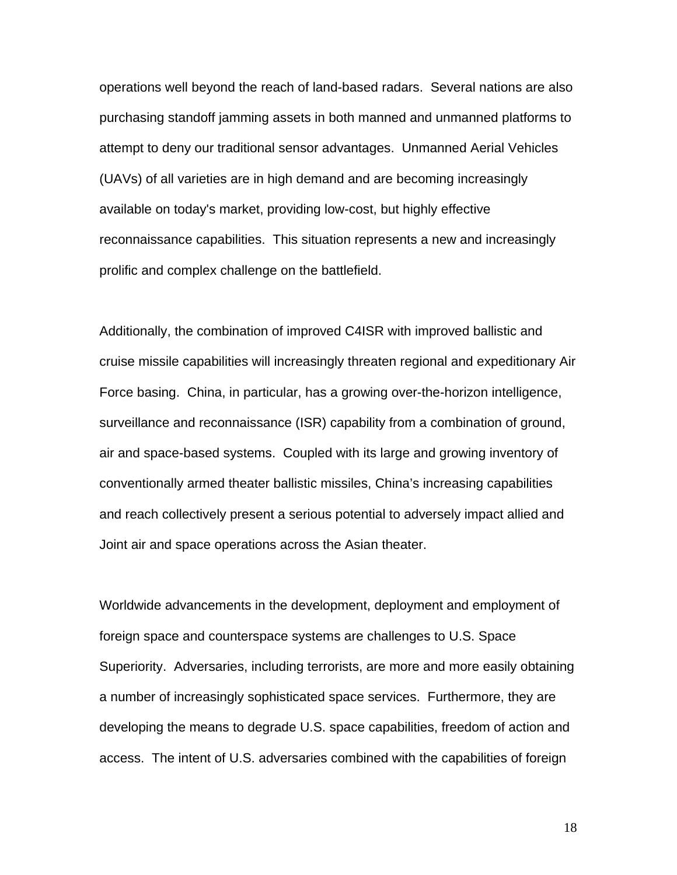operations well beyond the reach of land-based radars. Several nations are also purchasing standoff jamming assets in both manned and unmanned platforms to attempt to deny our traditional sensor advantages. Unmanned Aerial Vehicles (UAVs) of all varieties are in high demand and are becoming increasingly available on today's market, providing low-cost, but highly effective reconnaissance capabilities. This situation represents a new and increasingly prolific and complex challenge on the battlefield.

Additionally, the combination of improved C4ISR with improved ballistic and cruise missile capabilities will increasingly threaten regional and expeditionary Air Force basing. China, in particular, has a growing over-the-horizon intelligence, surveillance and reconnaissance (ISR) capability from a combination of ground, air and space-based systems. Coupled with its large and growing inventory of conventionally armed theater ballistic missiles, China's increasing capabilities and reach collectively present a serious potential to adversely impact allied and Joint air and space operations across the Asian theater.

Worldwide advancements in the development, deployment and employment of foreign space and counterspace systems are challenges to U.S. Space Superiority. Adversaries, including terrorists, are more and more easily obtaining a number of increasingly sophisticated space services. Furthermore, they are developing the means to degrade U.S. space capabilities, freedom of action and access. The intent of U.S. adversaries combined with the capabilities of foreign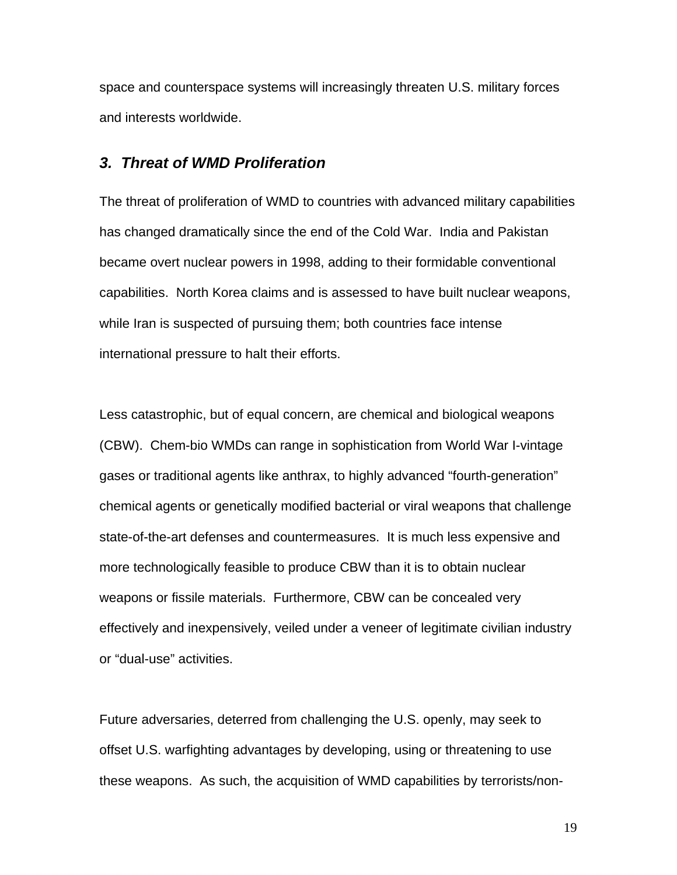space and counterspace systems will increasingly threaten U.S. military forces and interests worldwide.

#### *3. Threat of WMD Proliferation*

The threat of proliferation of WMD to countries with advanced military capabilities has changed dramatically since the end of the Cold War. India and Pakistan became overt nuclear powers in 1998, adding to their formidable conventional capabilities. North Korea claims and is assessed to have built nuclear weapons, while Iran is suspected of pursuing them; both countries face intense international pressure to halt their efforts.

Less catastrophic, but of equal concern, are chemical and biological weapons (CBW). Chem-bio WMDs can range in sophistication from World War I-vintage gases or traditional agents like anthrax, to highly advanced "fourth-generation" chemical agents or genetically modified bacterial or viral weapons that challenge state-of-the-art defenses and countermeasures. It is much less expensive and more technologically feasible to produce CBW than it is to obtain nuclear weapons or fissile materials. Furthermore, CBW can be concealed very effectively and inexpensively, veiled under a veneer of legitimate civilian industry or "dual-use" activities.

Future adversaries, deterred from challenging the U.S. openly, may seek to offset U.S. warfighting advantages by developing, using or threatening to use these weapons. As such, the acquisition of WMD capabilities by terrorists/non-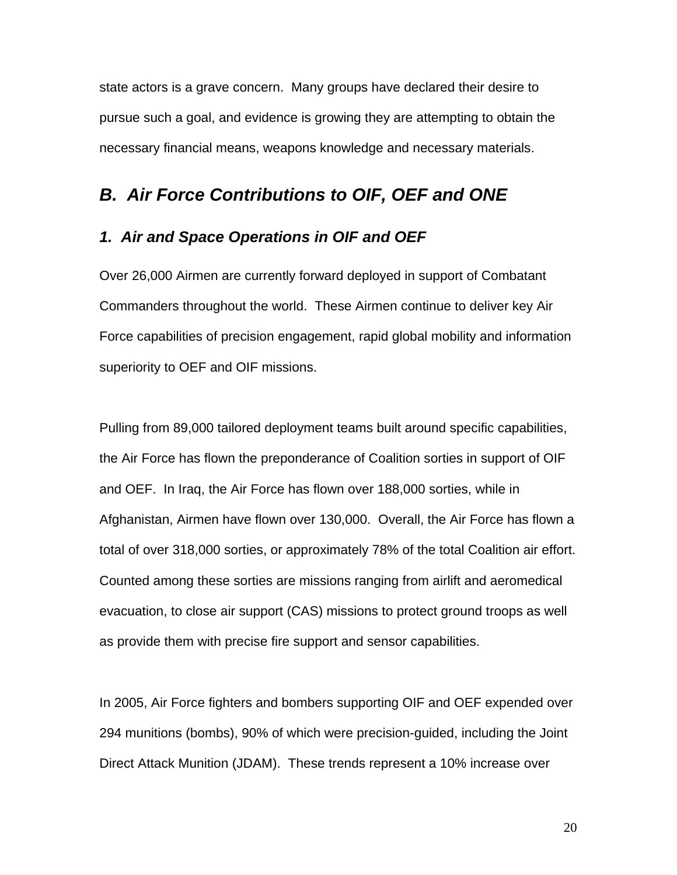state actors is a grave concern. Many groups have declared their desire to pursue such a goal, and evidence is growing they are attempting to obtain the necessary financial means, weapons knowledge and necessary materials.

## *B. Air Force Contributions to OIF, OEF and ONE*

#### *1. Air and Space Operations in OIF and OEF*

Over 26,000 Airmen are currently forward deployed in support of Combatant Commanders throughout the world. These Airmen continue to deliver key Air Force capabilities of precision engagement, rapid global mobility and information superiority to OEF and OIF missions.

Pulling from 89,000 tailored deployment teams built around specific capabilities, the Air Force has flown the preponderance of Coalition sorties in support of OIF and OEF. In Iraq, the Air Force has flown over 188,000 sorties, while in Afghanistan, Airmen have flown over 130,000. Overall, the Air Force has flown a total of over 318,000 sorties, or approximately 78% of the total Coalition air effort. Counted among these sorties are missions ranging from airlift and aeromedical evacuation, to close air support (CAS) missions to protect ground troops as well as provide them with precise fire support and sensor capabilities.

In 2005, Air Force fighters and bombers supporting OIF and OEF expended over 294 munitions (bombs), 90% of which were precision-guided, including the Joint Direct Attack Munition (JDAM). These trends represent a 10% increase over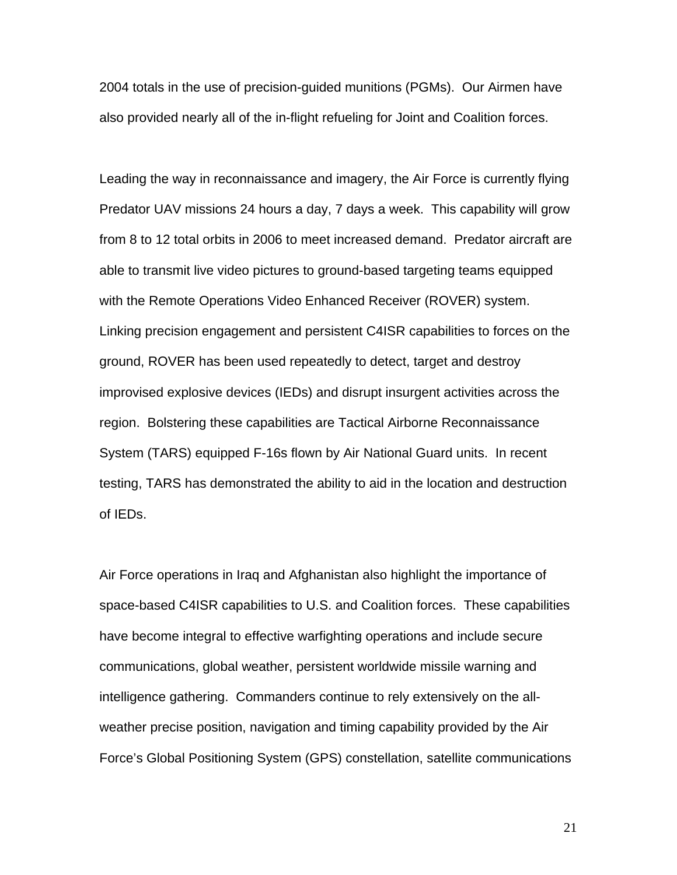2004 totals in the use of precision-guided munitions (PGMs). Our Airmen have also provided nearly all of the in-flight refueling for Joint and Coalition forces.

Leading the way in reconnaissance and imagery, the Air Force is currently flying Predator UAV missions 24 hours a day, 7 days a week. This capability will grow from 8 to 12 total orbits in 2006 to meet increased demand. Predator aircraft are able to transmit live video pictures to ground-based targeting teams equipped with the Remote Operations Video Enhanced Receiver (ROVER) system. Linking precision engagement and persistent C4ISR capabilities to forces on the ground, ROVER has been used repeatedly to detect, target and destroy improvised explosive devices (IEDs) and disrupt insurgent activities across the region. Bolstering these capabilities are Tactical Airborne Reconnaissance System (TARS) equipped F-16s flown by Air National Guard units. In recent testing, TARS has demonstrated the ability to aid in the location and destruction of IEDs.

Air Force operations in Iraq and Afghanistan also highlight the importance of space-based C4ISR capabilities to U.S. and Coalition forces. These capabilities have become integral to effective warfighting operations and include secure communications, global weather, persistent worldwide missile warning and intelligence gathering. Commanders continue to rely extensively on the allweather precise position, navigation and timing capability provided by the Air Force's Global Positioning System (GPS) constellation, satellite communications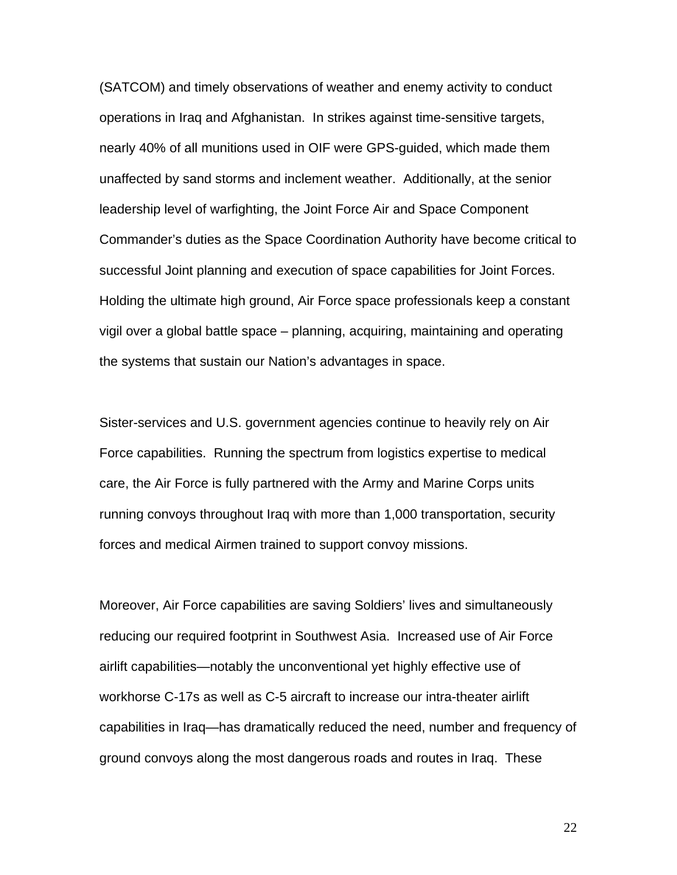(SATCOM) and timely observations of weather and enemy activity to conduct operations in Iraq and Afghanistan. In strikes against time-sensitive targets, nearly 40% of all munitions used in OIF were GPS-guided, which made them unaffected by sand storms and inclement weather. Additionally, at the senior leadership level of warfighting, the Joint Force Air and Space Component Commander's duties as the Space Coordination Authority have become critical to successful Joint planning and execution of space capabilities for Joint Forces. Holding the ultimate high ground, Air Force space professionals keep a constant vigil over a global battle space – planning, acquiring, maintaining and operating the systems that sustain our Nation's advantages in space.

Sister-services and U.S. government agencies continue to heavily rely on Air Force capabilities. Running the spectrum from logistics expertise to medical care, the Air Force is fully partnered with the Army and Marine Corps units running convoys throughout Iraq with more than 1,000 transportation, security forces and medical Airmen trained to support convoy missions.

Moreover, Air Force capabilities are saving Soldiers' lives and simultaneously reducing our required footprint in Southwest Asia. Increased use of Air Force airlift capabilities—notably the unconventional yet highly effective use of workhorse C-17s as well as C-5 aircraft to increase our intra-theater airlift capabilities in Iraq—has dramatically reduced the need, number and frequency of ground convoys along the most dangerous roads and routes in Iraq. These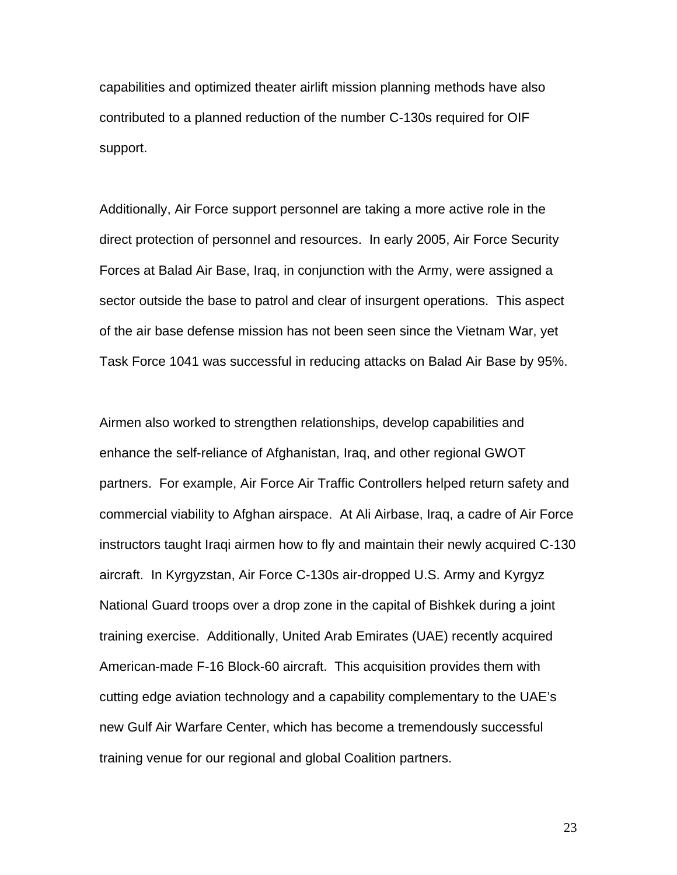capabilities and optimized theater airlift mission planning methods have also contributed to a planned reduction of the number C-130s required for OIF support.

Additionally, Air Force support personnel are taking a more active role in the direct protection of personnel and resources. In early 2005, Air Force Security Forces at Balad Air Base, Iraq, in conjunction with the Army, were assigned a sector outside the base to patrol and clear of insurgent operations. This aspect of the air base defense mission has not been seen since the Vietnam War, yet Task Force 1041 was successful in reducing attacks on Balad Air Base by 95%.

Airmen also worked to strengthen relationships, develop capabilities and enhance the self-reliance of Afghanistan, Iraq, and other regional GWOT partners. For example, Air Force Air Traffic Controllers helped return safety and commercial viability to Afghan airspace. At Ali Airbase, Iraq, a cadre of Air Force instructors taught Iraqi airmen how to fly and maintain their newly acquired C-130 aircraft. In Kyrgyzstan, Air Force C-130s air-dropped U.S. Army and Kyrgyz National Guard troops over a drop zone in the capital of Bishkek during a joint training exercise. Additionally, United Arab Emirates (UAE) recently acquired American-made F-16 Block-60 aircraft. This acquisition provides them with cutting edge aviation technology and a capability complementary to the UAE's new Gulf Air Warfare Center, which has become a tremendously successful training venue for our regional and global Coalition partners.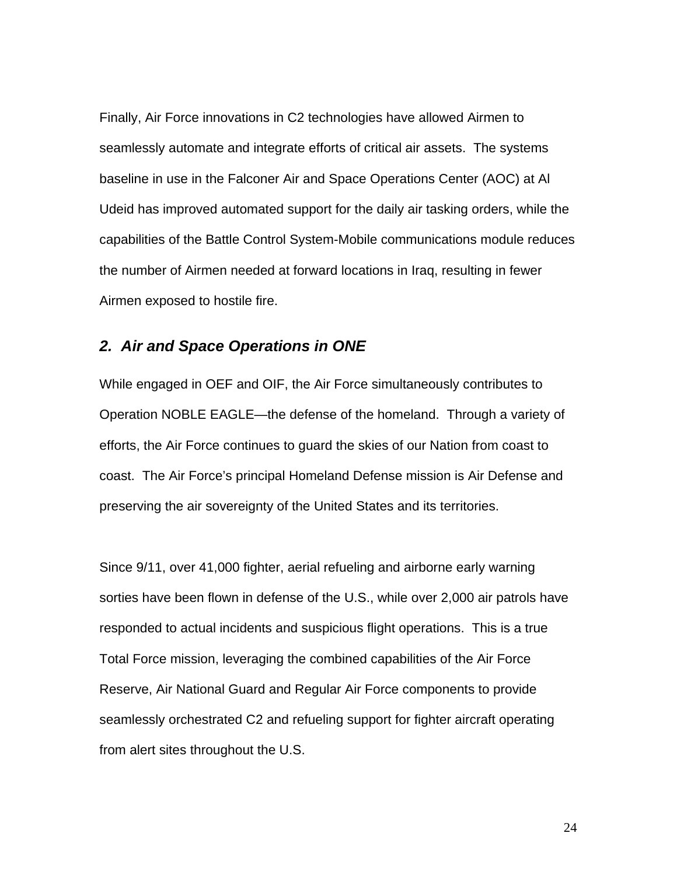Finally, Air Force innovations in C2 technologies have allowed Airmen to seamlessly automate and integrate efforts of critical air assets. The systems baseline in use in the Falconer Air and Space Operations Center (AOC) at Al Udeid has improved automated support for the daily air tasking orders, while the capabilities of the Battle Control System-Mobile communications module reduces the number of Airmen needed at forward locations in Iraq, resulting in fewer Airmen exposed to hostile fire.

#### *2. Air and Space Operations in ONE*

While engaged in OEF and OIF, the Air Force simultaneously contributes to Operation NOBLE EAGLE—the defense of the homeland. Through a variety of efforts, the Air Force continues to guard the skies of our Nation from coast to coast. The Air Force's principal Homeland Defense mission is Air Defense and preserving the air sovereignty of the United States and its territories.

Since 9/11, over 41,000 fighter, aerial refueling and airborne early warning sorties have been flown in defense of the U.S., while over 2,000 air patrols have responded to actual incidents and suspicious flight operations. This is a true Total Force mission, leveraging the combined capabilities of the Air Force Reserve, Air National Guard and Regular Air Force components to provide seamlessly orchestrated C2 and refueling support for fighter aircraft operating from alert sites throughout the U.S.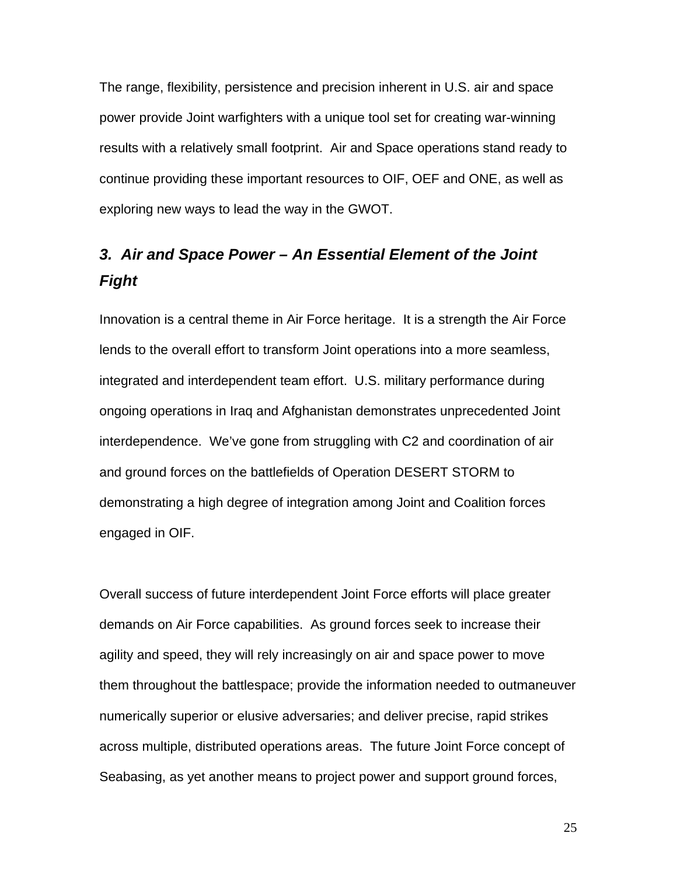The range, flexibility, persistence and precision inherent in U.S. air and space power provide Joint warfighters with a unique tool set for creating war-winning results with a relatively small footprint. Air and Space operations stand ready to continue providing these important resources to OIF, OEF and ONE, as well as exploring new ways to lead the way in the GWOT.

# *3. Air and Space Power – An Essential Element of the Joint Fight*

Innovation is a central theme in Air Force heritage. It is a strength the Air Force lends to the overall effort to transform Joint operations into a more seamless, integrated and interdependent team effort. U.S. military performance during ongoing operations in Iraq and Afghanistan demonstrates unprecedented Joint interdependence. We've gone from struggling with C2 and coordination of air and ground forces on the battlefields of Operation DESERT STORM to demonstrating a high degree of integration among Joint and Coalition forces engaged in OIF.

Overall success of future interdependent Joint Force efforts will place greater demands on Air Force capabilities. As ground forces seek to increase their agility and speed, they will rely increasingly on air and space power to move them throughout the battlespace; provide the information needed to outmaneuver numerically superior or elusive adversaries; and deliver precise, rapid strikes across multiple, distributed operations areas. The future Joint Force concept of Seabasing, as yet another means to project power and support ground forces,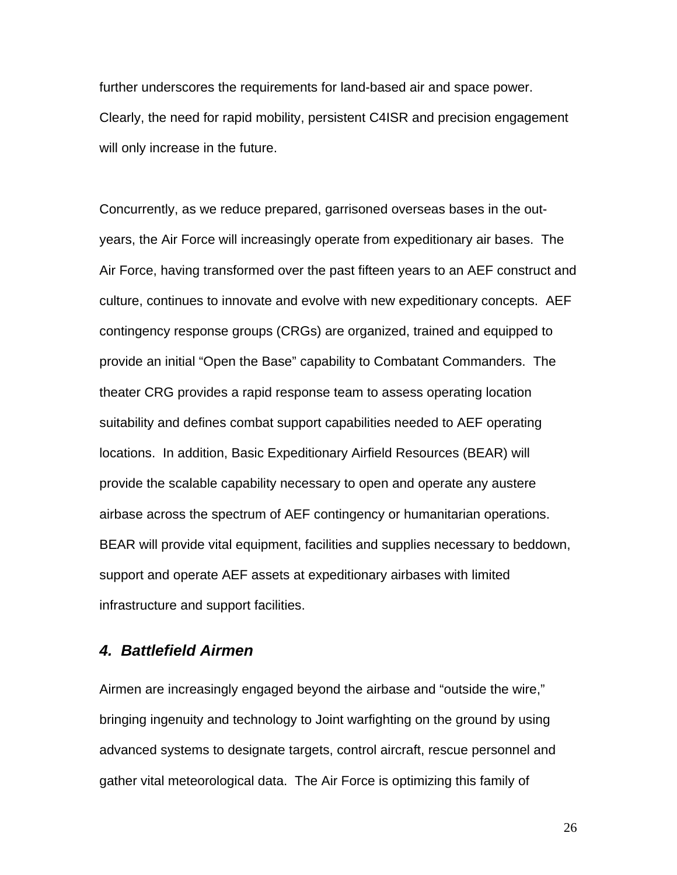further underscores the requirements for land-based air and space power. Clearly, the need for rapid mobility, persistent C4ISR and precision engagement will only increase in the future.

Concurrently, as we reduce prepared, garrisoned overseas bases in the outyears, the Air Force will increasingly operate from expeditionary air bases. The Air Force, having transformed over the past fifteen years to an AEF construct and culture, continues to innovate and evolve with new expeditionary concepts. AEF contingency response groups (CRGs) are organized, trained and equipped to provide an initial "Open the Base" capability to Combatant Commanders. The theater CRG provides a rapid response team to assess operating location suitability and defines combat support capabilities needed to AEF operating locations. In addition, Basic Expeditionary Airfield Resources (BEAR) will provide the scalable capability necessary to open and operate any austere airbase across the spectrum of AEF contingency or humanitarian operations. BEAR will provide vital equipment, facilities and supplies necessary to beddown, support and operate AEF assets at expeditionary airbases with limited infrastructure and support facilities.

## *4. Battlefield Airmen*

Airmen are increasingly engaged beyond the airbase and "outside the wire," bringing ingenuity and technology to Joint warfighting on the ground by using advanced systems to designate targets, control aircraft, rescue personnel and gather vital meteorological data. The Air Force is optimizing this family of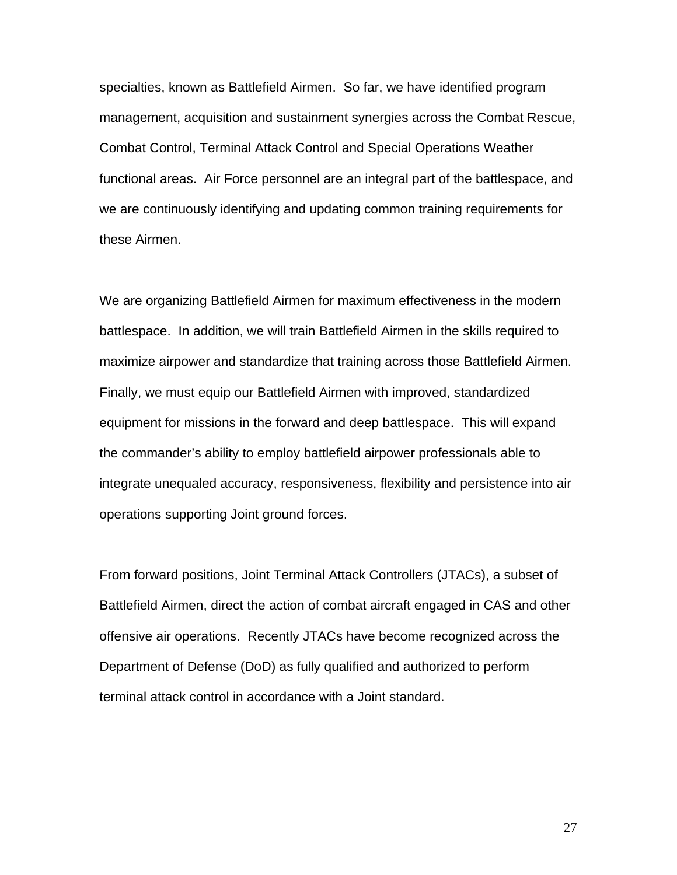specialties, known as Battlefield Airmen. So far, we have identified program management, acquisition and sustainment synergies across the Combat Rescue, Combat Control, Terminal Attack Control and Special Operations Weather functional areas. Air Force personnel are an integral part of the battlespace, and we are continuously identifying and updating common training requirements for these Airmen.

We are organizing Battlefield Airmen for maximum effectiveness in the modern battlespace. In addition, we will train Battlefield Airmen in the skills required to maximize airpower and standardize that training across those Battlefield Airmen. Finally, we must equip our Battlefield Airmen with improved, standardized equipment for missions in the forward and deep battlespace. This will expand the commander's ability to employ battlefield airpower professionals able to integrate unequaled accuracy, responsiveness, flexibility and persistence into air operations supporting Joint ground forces.

From forward positions, Joint Terminal Attack Controllers (JTACs), a subset of Battlefield Airmen, direct the action of combat aircraft engaged in CAS and other offensive air operations. Recently JTACs have become recognized across the Department of Defense (DoD) as fully qualified and authorized to perform terminal attack control in accordance with a Joint standard.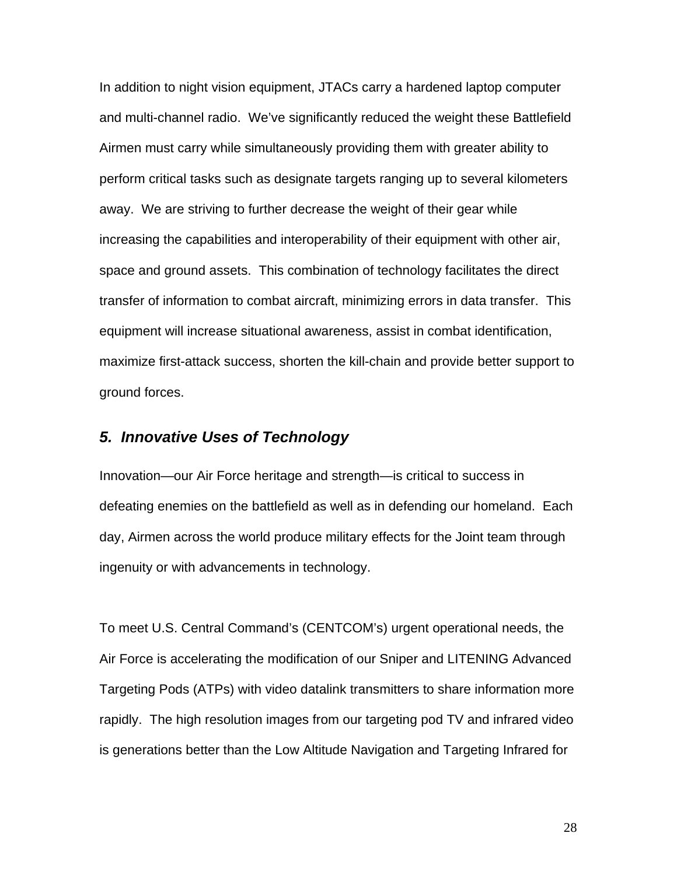In addition to night vision equipment, JTACs carry a hardened laptop computer and multi-channel radio. We've significantly reduced the weight these Battlefield Airmen must carry while simultaneously providing them with greater ability to perform critical tasks such as designate targets ranging up to several kilometers away. We are striving to further decrease the weight of their gear while increasing the capabilities and interoperability of their equipment with other air, space and ground assets. This combination of technology facilitates the direct transfer of information to combat aircraft, minimizing errors in data transfer. This equipment will increase situational awareness, assist in combat identification, maximize first-attack success, shorten the kill-chain and provide better support to ground forces.

## *5. Innovative Uses of Technology*

Innovation—our Air Force heritage and strength—is critical to success in defeating enemies on the battlefield as well as in defending our homeland. Each day, Airmen across the world produce military effects for the Joint team through ingenuity or with advancements in technology.

To meet U.S. Central Command's (CENTCOM's) urgent operational needs, the Air Force is accelerating the modification of our Sniper and LITENING Advanced Targeting Pods (ATPs) with video datalink transmitters to share information more rapidly. The high resolution images from our targeting pod TV and infrared video is generations better than the Low Altitude Navigation and Targeting Infrared for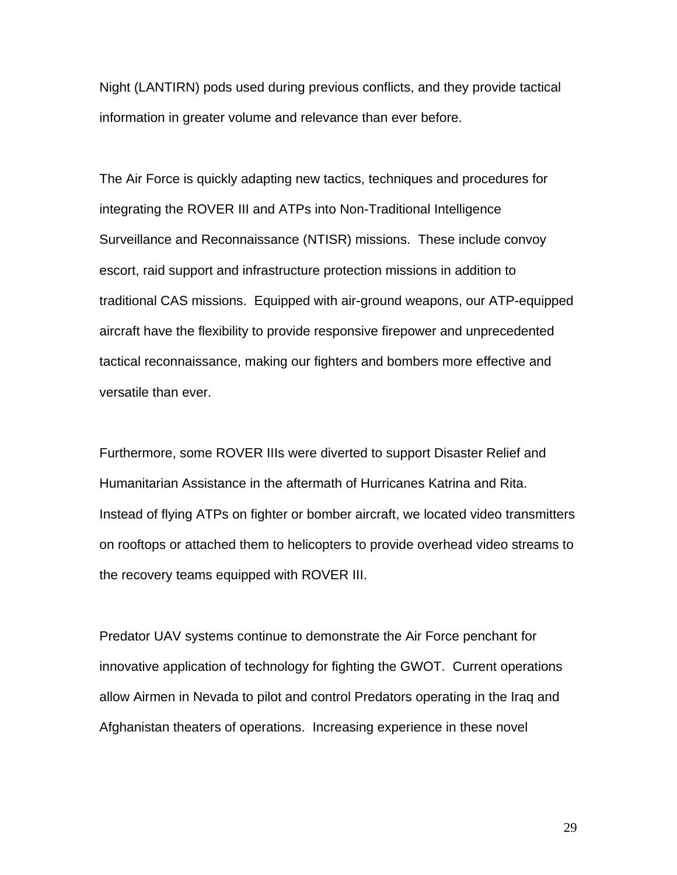Night (LANTIRN) pods used during previous conflicts, and they provide tactical information in greater volume and relevance than ever before.

The Air Force is quickly adapting new tactics, techniques and procedures for integrating the ROVER III and ATPs into Non-Traditional Intelligence Surveillance and Reconnaissance (NTISR) missions. These include convoy escort, raid support and infrastructure protection missions in addition to traditional CAS missions. Equipped with air-ground weapons, our ATP-equipped aircraft have the flexibility to provide responsive firepower and unprecedented tactical reconnaissance, making our fighters and bombers more effective and versatile than ever.

Furthermore, some ROVER IIIs were diverted to support Disaster Relief and Humanitarian Assistance in the aftermath of Hurricanes Katrina and Rita. Instead of flying ATPs on fighter or bomber aircraft, we located video transmitters on rooftops or attached them to helicopters to provide overhead video streams to the recovery teams equipped with ROVER III.

Predator UAV systems continue to demonstrate the Air Force penchant for innovative application of technology for fighting the GWOT. Current operations allow Airmen in Nevada to pilot and control Predators operating in the Iraq and Afghanistan theaters of operations. Increasing experience in these novel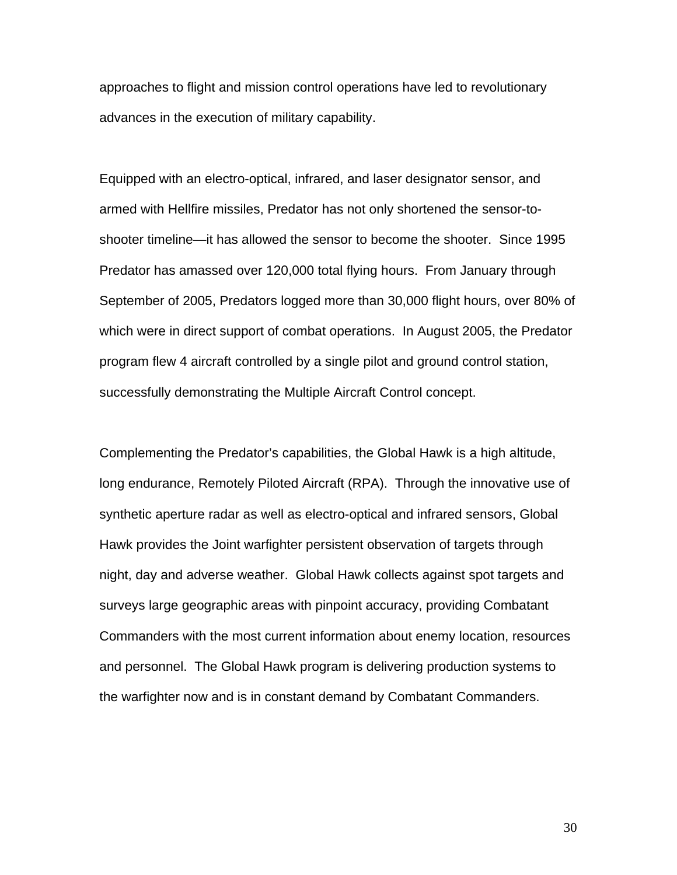approaches to flight and mission control operations have led to revolutionary advances in the execution of military capability.

Equipped with an electro-optical, infrared, and laser designator sensor, and armed with Hellfire missiles, Predator has not only shortened the sensor-toshooter timeline—it has allowed the sensor to become the shooter. Since 1995 Predator has amassed over 120,000 total flying hours. From January through September of 2005, Predators logged more than 30,000 flight hours, over 80% of which were in direct support of combat operations. In August 2005, the Predator program flew 4 aircraft controlled by a single pilot and ground control station, successfully demonstrating the Multiple Aircraft Control concept.

Complementing the Predator's capabilities, the Global Hawk is a high altitude, long endurance, Remotely Piloted Aircraft (RPA). Through the innovative use of synthetic aperture radar as well as electro-optical and infrared sensors, Global Hawk provides the Joint warfighter persistent observation of targets through night, day and adverse weather. Global Hawk collects against spot targets and surveys large geographic areas with pinpoint accuracy, providing Combatant Commanders with the most current information about enemy location, resources and personnel. The Global Hawk program is delivering production systems to the warfighter now and is in constant demand by Combatant Commanders.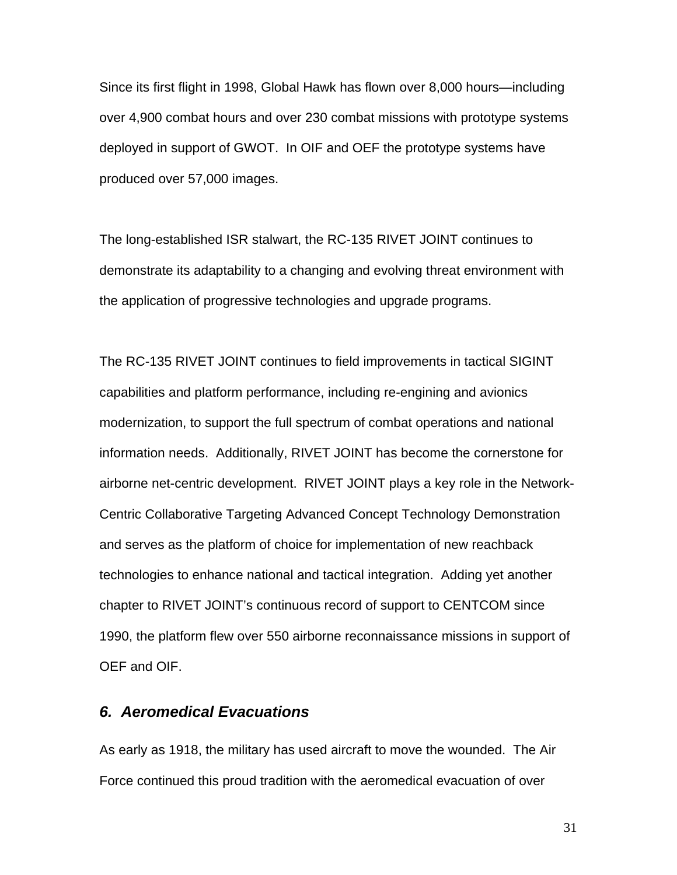Since its first flight in 1998, Global Hawk has flown over 8,000 hours—including over 4,900 combat hours and over 230 combat missions with prototype systems deployed in support of GWOT. In OIF and OEF the prototype systems have produced over 57,000 images.

The long-established ISR stalwart, the RC-135 RIVET JOINT continues to demonstrate its adaptability to a changing and evolving threat environment with the application of progressive technologies and upgrade programs.

The RC-135 RIVET JOINT continues to field improvements in tactical SIGINT capabilities and platform performance, including re-engining and avionics modernization, to support the full spectrum of combat operations and national information needs. Additionally, RIVET JOINT has become the cornerstone for airborne net-centric development. RIVET JOINT plays a key role in the Network-Centric Collaborative Targeting Advanced Concept Technology Demonstration and serves as the platform of choice for implementation of new reachback technologies to enhance national and tactical integration. Adding yet another chapter to RIVET JOINT's continuous record of support to CENTCOM since 1990, the platform flew over 550 airborne reconnaissance missions in support of OEF and OIF.

## *6. Aeromedical Evacuations*

As early as 1918, the military has used aircraft to move the wounded. The Air Force continued this proud tradition with the aeromedical evacuation of over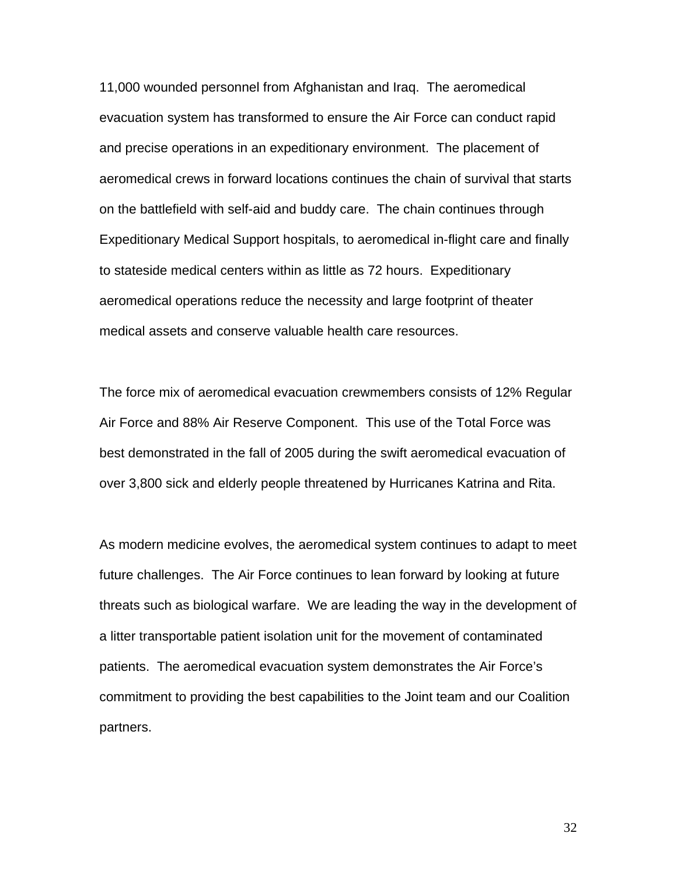11,000 wounded personnel from Afghanistan and Iraq. The aeromedical evacuation system has transformed to ensure the Air Force can conduct rapid and precise operations in an expeditionary environment. The placement of aeromedical crews in forward locations continues the chain of survival that starts on the battlefield with self-aid and buddy care. The chain continues through Expeditionary Medical Support hospitals, to aeromedical in-flight care and finally to stateside medical centers within as little as 72 hours. Expeditionary aeromedical operations reduce the necessity and large footprint of theater medical assets and conserve valuable health care resources.

The force mix of aeromedical evacuation crewmembers consists of 12% Regular Air Force and 88% Air Reserve Component. This use of the Total Force was best demonstrated in the fall of 2005 during the swift aeromedical evacuation of over 3,800 sick and elderly people threatened by Hurricanes Katrina and Rita.

As modern medicine evolves, the aeromedical system continues to adapt to meet future challenges. The Air Force continues to lean forward by looking at future threats such as biological warfare. We are leading the way in the development of a litter transportable patient isolation unit for the movement of contaminated patients. The aeromedical evacuation system demonstrates the Air Force's commitment to providing the best capabilities to the Joint team and our Coalition partners.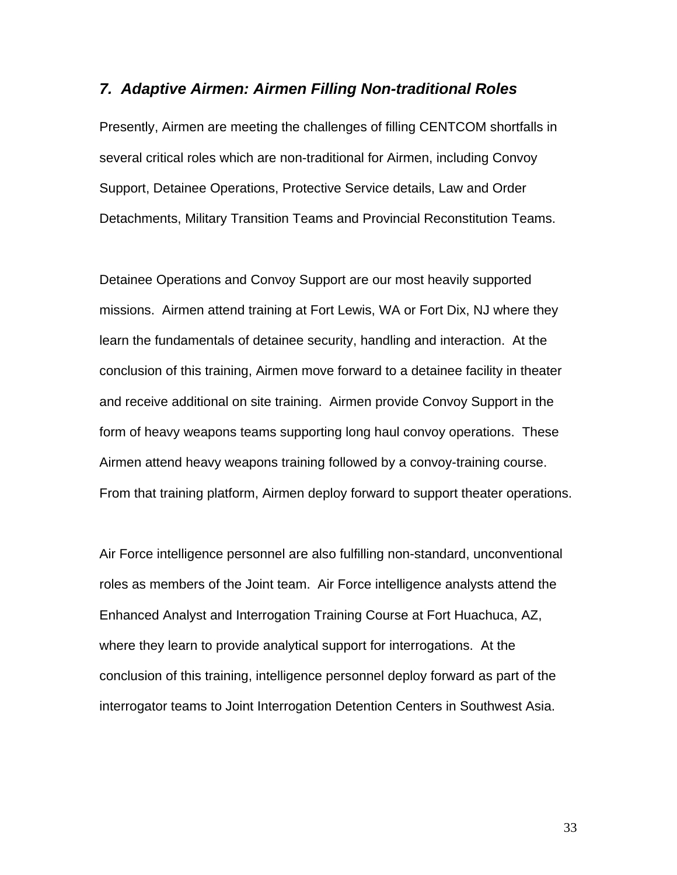## *7. Adaptive Airmen: Airmen Filling Non-traditional Roles*

Presently, Airmen are meeting the challenges of filling CENTCOM shortfalls in several critical roles which are non-traditional for Airmen, including Convoy Support, Detainee Operations, Protective Service details, Law and Order Detachments, Military Transition Teams and Provincial Reconstitution Teams.

Detainee Operations and Convoy Support are our most heavily supported missions. Airmen attend training at Fort Lewis, WA or Fort Dix, NJ where they learn the fundamentals of detainee security, handling and interaction. At the conclusion of this training, Airmen move forward to a detainee facility in theater and receive additional on site training. Airmen provide Convoy Support in the form of heavy weapons teams supporting long haul convoy operations. These Airmen attend heavy weapons training followed by a convoy-training course. From that training platform, Airmen deploy forward to support theater operations.

Air Force intelligence personnel are also fulfilling non-standard, unconventional roles as members of the Joint team. Air Force intelligence analysts attend the Enhanced Analyst and Interrogation Training Course at Fort Huachuca, AZ, where they learn to provide analytical support for interrogations. At the conclusion of this training, intelligence personnel deploy forward as part of the interrogator teams to Joint Interrogation Detention Centers in Southwest Asia.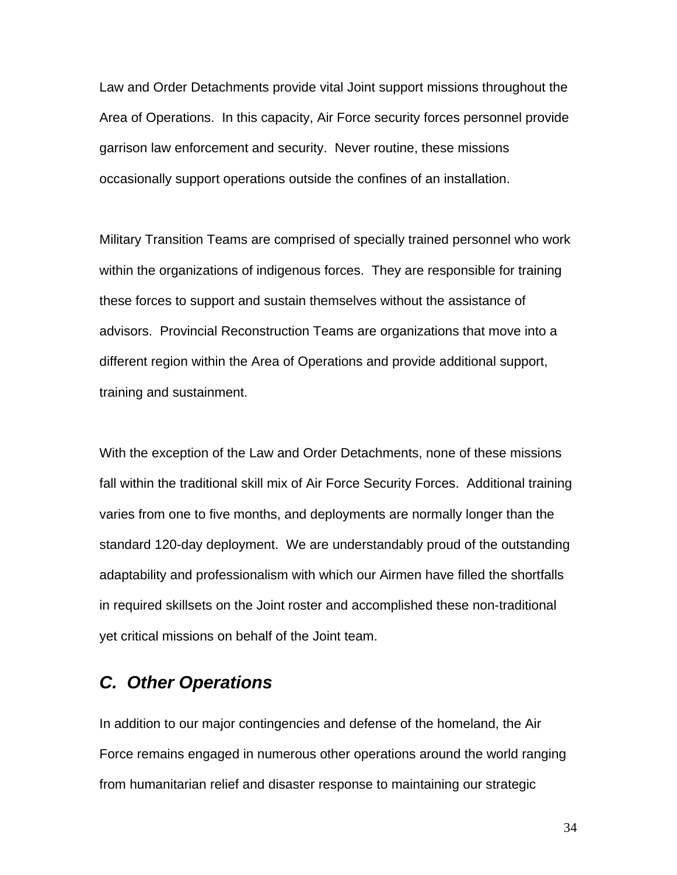Law and Order Detachments provide vital Joint support missions throughout the Area of Operations. In this capacity, Air Force security forces personnel provide garrison law enforcement and security. Never routine, these missions occasionally support operations outside the confines of an installation.

Military Transition Teams are comprised of specially trained personnel who work within the organizations of indigenous forces. They are responsible for training these forces to support and sustain themselves without the assistance of advisors. Provincial Reconstruction Teams are organizations that move into a different region within the Area of Operations and provide additional support, training and sustainment.

With the exception of the Law and Order Detachments, none of these missions fall within the traditional skill mix of Air Force Security Forces. Additional training varies from one to five months, and deployments are normally longer than the standard 120-day deployment. We are understandably proud of the outstanding adaptability and professionalism with which our Airmen have filled the shortfalls in required skillsets on the Joint roster and accomplished these non-traditional yet critical missions on behalf of the Joint team.

# *C. Other Operations*

In addition to our major contingencies and defense of the homeland, the Air Force remains engaged in numerous other operations around the world ranging from humanitarian relief and disaster response to maintaining our strategic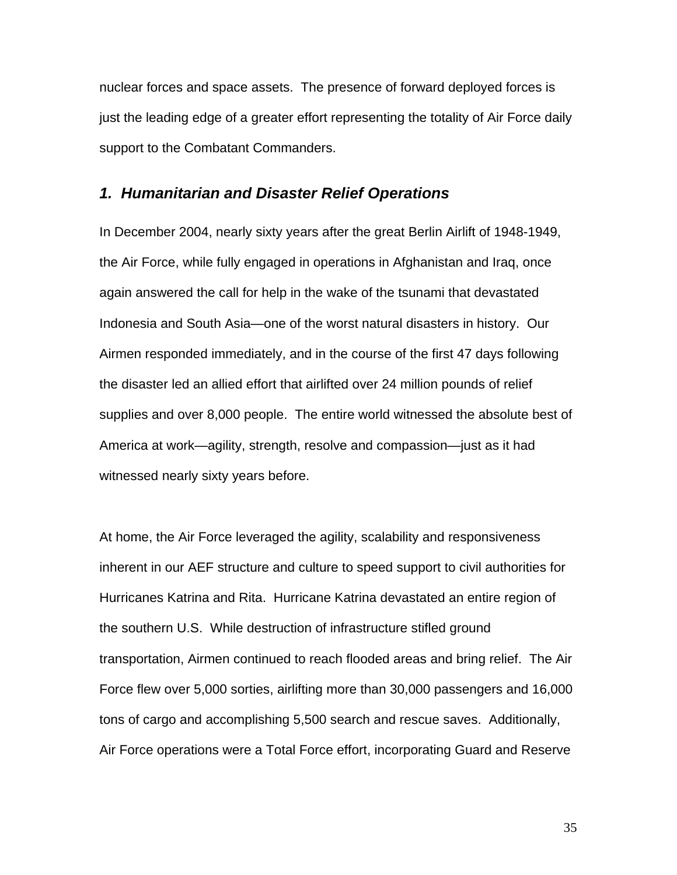nuclear forces and space assets. The presence of forward deployed forces is just the leading edge of a greater effort representing the totality of Air Force daily support to the Combatant Commanders.

## *1. Humanitarian and Disaster Relief Operations*

In December 2004, nearly sixty years after the great Berlin Airlift of 1948-1949, the Air Force, while fully engaged in operations in Afghanistan and Iraq, once again answered the call for help in the wake of the tsunami that devastated Indonesia and South Asia—one of the worst natural disasters in history. Our Airmen responded immediately, and in the course of the first 47 days following the disaster led an allied effort that airlifted over 24 million pounds of relief supplies and over 8,000 people. The entire world witnessed the absolute best of America at work—agility, strength, resolve and compassion—just as it had witnessed nearly sixty years before.

At home, the Air Force leveraged the agility, scalability and responsiveness inherent in our AEF structure and culture to speed support to civil authorities for Hurricanes Katrina and Rita. Hurricane Katrina devastated an entire region of the southern U.S. While destruction of infrastructure stifled ground transportation, Airmen continued to reach flooded areas and bring relief. The Air Force flew over 5,000 sorties, airlifting more than 30,000 passengers and 16,000 tons of cargo and accomplishing 5,500 search and rescue saves. Additionally, Air Force operations were a Total Force effort, incorporating Guard and Reserve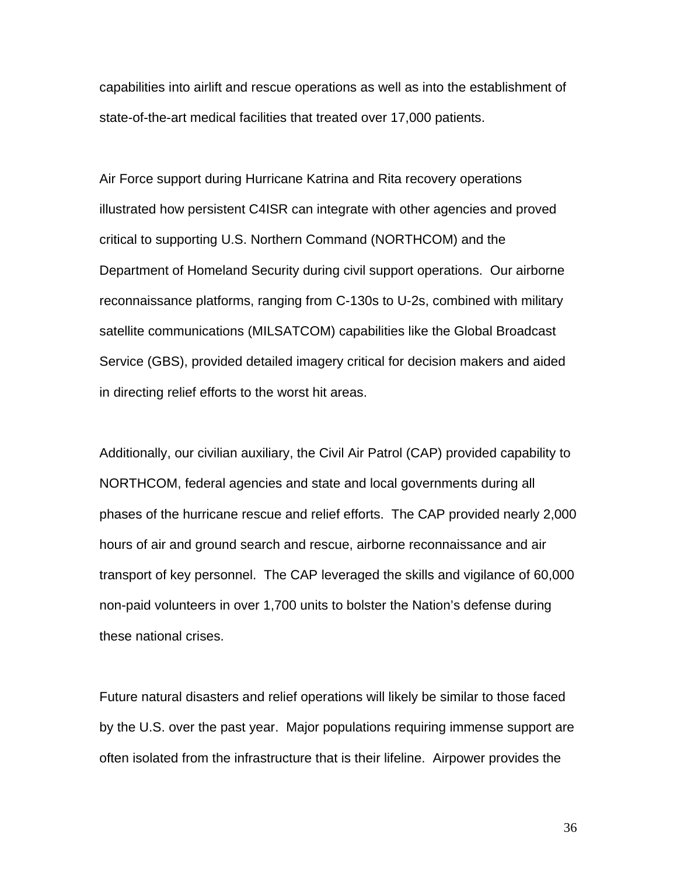capabilities into airlift and rescue operations as well as into the establishment of state-of-the-art medical facilities that treated over 17,000 patients.

Air Force support during Hurricane Katrina and Rita recovery operations illustrated how persistent C4ISR can integrate with other agencies and proved critical to supporting U.S. Northern Command (NORTHCOM) and the Department of Homeland Security during civil support operations. Our airborne reconnaissance platforms, ranging from C-130s to U-2s, combined with military satellite communications (MILSATCOM) capabilities like the Global Broadcast Service (GBS), provided detailed imagery critical for decision makers and aided in directing relief efforts to the worst hit areas.

Additionally, our civilian auxiliary, the Civil Air Patrol (CAP) provided capability to NORTHCOM, federal agencies and state and local governments during all phases of the hurricane rescue and relief efforts. The CAP provided nearly 2,000 hours of air and ground search and rescue, airborne reconnaissance and air transport of key personnel. The CAP leveraged the skills and vigilance of 60,000 non-paid volunteers in over 1,700 units to bolster the Nation's defense during these national crises.

Future natural disasters and relief operations will likely be similar to those faced by the U.S. over the past year. Major populations requiring immense support are often isolated from the infrastructure that is their lifeline. Airpower provides the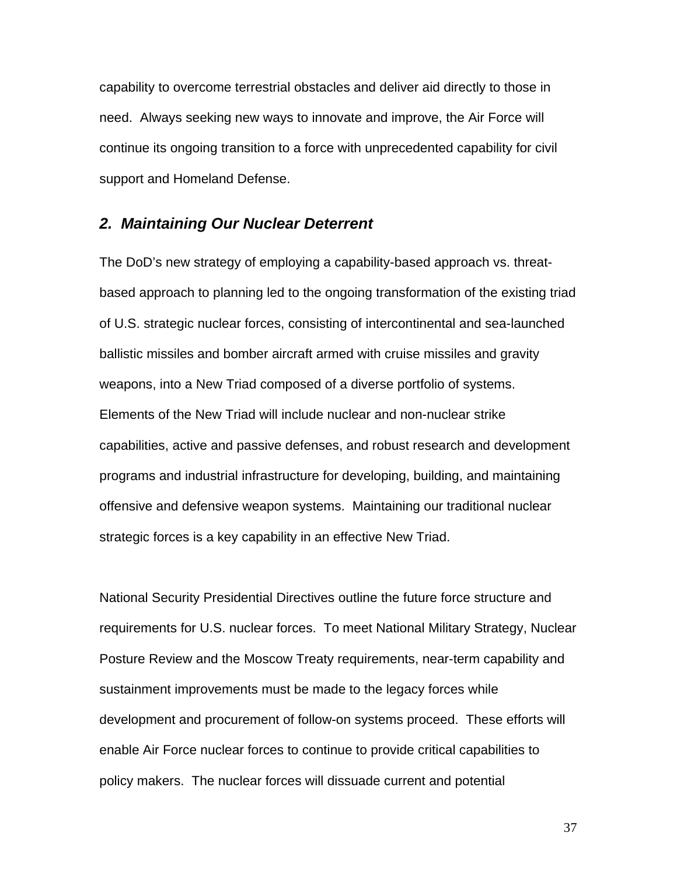capability to overcome terrestrial obstacles and deliver aid directly to those in need. Always seeking new ways to innovate and improve, the Air Force will continue its ongoing transition to a force with unprecedented capability for civil support and Homeland Defense.

# *2. Maintaining Our Nuclear Deterrent*

The DoD's new strategy of employing a capability-based approach vs. threatbased approach to planning led to the ongoing transformation of the existing triad of U.S. strategic nuclear forces, consisting of intercontinental and sea-launched ballistic missiles and bomber aircraft armed with cruise missiles and gravity weapons, into a New Triad composed of a diverse portfolio of systems. Elements of the New Triad will include nuclear and non-nuclear strike capabilities, active and passive defenses, and robust research and development programs and industrial infrastructure for developing, building, and maintaining offensive and defensive weapon systems. Maintaining our traditional nuclear strategic forces is a key capability in an effective New Triad.

National Security Presidential Directives outline the future force structure and requirements for U.S. nuclear forces. To meet National Military Strategy, Nuclear Posture Review and the Moscow Treaty requirements, near-term capability and sustainment improvements must be made to the legacy forces while development and procurement of follow-on systems proceed. These efforts will enable Air Force nuclear forces to continue to provide critical capabilities to policy makers. The nuclear forces will dissuade current and potential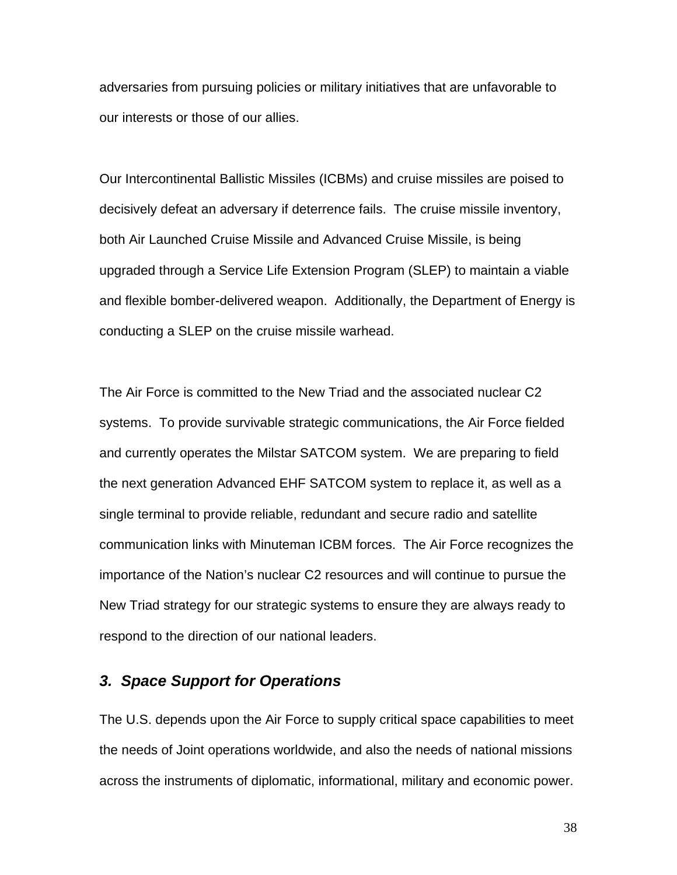adversaries from pursuing policies or military initiatives that are unfavorable to our interests or those of our allies.

Our Intercontinental Ballistic Missiles (ICBMs) and cruise missiles are poised to decisively defeat an adversary if deterrence fails. The cruise missile inventory, both Air Launched Cruise Missile and Advanced Cruise Missile, is being upgraded through a Service Life Extension Program (SLEP) to maintain a viable and flexible bomber-delivered weapon. Additionally, the Department of Energy is conducting a SLEP on the cruise missile warhead.

The Air Force is committed to the New Triad and the associated nuclear C2 systems. To provide survivable strategic communications, the Air Force fielded and currently operates the Milstar SATCOM system. We are preparing to field the next generation Advanced EHF SATCOM system to replace it, as well as a single terminal to provide reliable, redundant and secure radio and satellite communication links with Minuteman ICBM forces. The Air Force recognizes the importance of the Nation's nuclear C2 resources and will continue to pursue the New Triad strategy for our strategic systems to ensure they are always ready to respond to the direction of our national leaders.

# *3. Space Support for Operations*

The U.S. depends upon the Air Force to supply critical space capabilities to meet the needs of Joint operations worldwide, and also the needs of national missions across the instruments of diplomatic, informational, military and economic power.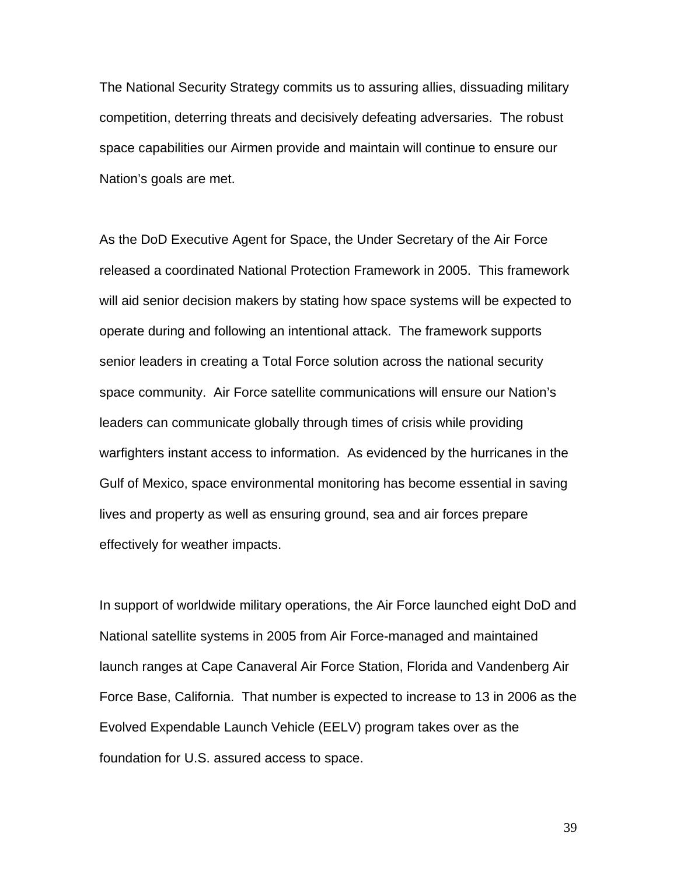The National Security Strategy commits us to assuring allies, dissuading military competition, deterring threats and decisively defeating adversaries. The robust space capabilities our Airmen provide and maintain will continue to ensure our Nation's goals are met.

As the DoD Executive Agent for Space, the Under Secretary of the Air Force released a coordinated National Protection Framework in 2005. This framework will aid senior decision makers by stating how space systems will be expected to operate during and following an intentional attack. The framework supports senior leaders in creating a Total Force solution across the national security space community. Air Force satellite communications will ensure our Nation's leaders can communicate globally through times of crisis while providing warfighters instant access to information. As evidenced by the hurricanes in the Gulf of Mexico, space environmental monitoring has become essential in saving lives and property as well as ensuring ground, sea and air forces prepare effectively for weather impacts.

In support of worldwide military operations, the Air Force launched eight DoD and National satellite systems in 2005 from Air Force-managed and maintained launch ranges at Cape Canaveral Air Force Station, Florida and Vandenberg Air Force Base, California. That number is expected to increase to 13 in 2006 as the Evolved Expendable Launch Vehicle (EELV) program takes over as the foundation for U.S. assured access to space.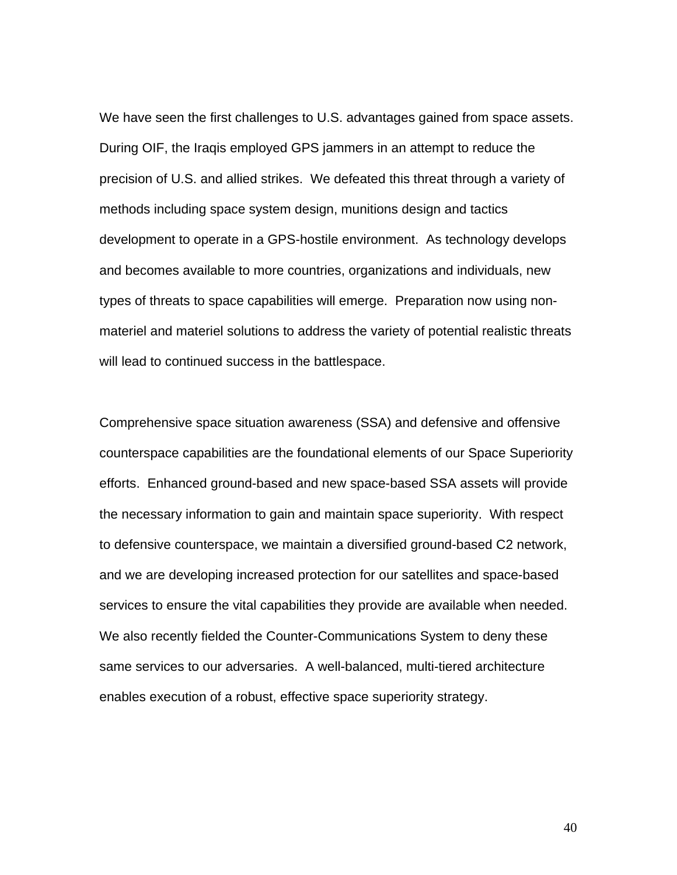We have seen the first challenges to U.S. advantages gained from space assets. During OIF, the Iraqis employed GPS jammers in an attempt to reduce the precision of U.S. and allied strikes. We defeated this threat through a variety of methods including space system design, munitions design and tactics development to operate in a GPS-hostile environment. As technology develops and becomes available to more countries, organizations and individuals, new types of threats to space capabilities will emerge. Preparation now using nonmateriel and materiel solutions to address the variety of potential realistic threats will lead to continued success in the battlespace.

Comprehensive space situation awareness (SSA) and defensive and offensive counterspace capabilities are the foundational elements of our Space Superiority efforts. Enhanced ground-based and new space-based SSA assets will provide the necessary information to gain and maintain space superiority. With respect to defensive counterspace, we maintain a diversified ground-based C2 network, and we are developing increased protection for our satellites and space-based services to ensure the vital capabilities they provide are available when needed. We also recently fielded the Counter-Communications System to deny these same services to our adversaries. A well-balanced, multi-tiered architecture enables execution of a robust, effective space superiority strategy.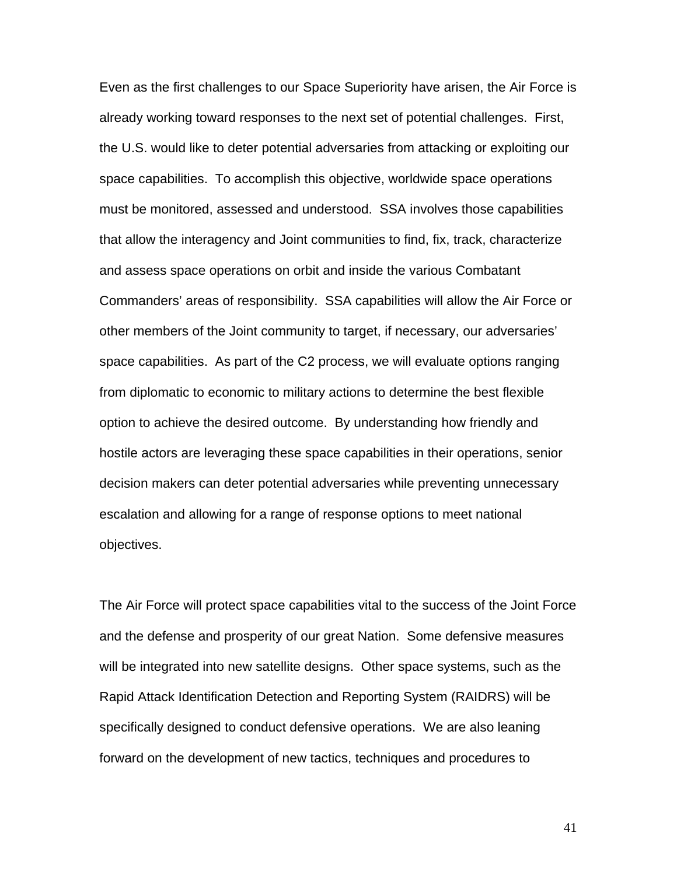Even as the first challenges to our Space Superiority have arisen, the Air Force is already working toward responses to the next set of potential challenges. First, the U.S. would like to deter potential adversaries from attacking or exploiting our space capabilities. To accomplish this objective, worldwide space operations must be monitored, assessed and understood. SSA involves those capabilities that allow the interagency and Joint communities to find, fix, track, characterize and assess space operations on orbit and inside the various Combatant Commanders' areas of responsibility. SSA capabilities will allow the Air Force or other members of the Joint community to target, if necessary, our adversaries' space capabilities. As part of the C2 process, we will evaluate options ranging from diplomatic to economic to military actions to determine the best flexible option to achieve the desired outcome. By understanding how friendly and hostile actors are leveraging these space capabilities in their operations, senior decision makers can deter potential adversaries while preventing unnecessary escalation and allowing for a range of response options to meet national objectives.

The Air Force will protect space capabilities vital to the success of the Joint Force and the defense and prosperity of our great Nation. Some defensive measures will be integrated into new satellite designs. Other space systems, such as the Rapid Attack Identification Detection and Reporting System (RAIDRS) will be specifically designed to conduct defensive operations. We are also leaning forward on the development of new tactics, techniques and procedures to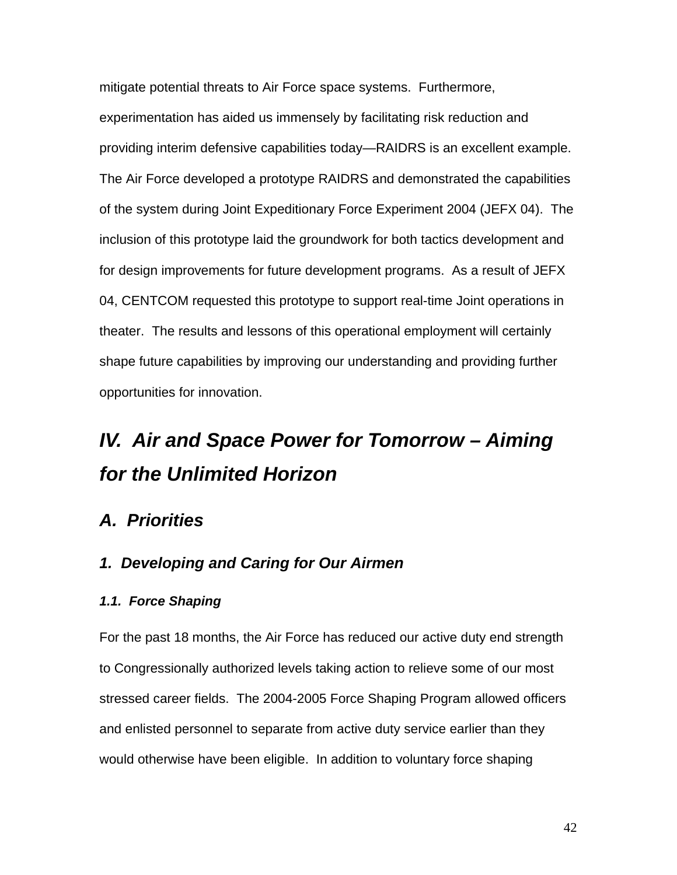mitigate potential threats to Air Force space systems. Furthermore, experimentation has aided us immensely by facilitating risk reduction and providing interim defensive capabilities today—RAIDRS is an excellent example. The Air Force developed a prototype RAIDRS and demonstrated the capabilities of the system during Joint Expeditionary Force Experiment 2004 (JEFX 04). The inclusion of this prototype laid the groundwork for both tactics development and for design improvements for future development programs. As a result of JEFX 04, CENTCOM requested this prototype to support real-time Joint operations in theater. The results and lessons of this operational employment will certainly shape future capabilities by improving our understanding and providing further opportunities for innovation.

# *IV. Air and Space Power for Tomorrow – Aiming for the Unlimited Horizon*

# *A. Priorities*

# *1. Developing and Caring for Our Airmen*

### *1.1. Force Shaping*

For the past 18 months, the Air Force has reduced our active duty end strength to Congressionally authorized levels taking action to relieve some of our most stressed career fields. The 2004-2005 Force Shaping Program allowed officers and enlisted personnel to separate from active duty service earlier than they would otherwise have been eligible. In addition to voluntary force shaping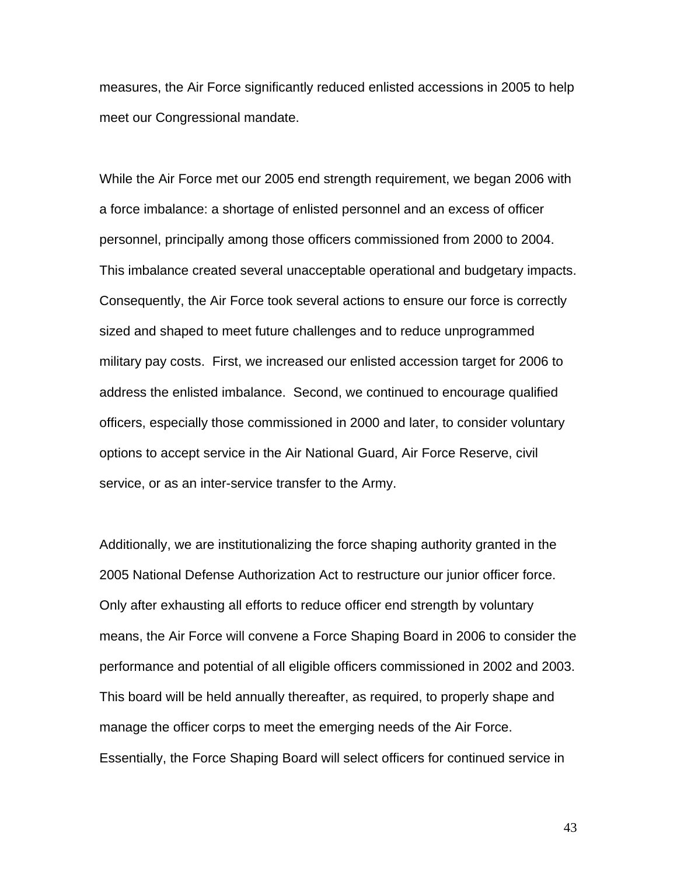measures, the Air Force significantly reduced enlisted accessions in 2005 to help meet our Congressional mandate.

While the Air Force met our 2005 end strength requirement, we began 2006 with a force imbalance: a shortage of enlisted personnel and an excess of officer personnel, principally among those officers commissioned from 2000 to 2004. This imbalance created several unacceptable operational and budgetary impacts. Consequently, the Air Force took several actions to ensure our force is correctly sized and shaped to meet future challenges and to reduce unprogrammed military pay costs. First, we increased our enlisted accession target for 2006 to address the enlisted imbalance. Second, we continued to encourage qualified officers, especially those commissioned in 2000 and later, to consider voluntary options to accept service in the Air National Guard, Air Force Reserve, civil service, or as an inter-service transfer to the Army.

Additionally, we are institutionalizing the force shaping authority granted in the 2005 National Defense Authorization Act to restructure our junior officer force. Only after exhausting all efforts to reduce officer end strength by voluntary means, the Air Force will convene a Force Shaping Board in 2006 to consider the performance and potential of all eligible officers commissioned in 2002 and 2003. This board will be held annually thereafter, as required, to properly shape and manage the officer corps to meet the emerging needs of the Air Force. Essentially, the Force Shaping Board will select officers for continued service in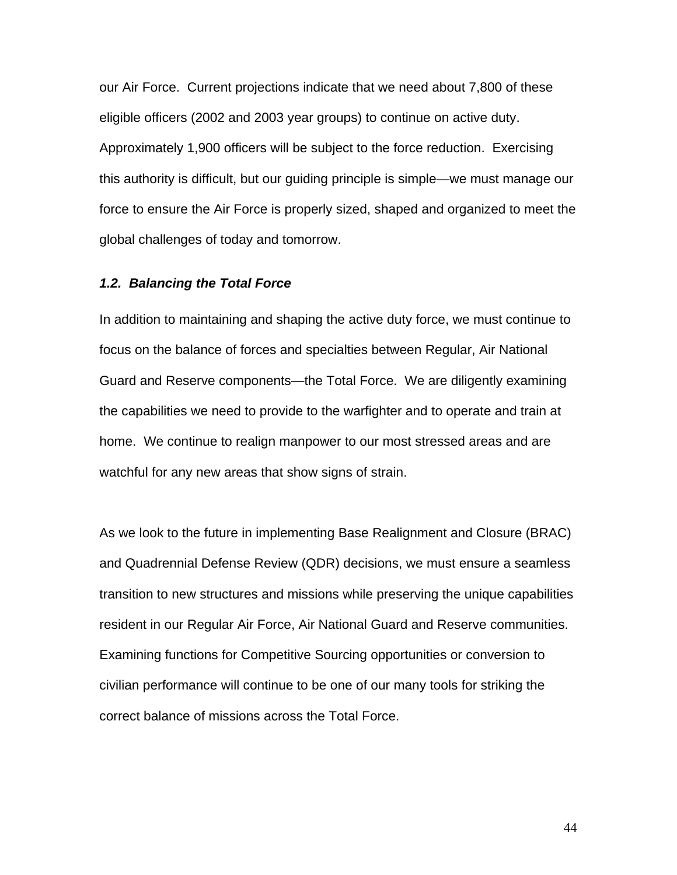our Air Force. Current projections indicate that we need about 7,800 of these eligible officers (2002 and 2003 year groups) to continue on active duty. Approximately 1,900 officers will be subject to the force reduction. Exercising this authority is difficult, but our guiding principle is simple—we must manage our force to ensure the Air Force is properly sized, shaped and organized to meet the global challenges of today and tomorrow.

#### *1.2. Balancing the Total Force*

In addition to maintaining and shaping the active duty force, we must continue to focus on the balance of forces and specialties between Regular, Air National Guard and Reserve components—the Total Force. We are diligently examining the capabilities we need to provide to the warfighter and to operate and train at home. We continue to realign manpower to our most stressed areas and are watchful for any new areas that show signs of strain.

As we look to the future in implementing Base Realignment and Closure (BRAC) and Quadrennial Defense Review (QDR) decisions, we must ensure a seamless transition to new structures and missions while preserving the unique capabilities resident in our Regular Air Force, Air National Guard and Reserve communities. Examining functions for Competitive Sourcing opportunities or conversion to civilian performance will continue to be one of our many tools for striking the correct balance of missions across the Total Force.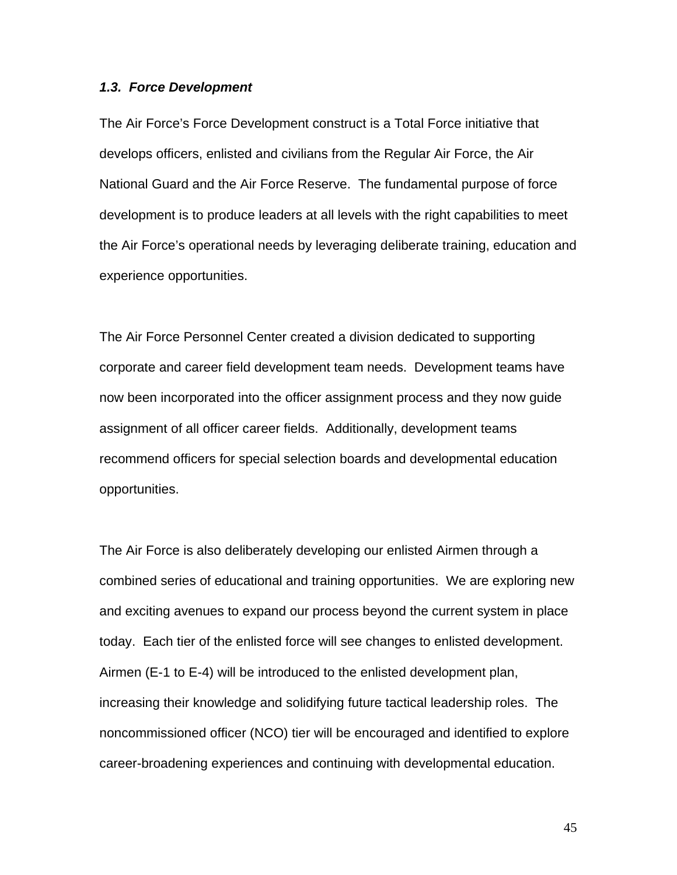#### *1.3. Force Development*

The Air Force's Force Development construct is a Total Force initiative that develops officers, enlisted and civilians from the Regular Air Force, the Air National Guard and the Air Force Reserve. The fundamental purpose of force development is to produce leaders at all levels with the right capabilities to meet the Air Force's operational needs by leveraging deliberate training, education and experience opportunities.

The Air Force Personnel Center created a division dedicated to supporting corporate and career field development team needs. Development teams have now been incorporated into the officer assignment process and they now guide assignment of all officer career fields. Additionally, development teams recommend officers for special selection boards and developmental education opportunities.

The Air Force is also deliberately developing our enlisted Airmen through a combined series of educational and training opportunities. We are exploring new and exciting avenues to expand our process beyond the current system in place today. Each tier of the enlisted force will see changes to enlisted development. Airmen (E-1 to E-4) will be introduced to the enlisted development plan, increasing their knowledge and solidifying future tactical leadership roles. The noncommissioned officer (NCO) tier will be encouraged and identified to explore career-broadening experiences and continuing with developmental education.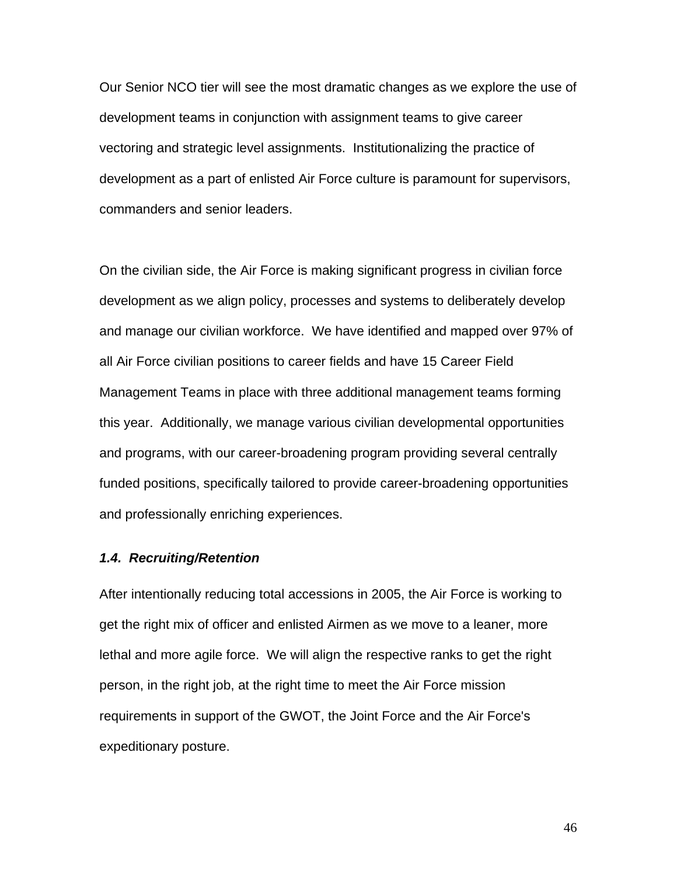Our Senior NCO tier will see the most dramatic changes as we explore the use of development teams in conjunction with assignment teams to give career vectoring and strategic level assignments. Institutionalizing the practice of development as a part of enlisted Air Force culture is paramount for supervisors, commanders and senior leaders.

On the civilian side, the Air Force is making significant progress in civilian force development as we align policy, processes and systems to deliberately develop and manage our civilian workforce. We have identified and mapped over 97% of all Air Force civilian positions to career fields and have 15 Career Field Management Teams in place with three additional management teams forming this year. Additionally, we manage various civilian developmental opportunities and programs, with our career-broadening program providing several centrally funded positions, specifically tailored to provide career-broadening opportunities and professionally enriching experiences.

#### *1.4. Recruiting/Retention*

After intentionally reducing total accessions in 2005, the Air Force is working to get the right mix of officer and enlisted Airmen as we move to a leaner, more lethal and more agile force. We will align the respective ranks to get the right person, in the right job, at the right time to meet the Air Force mission requirements in support of the GWOT, the Joint Force and the Air Force's expeditionary posture.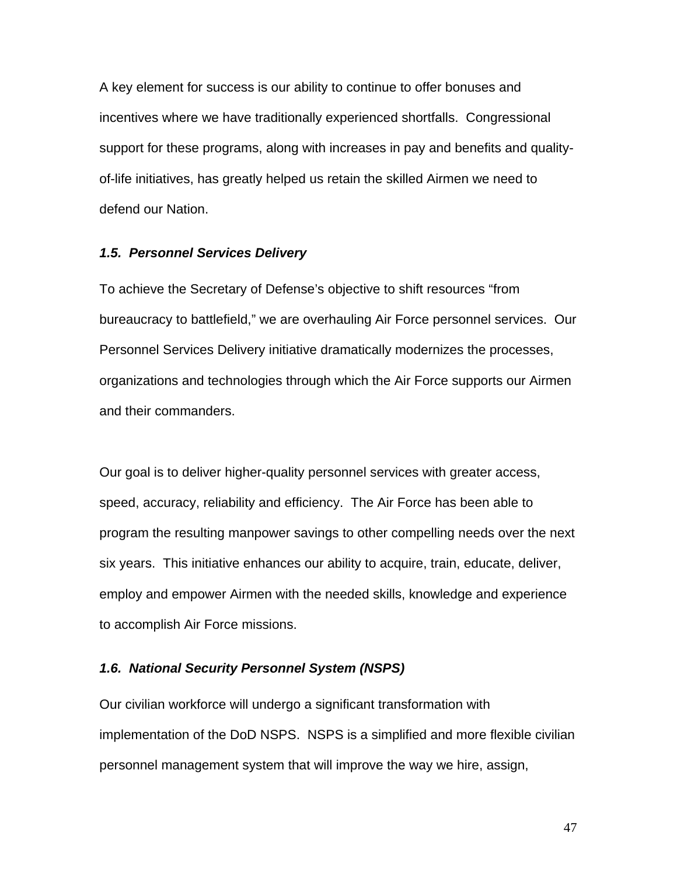A key element for success is our ability to continue to offer bonuses and incentives where we have traditionally experienced shortfalls. Congressional support for these programs, along with increases in pay and benefits and qualityof-life initiatives, has greatly helped us retain the skilled Airmen we need to defend our Nation.

#### *1.5. Personnel Services Delivery*

To achieve the Secretary of Defense's objective to shift resources "from bureaucracy to battlefield," we are overhauling Air Force personnel services. Our Personnel Services Delivery initiative dramatically modernizes the processes, organizations and technologies through which the Air Force supports our Airmen and their commanders.

Our goal is to deliver higher-quality personnel services with greater access, speed, accuracy, reliability and efficiency. The Air Force has been able to program the resulting manpower savings to other compelling needs over the next six years. This initiative enhances our ability to acquire, train, educate, deliver, employ and empower Airmen with the needed skills, knowledge and experience to accomplish Air Force missions.

#### *1.6. National Security Personnel System (NSPS)*

Our civilian workforce will undergo a significant transformation with implementation of the DoD NSPS. NSPS is a simplified and more flexible civilian personnel management system that will improve the way we hire, assign,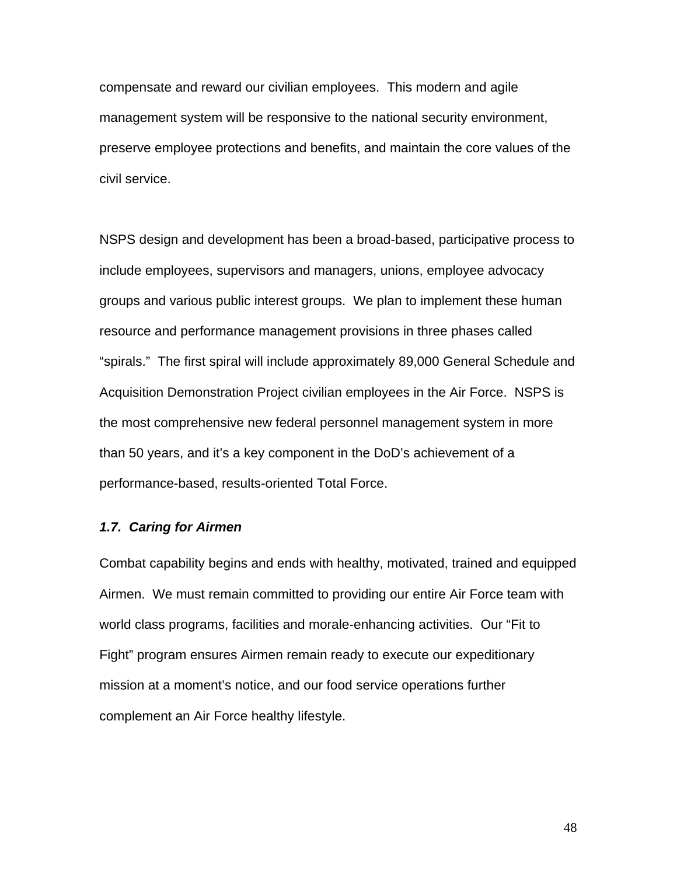compensate and reward our civilian employees. This modern and agile management system will be responsive to the national security environment, preserve employee protections and benefits, and maintain the core values of the civil service.

NSPS design and development has been a broad-based, participative process to include employees, supervisors and managers, unions, employee advocacy groups and various public interest groups. We plan to implement these human resource and performance management provisions in three phases called "spirals." The first spiral will include approximately 89,000 General Schedule and Acquisition Demonstration Project civilian employees in the Air Force. NSPS is the most comprehensive new federal personnel management system in more than 50 years, and it's a key component in the DoD's achievement of a performance-based, results-oriented Total Force.

#### *1.7. Caring for Airmen*

Combat capability begins and ends with healthy, motivated, trained and equipped Airmen. We must remain committed to providing our entire Air Force team with world class programs, facilities and morale-enhancing activities. Our "Fit to Fight" program ensures Airmen remain ready to execute our expeditionary mission at a moment's notice, and our food service operations further complement an Air Force healthy lifestyle.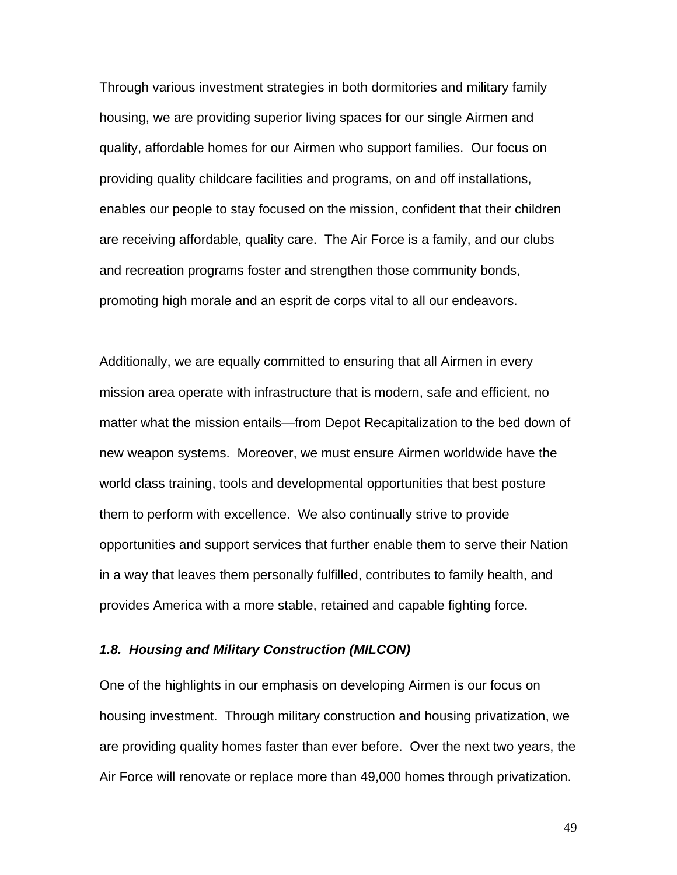Through various investment strategies in both dormitories and military family housing, we are providing superior living spaces for our single Airmen and quality, affordable homes for our Airmen who support families. Our focus on providing quality childcare facilities and programs, on and off installations, enables our people to stay focused on the mission, confident that their children are receiving affordable, quality care. The Air Force is a family, and our clubs and recreation programs foster and strengthen those community bonds, promoting high morale and an esprit de corps vital to all our endeavors.

Additionally, we are equally committed to ensuring that all Airmen in every mission area operate with infrastructure that is modern, safe and efficient, no matter what the mission entails—from Depot Recapitalization to the bed down of new weapon systems. Moreover, we must ensure Airmen worldwide have the world class training, tools and developmental opportunities that best posture them to perform with excellence. We also continually strive to provide opportunities and support services that further enable them to serve their Nation in a way that leaves them personally fulfilled, contributes to family health, and provides America with a more stable, retained and capable fighting force.

#### *1.8. Housing and Military Construction (MILCON)*

One of the highlights in our emphasis on developing Airmen is our focus on housing investment. Through military construction and housing privatization, we are providing quality homes faster than ever before. Over the next two years, the Air Force will renovate or replace more than 49,000 homes through privatization.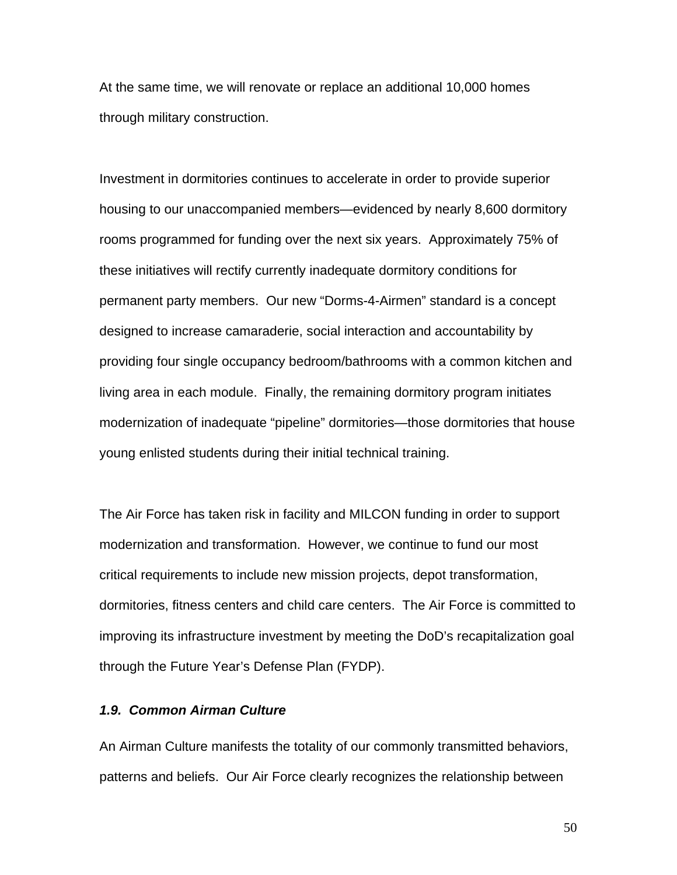At the same time, we will renovate or replace an additional 10,000 homes through military construction.

Investment in dormitories continues to accelerate in order to provide superior housing to our unaccompanied members—evidenced by nearly 8,600 dormitory rooms programmed for funding over the next six years. Approximately 75% of these initiatives will rectify currently inadequate dormitory conditions for permanent party members. Our new "Dorms-4-Airmen" standard is a concept designed to increase camaraderie, social interaction and accountability by providing four single occupancy bedroom/bathrooms with a common kitchen and living area in each module. Finally, the remaining dormitory program initiates modernization of inadequate "pipeline" dormitories—those dormitories that house young enlisted students during their initial technical training.

The Air Force has taken risk in facility and MILCON funding in order to support modernization and transformation. However, we continue to fund our most critical requirements to include new mission projects, depot transformation, dormitories, fitness centers and child care centers. The Air Force is committed to improving its infrastructure investment by meeting the DoD's recapitalization goal through the Future Year's Defense Plan (FYDP).

### *1.9. Common Airman Culture*

An Airman Culture manifests the totality of our commonly transmitted behaviors, patterns and beliefs. Our Air Force clearly recognizes the relationship between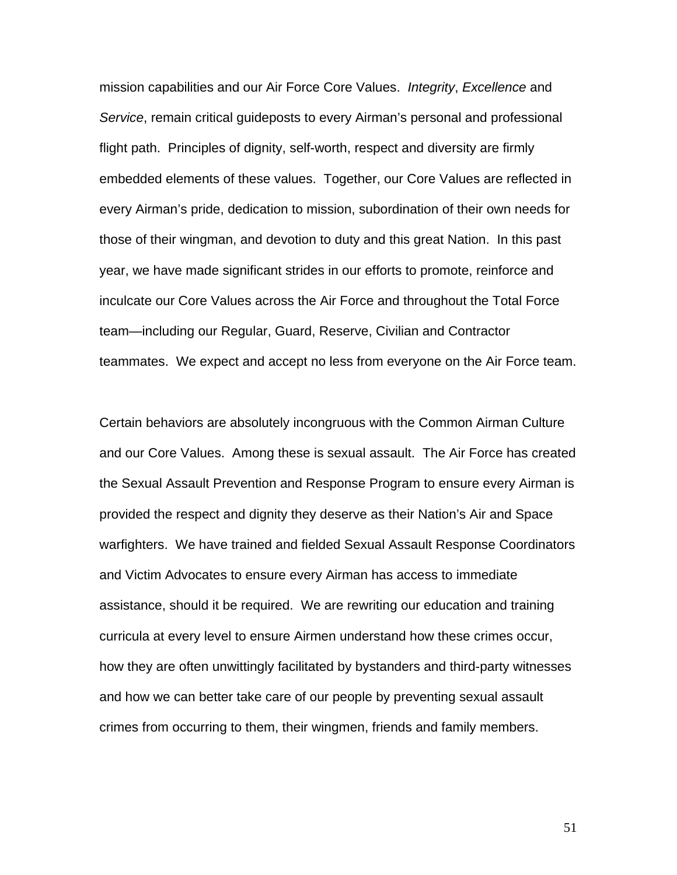mission capabilities and our Air Force Core Values. *Integrity*, *Excellence* and *Service*, remain critical guideposts to every Airman's personal and professional flight path. Principles of dignity, self-worth, respect and diversity are firmly embedded elements of these values. Together, our Core Values are reflected in every Airman's pride, dedication to mission, subordination of their own needs for those of their wingman, and devotion to duty and this great Nation. In this past year, we have made significant strides in our efforts to promote, reinforce and inculcate our Core Values across the Air Force and throughout the Total Force team—including our Regular, Guard, Reserve, Civilian and Contractor teammates. We expect and accept no less from everyone on the Air Force team.

Certain behaviors are absolutely incongruous with the Common Airman Culture and our Core Values. Among these is sexual assault. The Air Force has created the Sexual Assault Prevention and Response Program to ensure every Airman is provided the respect and dignity they deserve as their Nation's Air and Space warfighters. We have trained and fielded Sexual Assault Response Coordinators and Victim Advocates to ensure every Airman has access to immediate assistance, should it be required. We are rewriting our education and training curricula at every level to ensure Airmen understand how these crimes occur, how they are often unwittingly facilitated by bystanders and third-party witnesses and how we can better take care of our people by preventing sexual assault crimes from occurring to them, their wingmen, friends and family members.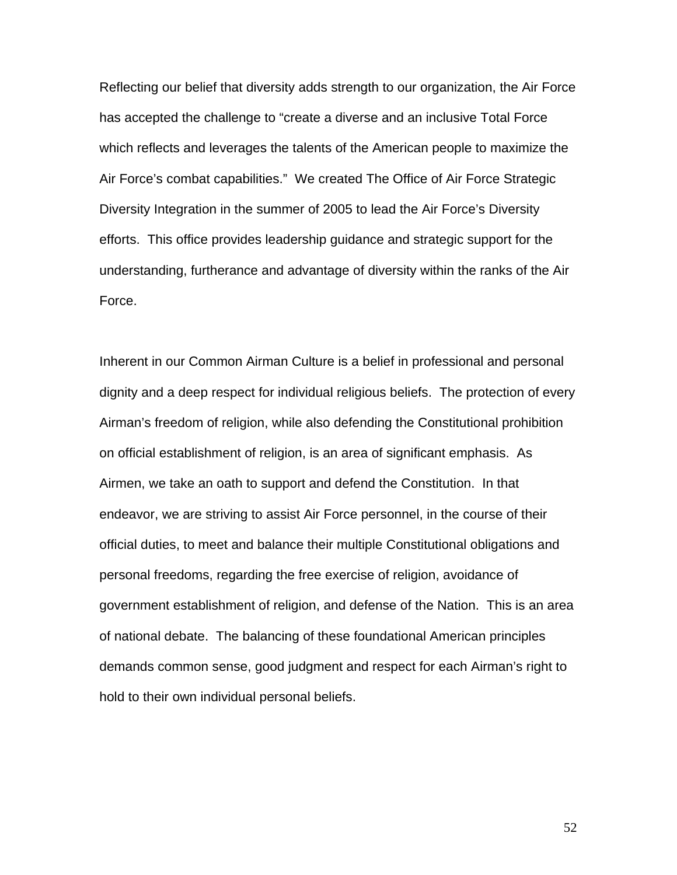Reflecting our belief that diversity adds strength to our organization, the Air Force has accepted the challenge to "create a diverse and an inclusive Total Force which reflects and leverages the talents of the American people to maximize the Air Force's combat capabilities." We created The Office of Air Force Strategic Diversity Integration in the summer of 2005 to lead the Air Force's Diversity efforts. This office provides leadership guidance and strategic support for the understanding, furtherance and advantage of diversity within the ranks of the Air Force.

Inherent in our Common Airman Culture is a belief in professional and personal dignity and a deep respect for individual religious beliefs. The protection of every Airman's freedom of religion, while also defending the Constitutional prohibition on official establishment of religion, is an area of significant emphasis. As Airmen, we take an oath to support and defend the Constitution. In that endeavor, we are striving to assist Air Force personnel, in the course of their official duties, to meet and balance their multiple Constitutional obligations and personal freedoms, regarding the free exercise of religion, avoidance of government establishment of religion, and defense of the Nation. This is an area of national debate. The balancing of these foundational American principles demands common sense, good judgment and respect for each Airman's right to hold to their own individual personal beliefs.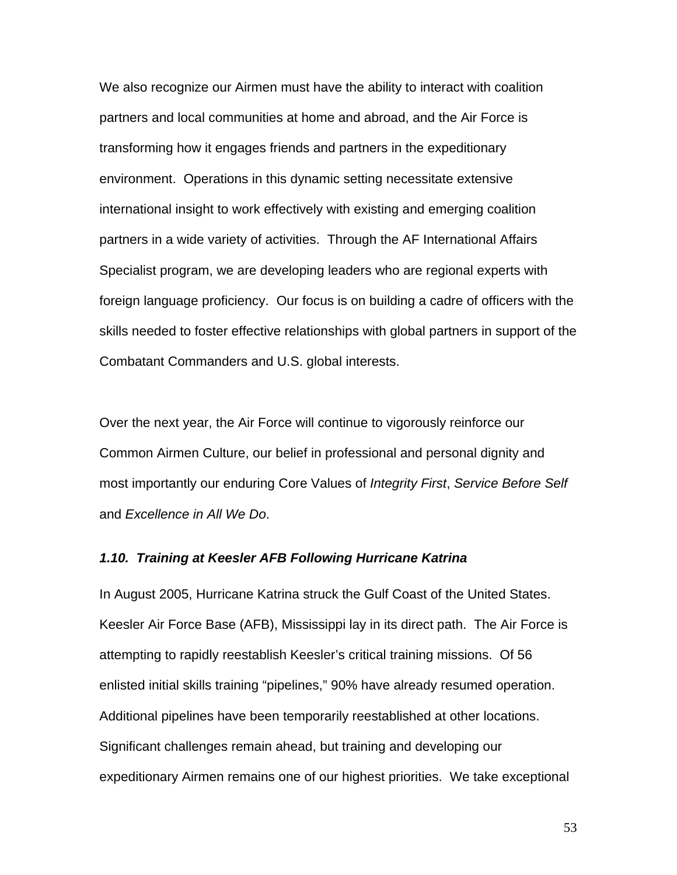We also recognize our Airmen must have the ability to interact with coalition partners and local communities at home and abroad, and the Air Force is transforming how it engages friends and partners in the expeditionary environment. Operations in this dynamic setting necessitate extensive international insight to work effectively with existing and emerging coalition partners in a wide variety of activities. Through the AF International Affairs Specialist program, we are developing leaders who are regional experts with foreign language proficiency. Our focus is on building a cadre of officers with the skills needed to foster effective relationships with global partners in support of the Combatant Commanders and U.S. global interests.

Over the next year, the Air Force will continue to vigorously reinforce our Common Airmen Culture, our belief in professional and personal dignity and most importantly our enduring Core Values of *Integrity First*, *Service Before Self* and *Excellence in All We Do*.

#### *1.10. Training at Keesler AFB Following Hurricane Katrina*

In August 2005, Hurricane Katrina struck the Gulf Coast of the United States. Keesler Air Force Base (AFB), Mississippi lay in its direct path. The Air Force is attempting to rapidly reestablish Keesler's critical training missions. Of 56 enlisted initial skills training "pipelines," 90% have already resumed operation. Additional pipelines have been temporarily reestablished at other locations. Significant challenges remain ahead, but training and developing our expeditionary Airmen remains one of our highest priorities. We take exceptional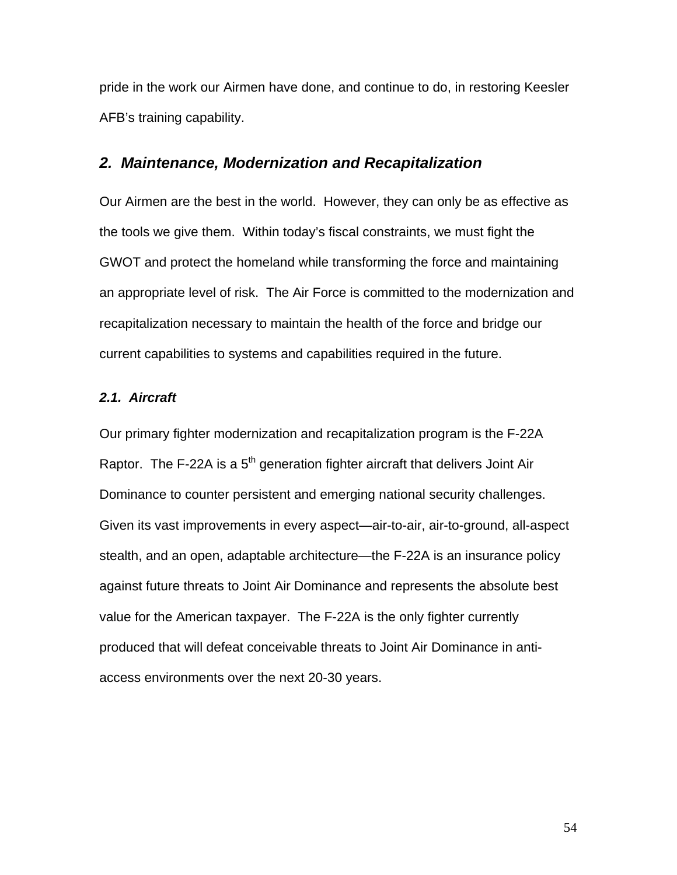pride in the work our Airmen have done, and continue to do, in restoring Keesler AFB's training capability.

# *2. Maintenance, Modernization and Recapitalization*

Our Airmen are the best in the world. However, they can only be as effective as the tools we give them. Within today's fiscal constraints, we must fight the GWOT and protect the homeland while transforming the force and maintaining an appropriate level of risk. The Air Force is committed to the modernization and recapitalization necessary to maintain the health of the force and bridge our current capabilities to systems and capabilities required in the future.

#### *2.1. Aircraft*

Our primary fighter modernization and recapitalization program is the F-22A Raptor. The F-22A is a  $5<sup>th</sup>$  generation fighter aircraft that delivers Joint Air Dominance to counter persistent and emerging national security challenges. Given its vast improvements in every aspect—air-to-air, air-to-ground, all-aspect stealth, and an open, adaptable architecture—the F-22A is an insurance policy against future threats to Joint Air Dominance and represents the absolute best value for the American taxpayer. The F-22A is the only fighter currently produced that will defeat conceivable threats to Joint Air Dominance in antiaccess environments over the next 20-30 years.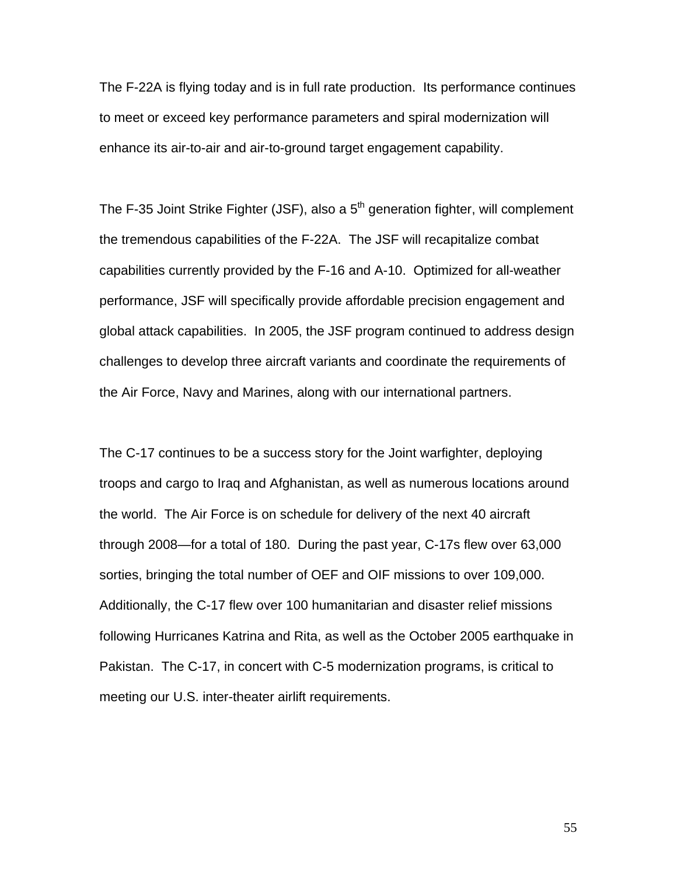The F-22A is flying today and is in full rate production. Its performance continues to meet or exceed key performance parameters and spiral modernization will enhance its air-to-air and air-to-ground target engagement capability.

The F-35 Joint Strike Fighter (JSF), also a  $5<sup>th</sup>$  generation fighter, will complement the tremendous capabilities of the F-22A. The JSF will recapitalize combat capabilities currently provided by the F-16 and A-10. Optimized for all-weather performance, JSF will specifically provide affordable precision engagement and global attack capabilities. In 2005, the JSF program continued to address design challenges to develop three aircraft variants and coordinate the requirements of the Air Force, Navy and Marines, along with our international partners.

The C-17 continues to be a success story for the Joint warfighter, deploying troops and cargo to Iraq and Afghanistan, as well as numerous locations around the world. The Air Force is on schedule for delivery of the next 40 aircraft through 2008—for a total of 180. During the past year, C-17s flew over 63,000 sorties, bringing the total number of OEF and OIF missions to over 109,000. Additionally, the C-17 flew over 100 humanitarian and disaster relief missions following Hurricanes Katrina and Rita, as well as the October 2005 earthquake in Pakistan. The C-17, in concert with C-5 modernization programs, is critical to meeting our U.S. inter-theater airlift requirements.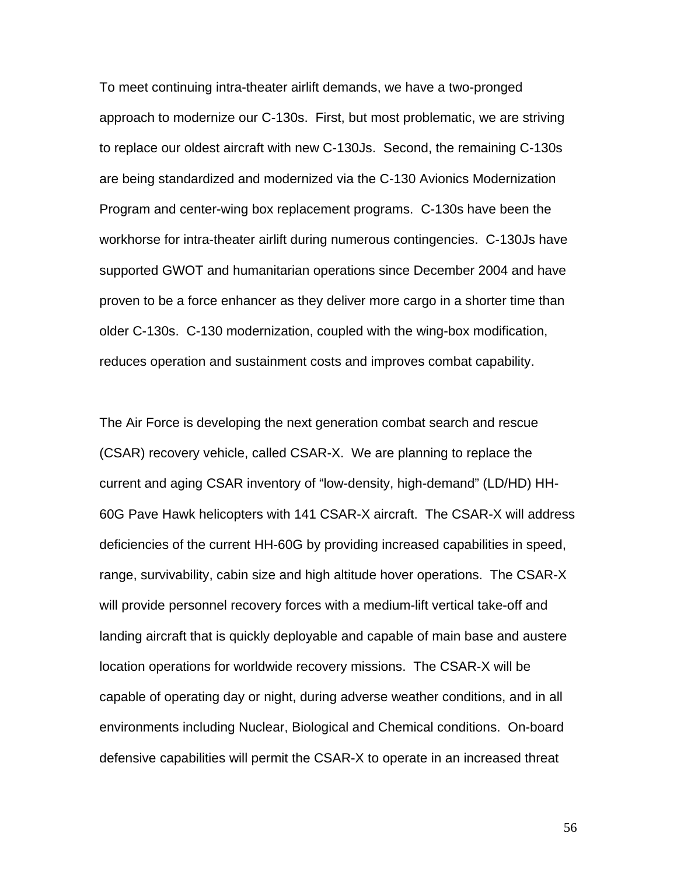To meet continuing intra-theater airlift demands, we have a two-pronged approach to modernize our C-130s. First, but most problematic, we are striving to replace our oldest aircraft with new C-130Js. Second, the remaining C-130s are being standardized and modernized via the C-130 Avionics Modernization Program and center-wing box replacement programs. C-130s have been the workhorse for intra-theater airlift during numerous contingencies. C-130Js have supported GWOT and humanitarian operations since December 2004 and have proven to be a force enhancer as they deliver more cargo in a shorter time than older C-130s. C-130 modernization, coupled with the wing-box modification, reduces operation and sustainment costs and improves combat capability.

The Air Force is developing the next generation combat search and rescue (CSAR) recovery vehicle, called CSAR-X. We are planning to replace the current and aging CSAR inventory of "low-density, high-demand" (LD/HD) HH-60G Pave Hawk helicopters with 141 CSAR-X aircraft. The CSAR-X will address deficiencies of the current HH-60G by providing increased capabilities in speed, range, survivability, cabin size and high altitude hover operations. The CSAR-X will provide personnel recovery forces with a medium-lift vertical take-off and landing aircraft that is quickly deployable and capable of main base and austere location operations for worldwide recovery missions. The CSAR-X will be capable of operating day or night, during adverse weather conditions, and in all environments including Nuclear, Biological and Chemical conditions. On-board defensive capabilities will permit the CSAR-X to operate in an increased threat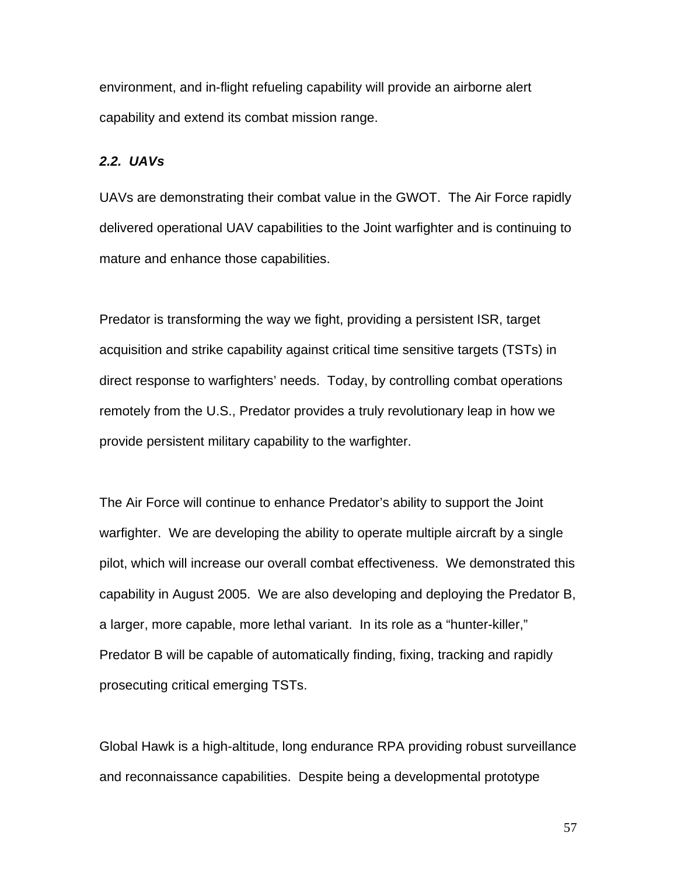environment, and in-flight refueling capability will provide an airborne alert capability and extend its combat mission range.

#### *2.2. UAVs*

UAVs are demonstrating their combat value in the GWOT. The Air Force rapidly delivered operational UAV capabilities to the Joint warfighter and is continuing to mature and enhance those capabilities.

Predator is transforming the way we fight, providing a persistent ISR, target acquisition and strike capability against critical time sensitive targets (TSTs) in direct response to warfighters' needs. Today, by controlling combat operations remotely from the U.S., Predator provides a truly revolutionary leap in how we provide persistent military capability to the warfighter.

The Air Force will continue to enhance Predator's ability to support the Joint warfighter. We are developing the ability to operate multiple aircraft by a single pilot, which will increase our overall combat effectiveness. We demonstrated this capability in August 2005. We are also developing and deploying the Predator B, a larger, more capable, more lethal variant. In its role as a "hunter-killer," Predator B will be capable of automatically finding, fixing, tracking and rapidly prosecuting critical emerging TSTs.

Global Hawk is a high-altitude, long endurance RPA providing robust surveillance and reconnaissance capabilities. Despite being a developmental prototype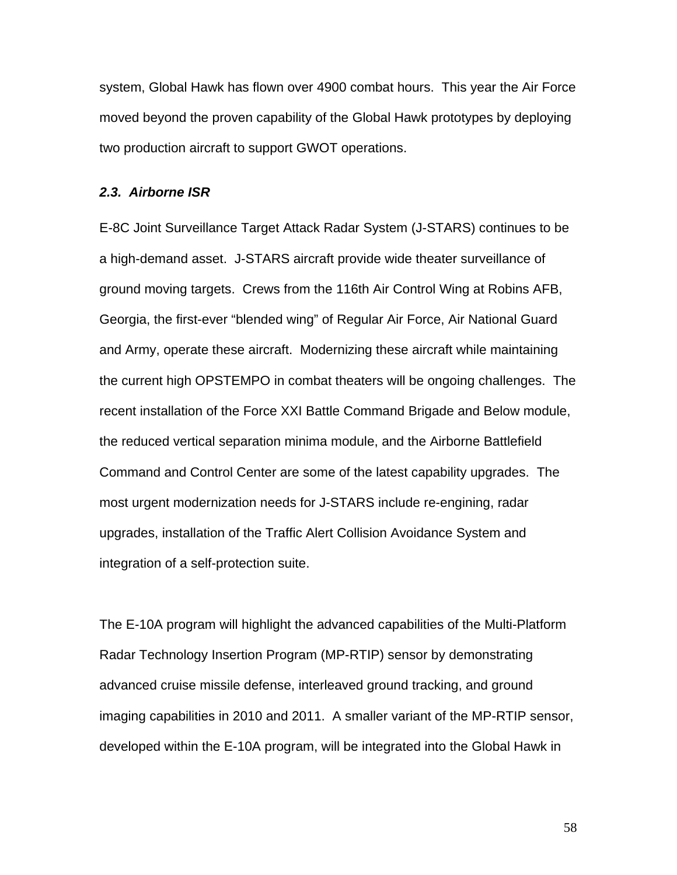system, Global Hawk has flown over 4900 combat hours. This year the Air Force moved beyond the proven capability of the Global Hawk prototypes by deploying two production aircraft to support GWOT operations.

#### *2.3. Airborne ISR*

E-8C Joint Surveillance Target Attack Radar System (J-STARS) continues to be a high-demand asset. J-STARS aircraft provide wide theater surveillance of ground moving targets. Crews from the 116th Air Control Wing at Robins AFB, Georgia, the first-ever "blended wing" of Regular Air Force, Air National Guard and Army, operate these aircraft. Modernizing these aircraft while maintaining the current high OPSTEMPO in combat theaters will be ongoing challenges. The recent installation of the Force XXI Battle Command Brigade and Below module, the reduced vertical separation minima module, and the Airborne Battlefield Command and Control Center are some of the latest capability upgrades. The most urgent modernization needs for J-STARS include re-engining, radar upgrades, installation of the Traffic Alert Collision Avoidance System and integration of a self-protection suite.

The E-10A program will highlight the advanced capabilities of the Multi-Platform Radar Technology Insertion Program (MP-RTIP) sensor by demonstrating advanced cruise missile defense, interleaved ground tracking, and ground imaging capabilities in 2010 and 2011. A smaller variant of the MP-RTIP sensor, developed within the E-10A program, will be integrated into the Global Hawk in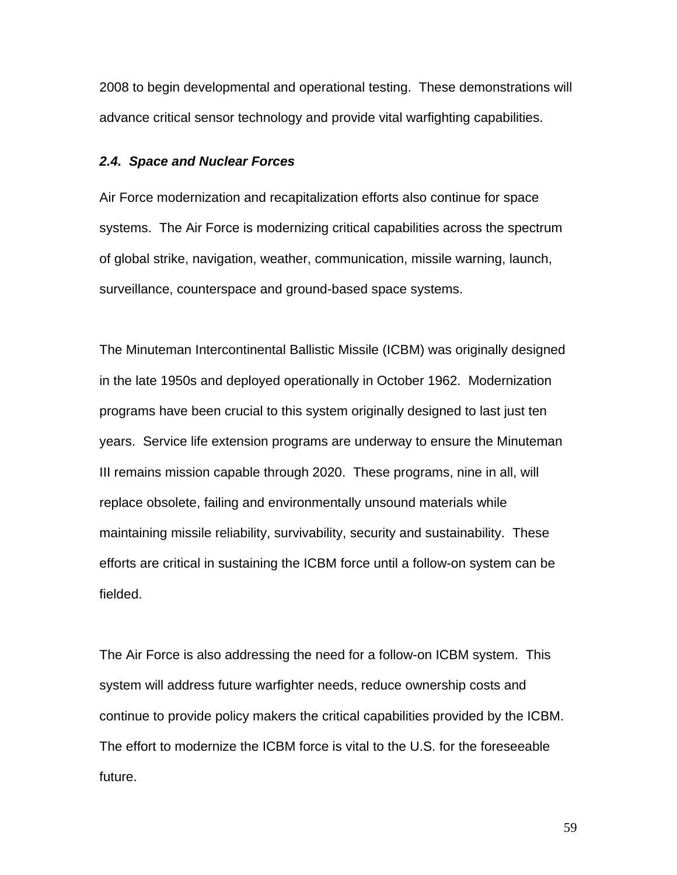2008 to begin developmental and operational testing. These demonstrations will advance critical sensor technology and provide vital warfighting capabilities.

#### *2.4. Space and Nuclear Forces*

Air Force modernization and recapitalization efforts also continue for space systems. The Air Force is modernizing critical capabilities across the spectrum of global strike, navigation, weather, communication, missile warning, launch, surveillance, counterspace and ground-based space systems.

The Minuteman Intercontinental Ballistic Missile (ICBM) was originally designed in the late 1950s and deployed operationally in October 1962. Modernization programs have been crucial to this system originally designed to last just ten years. Service life extension programs are underway to ensure the Minuteman III remains mission capable through 2020. These programs, nine in all, will replace obsolete, failing and environmentally unsound materials while maintaining missile reliability, survivability, security and sustainability. These efforts are critical in sustaining the ICBM force until a follow-on system can be fielded.

The Air Force is also addressing the need for a follow-on ICBM system. This system will address future warfighter needs, reduce ownership costs and continue to provide policy makers the critical capabilities provided by the ICBM. The effort to modernize the ICBM force is vital to the U.S. for the foreseeable future.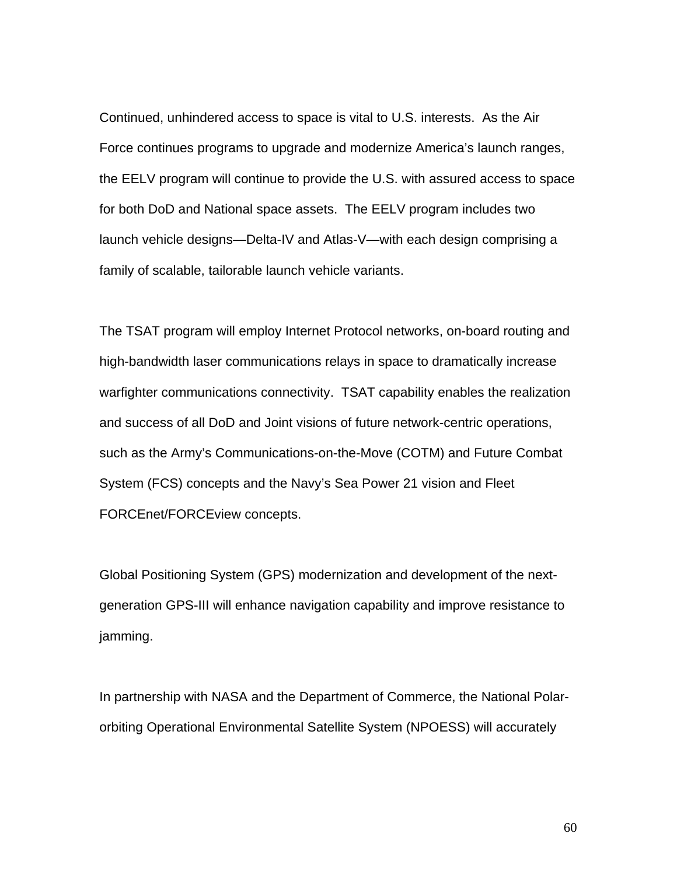Continued, unhindered access to space is vital to U.S. interests. As the Air Force continues programs to upgrade and modernize America's launch ranges, the EELV program will continue to provide the U.S. with assured access to space for both DoD and National space assets. The EELV program includes two launch vehicle designs—Delta-IV and Atlas-V—with each design comprising a family of scalable, tailorable launch vehicle variants.

The TSAT program will employ Internet Protocol networks, on-board routing and high-bandwidth laser communications relays in space to dramatically increase warfighter communications connectivity. TSAT capability enables the realization and success of all DoD and Joint visions of future network-centric operations, such as the Army's Communications-on-the-Move (COTM) and Future Combat System (FCS) concepts and the Navy's Sea Power 21 vision and Fleet FORCEnet/FORCEview concepts.

Global Positioning System (GPS) modernization and development of the nextgeneration GPS-III will enhance navigation capability and improve resistance to jamming.

In partnership with NASA and the Department of Commerce, the National Polarorbiting Operational Environmental Satellite System (NPOESS) will accurately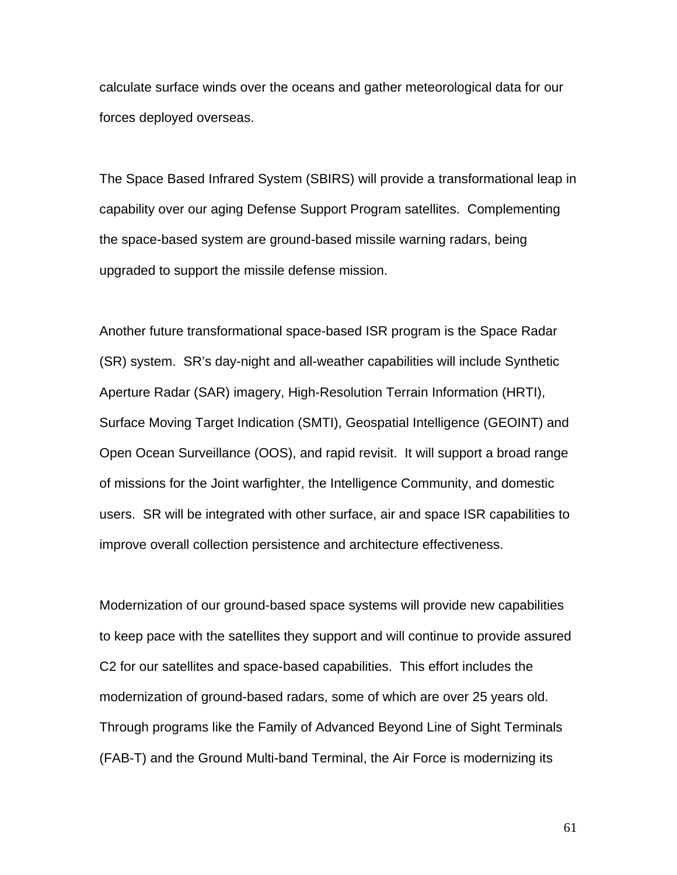calculate surface winds over the oceans and gather meteorological data for our forces deployed overseas.

The Space Based Infrared System (SBIRS) will provide a transformational leap in capability over our aging Defense Support Program satellites. Complementing the space-based system are ground-based missile warning radars, being upgraded to support the missile defense mission.

Another future transformational space-based ISR program is the Space Radar (SR) system. SR's day-night and all-weather capabilities will include Synthetic Aperture Radar (SAR) imagery, High-Resolution Terrain Information (HRTI), Surface Moving Target Indication (SMTI), Geospatial Intelligence (GEOINT) and Open Ocean Surveillance (OOS), and rapid revisit. It will support a broad range of missions for the Joint warfighter, the Intelligence Community, and domestic users. SR will be integrated with other surface, air and space ISR capabilities to improve overall collection persistence and architecture effectiveness.

Modernization of our ground-based space systems will provide new capabilities to keep pace with the satellites they support and will continue to provide assured C2 for our satellites and space-based capabilities. This effort includes the modernization of ground-based radars, some of which are over 25 years old. Through programs like the Family of Advanced Beyond Line of Sight Terminals (FAB-T) and the Ground Multi-band Terminal, the Air Force is modernizing its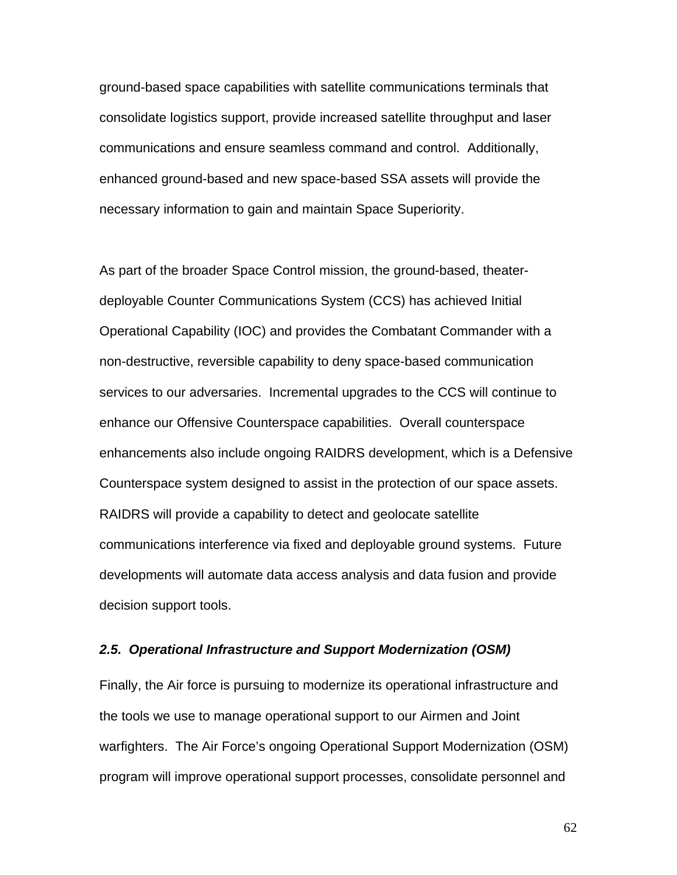ground-based space capabilities with satellite communications terminals that consolidate logistics support, provide increased satellite throughput and laser communications and ensure seamless command and control. Additionally, enhanced ground-based and new space-based SSA assets will provide the necessary information to gain and maintain Space Superiority.

As part of the broader Space Control mission, the ground-based, theaterdeployable Counter Communications System (CCS) has achieved Initial Operational Capability (IOC) and provides the Combatant Commander with a non-destructive, reversible capability to deny space-based communication services to our adversaries. Incremental upgrades to the CCS will continue to enhance our Offensive Counterspace capabilities. Overall counterspace enhancements also include ongoing RAIDRS development, which is a Defensive Counterspace system designed to assist in the protection of our space assets. RAIDRS will provide a capability to detect and geolocate satellite communications interference via fixed and deployable ground systems. Future developments will automate data access analysis and data fusion and provide decision support tools.

#### *2.5. Operational Infrastructure and Support Modernization (OSM)*

Finally, the Air force is pursuing to modernize its operational infrastructure and the tools we use to manage operational support to our Airmen and Joint warfighters. The Air Force's ongoing Operational Support Modernization (OSM) program will improve operational support processes, consolidate personnel and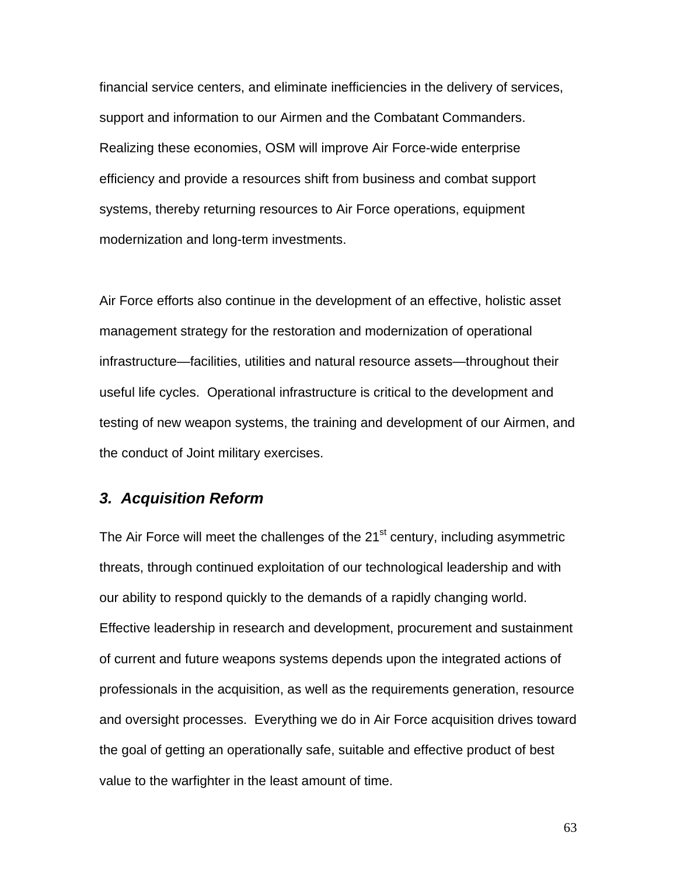financial service centers, and eliminate inefficiencies in the delivery of services, support and information to our Airmen and the Combatant Commanders. Realizing these economies, OSM will improve Air Force-wide enterprise efficiency and provide a resources shift from business and combat support systems, thereby returning resources to Air Force operations, equipment modernization and long-term investments.

Air Force efforts also continue in the development of an effective, holistic asset management strategy for the restoration and modernization of operational infrastructure—facilities, utilities and natural resource assets—throughout their useful life cycles. Operational infrastructure is critical to the development and testing of new weapon systems, the training and development of our Airmen, and the conduct of Joint military exercises.

## *3. Acquisition Reform*

The Air Force will meet the challenges of the 21<sup>st</sup> century, including asymmetric threats, through continued exploitation of our technological leadership and with our ability to respond quickly to the demands of a rapidly changing world. Effective leadership in research and development, procurement and sustainment of current and future weapons systems depends upon the integrated actions of professionals in the acquisition, as well as the requirements generation, resource and oversight processes. Everything we do in Air Force acquisition drives toward the goal of getting an operationally safe, suitable and effective product of best value to the warfighter in the least amount of time.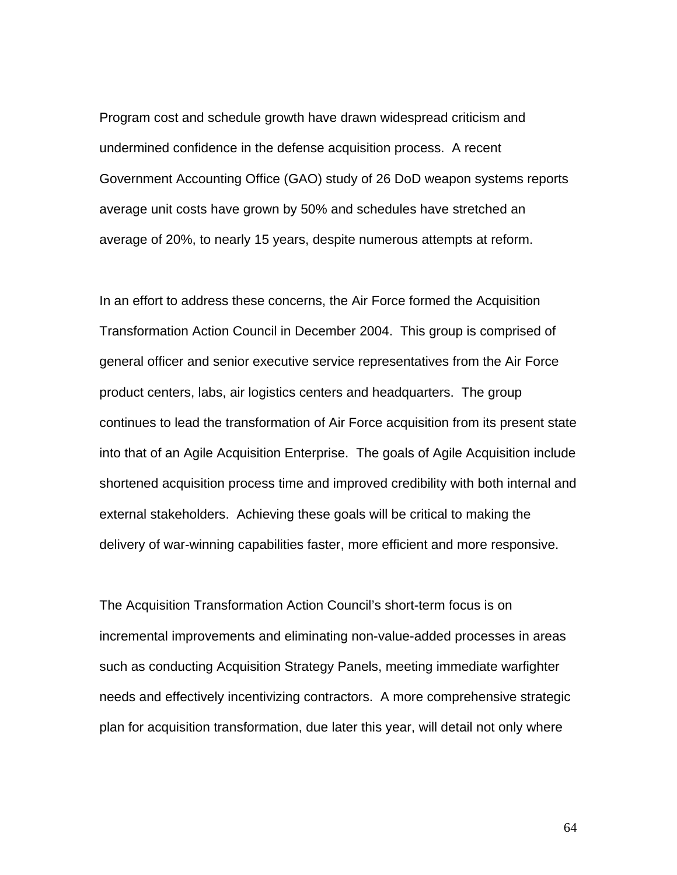Program cost and schedule growth have drawn widespread criticism and undermined confidence in the defense acquisition process. A recent Government Accounting Office (GAO) study of 26 DoD weapon systems reports average unit costs have grown by 50% and schedules have stretched an average of 20%, to nearly 15 years, despite numerous attempts at reform.

In an effort to address these concerns, the Air Force formed the Acquisition Transformation Action Council in December 2004. This group is comprised of general officer and senior executive service representatives from the Air Force product centers, labs, air logistics centers and headquarters. The group continues to lead the transformation of Air Force acquisition from its present state into that of an Agile Acquisition Enterprise. The goals of Agile Acquisition include shortened acquisition process time and improved credibility with both internal and external stakeholders. Achieving these goals will be critical to making the delivery of war-winning capabilities faster, more efficient and more responsive.

The Acquisition Transformation Action Council's short-term focus is on incremental improvements and eliminating non-value-added processes in areas such as conducting Acquisition Strategy Panels, meeting immediate warfighter needs and effectively incentivizing contractors. A more comprehensive strategic plan for acquisition transformation, due later this year, will detail not only where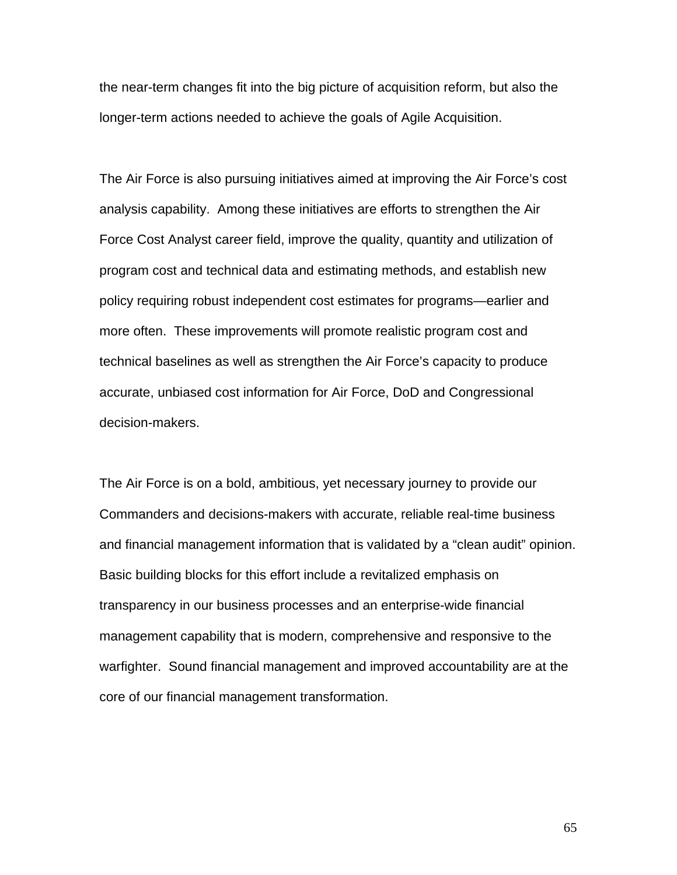the near-term changes fit into the big picture of acquisition reform, but also the longer-term actions needed to achieve the goals of Agile Acquisition.

The Air Force is also pursuing initiatives aimed at improving the Air Force's cost analysis capability. Among these initiatives are efforts to strengthen the Air Force Cost Analyst career field, improve the quality, quantity and utilization of program cost and technical data and estimating methods, and establish new policy requiring robust independent cost estimates for programs—earlier and more often. These improvements will promote realistic program cost and technical baselines as well as strengthen the Air Force's capacity to produce accurate, unbiased cost information for Air Force, DoD and Congressional decision-makers.

The Air Force is on a bold, ambitious, yet necessary journey to provide our Commanders and decisions-makers with accurate, reliable real-time business and financial management information that is validated by a "clean audit" opinion. Basic building blocks for this effort include a revitalized emphasis on transparency in our business processes and an enterprise-wide financial management capability that is modern, comprehensive and responsive to the warfighter. Sound financial management and improved accountability are at the core of our financial management transformation.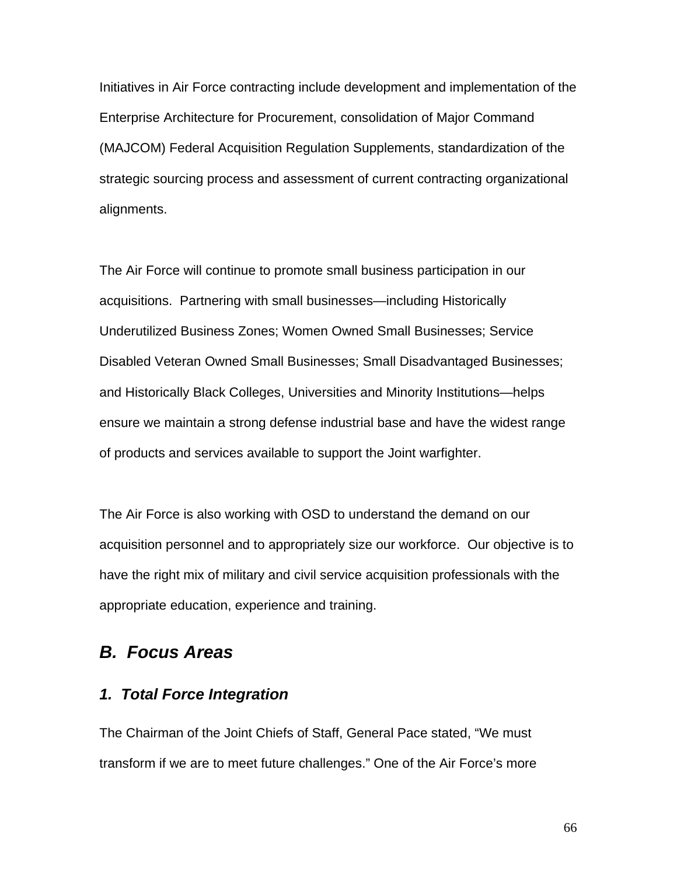Initiatives in Air Force contracting include development and implementation of the Enterprise Architecture for Procurement, consolidation of Major Command (MAJCOM) Federal Acquisition Regulation Supplements, standardization of the strategic sourcing process and assessment of current contracting organizational alignments.

The Air Force will continue to promote small business participation in our acquisitions. Partnering with small businesses—including Historically Underutilized Business Zones; Women Owned Small Businesses; Service Disabled Veteran Owned Small Businesses; Small Disadvantaged Businesses; and Historically Black Colleges, Universities and Minority Institutions—helps ensure we maintain a strong defense industrial base and have the widest range of products and services available to support the Joint warfighter.

The Air Force is also working with OSD to understand the demand on our acquisition personnel and to appropriately size our workforce. Our objective is to have the right mix of military and civil service acquisition professionals with the appropriate education, experience and training.

# *B. Focus Areas*

# *1. Total Force Integration*

The Chairman of the Joint Chiefs of Staff, General Pace stated, "We must transform if we are to meet future challenges." One of the Air Force's more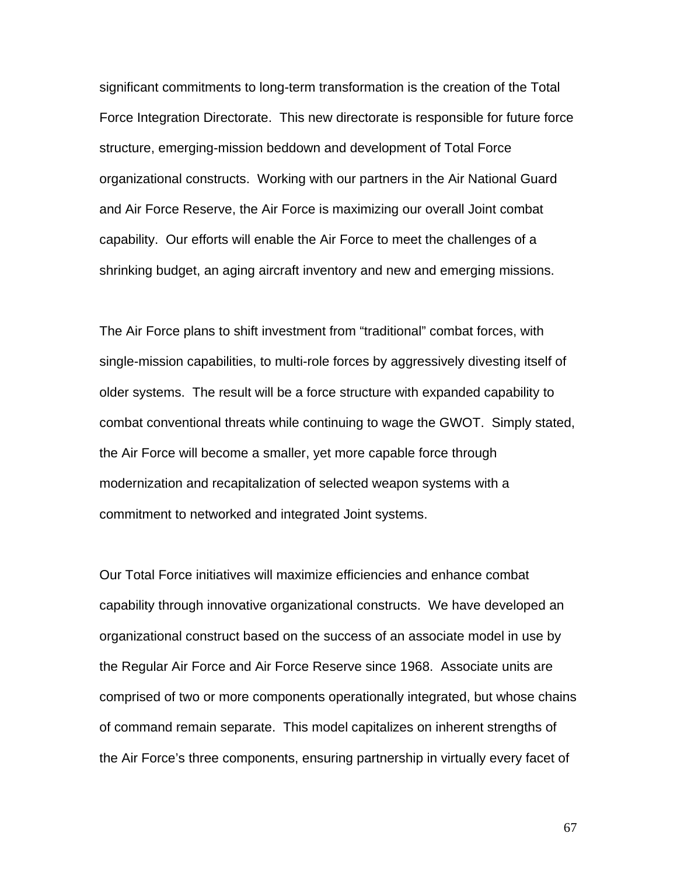significant commitments to long-term transformation is the creation of the Total Force Integration Directorate. This new directorate is responsible for future force structure, emerging-mission beddown and development of Total Force organizational constructs. Working with our partners in the Air National Guard and Air Force Reserve, the Air Force is maximizing our overall Joint combat capability. Our efforts will enable the Air Force to meet the challenges of a shrinking budget, an aging aircraft inventory and new and emerging missions.

The Air Force plans to shift investment from "traditional" combat forces, with single-mission capabilities, to multi-role forces by aggressively divesting itself of older systems. The result will be a force structure with expanded capability to combat conventional threats while continuing to wage the GWOT. Simply stated, the Air Force will become a smaller, yet more capable force through modernization and recapitalization of selected weapon systems with a commitment to networked and integrated Joint systems.

Our Total Force initiatives will maximize efficiencies and enhance combat capability through innovative organizational constructs. We have developed an organizational construct based on the success of an associate model in use by the Regular Air Force and Air Force Reserve since 1968. Associate units are comprised of two or more components operationally integrated, but whose chains of command remain separate. This model capitalizes on inherent strengths of the Air Force's three components, ensuring partnership in virtually every facet of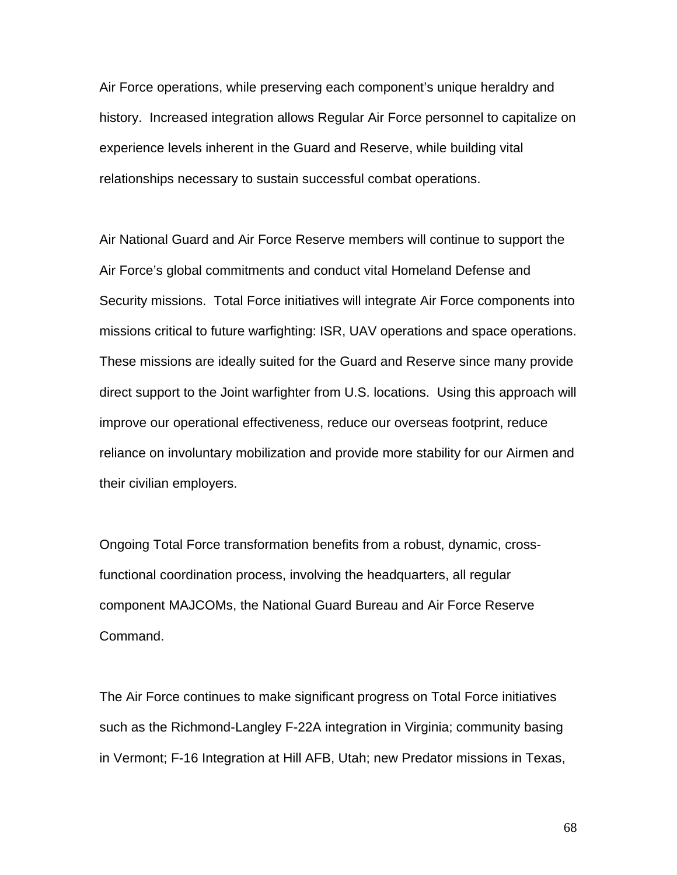Air Force operations, while preserving each component's unique heraldry and history. Increased integration allows Regular Air Force personnel to capitalize on experience levels inherent in the Guard and Reserve, while building vital relationships necessary to sustain successful combat operations.

Air National Guard and Air Force Reserve members will continue to support the Air Force's global commitments and conduct vital Homeland Defense and Security missions. Total Force initiatives will integrate Air Force components into missions critical to future warfighting: ISR, UAV operations and space operations. These missions are ideally suited for the Guard and Reserve since many provide direct support to the Joint warfighter from U.S. locations. Using this approach will improve our operational effectiveness, reduce our overseas footprint, reduce reliance on involuntary mobilization and provide more stability for our Airmen and their civilian employers.

Ongoing Total Force transformation benefits from a robust, dynamic, crossfunctional coordination process, involving the headquarters, all regular component MAJCOMs, the National Guard Bureau and Air Force Reserve Command.

The Air Force continues to make significant progress on Total Force initiatives such as the Richmond-Langley F-22A integration in Virginia; community basing in Vermont; F-16 Integration at Hill AFB, Utah; new Predator missions in Texas,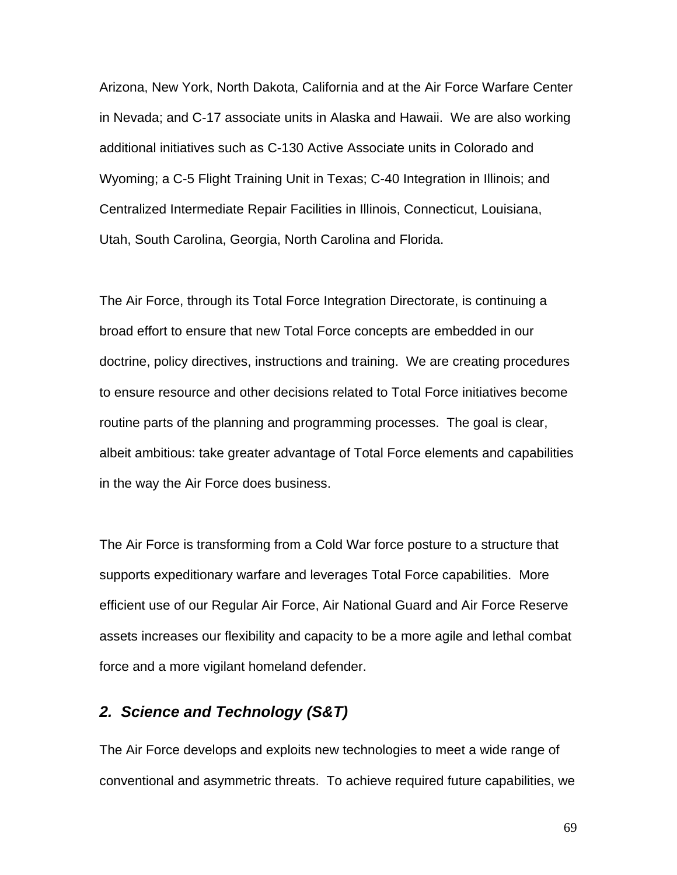Arizona, New York, North Dakota, California and at the Air Force Warfare Center in Nevada; and C-17 associate units in Alaska and Hawaii. We are also working additional initiatives such as C-130 Active Associate units in Colorado and Wyoming; a C-5 Flight Training Unit in Texas; C-40 Integration in Illinois; and Centralized Intermediate Repair Facilities in Illinois, Connecticut, Louisiana, Utah, South Carolina, Georgia, North Carolina and Florida.

The Air Force, through its Total Force Integration Directorate, is continuing a broad effort to ensure that new Total Force concepts are embedded in our doctrine, policy directives, instructions and training. We are creating procedures to ensure resource and other decisions related to Total Force initiatives become routine parts of the planning and programming processes. The goal is clear, albeit ambitious: take greater advantage of Total Force elements and capabilities in the way the Air Force does business.

The Air Force is transforming from a Cold War force posture to a structure that supports expeditionary warfare and leverages Total Force capabilities. More efficient use of our Regular Air Force, Air National Guard and Air Force Reserve assets increases our flexibility and capacity to be a more agile and lethal combat force and a more vigilant homeland defender.

# *2. Science and Technology (S&T)*

The Air Force develops and exploits new technologies to meet a wide range of conventional and asymmetric threats. To achieve required future capabilities, we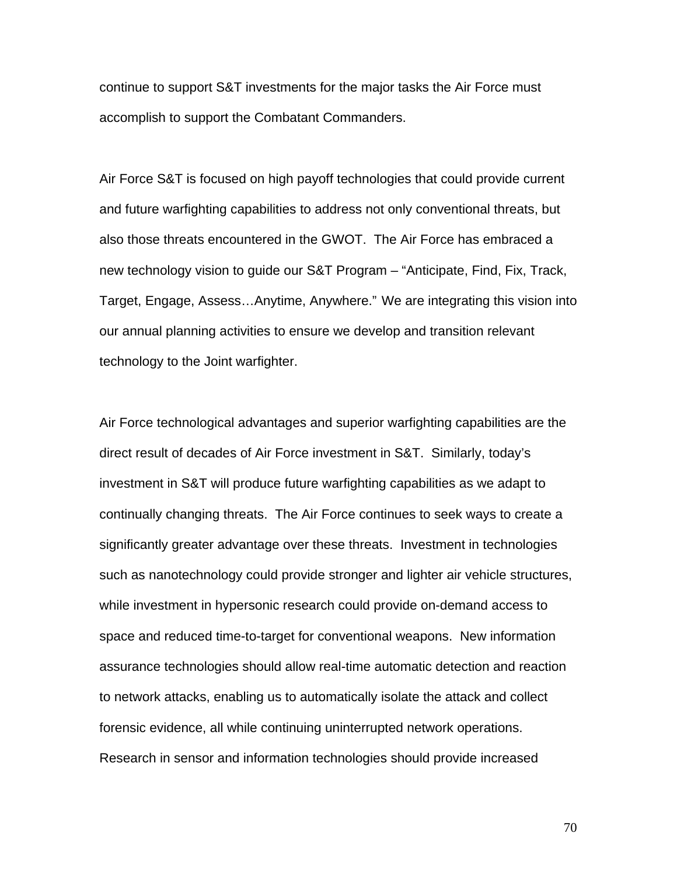continue to support S&T investments for the major tasks the Air Force must accomplish to support the Combatant Commanders.

Air Force S&T is focused on high payoff technologies that could provide current and future warfighting capabilities to address not only conventional threats, but also those threats encountered in the GWOT. The Air Force has embraced a new technology vision to guide our S&T Program – "Anticipate, Find, Fix, Track, Target, Engage, Assess…Anytime, Anywhere." We are integrating this vision into our annual planning activities to ensure we develop and transition relevant technology to the Joint warfighter.

Air Force technological advantages and superior warfighting capabilities are the direct result of decades of Air Force investment in S&T. Similarly, today's investment in S&T will produce future warfighting capabilities as we adapt to continually changing threats. The Air Force continues to seek ways to create a significantly greater advantage over these threats. Investment in technologies such as nanotechnology could provide stronger and lighter air vehicle structures, while investment in hypersonic research could provide on-demand access to space and reduced time-to-target for conventional weapons. New information assurance technologies should allow real-time automatic detection and reaction to network attacks, enabling us to automatically isolate the attack and collect forensic evidence, all while continuing uninterrupted network operations. Research in sensor and information technologies should provide increased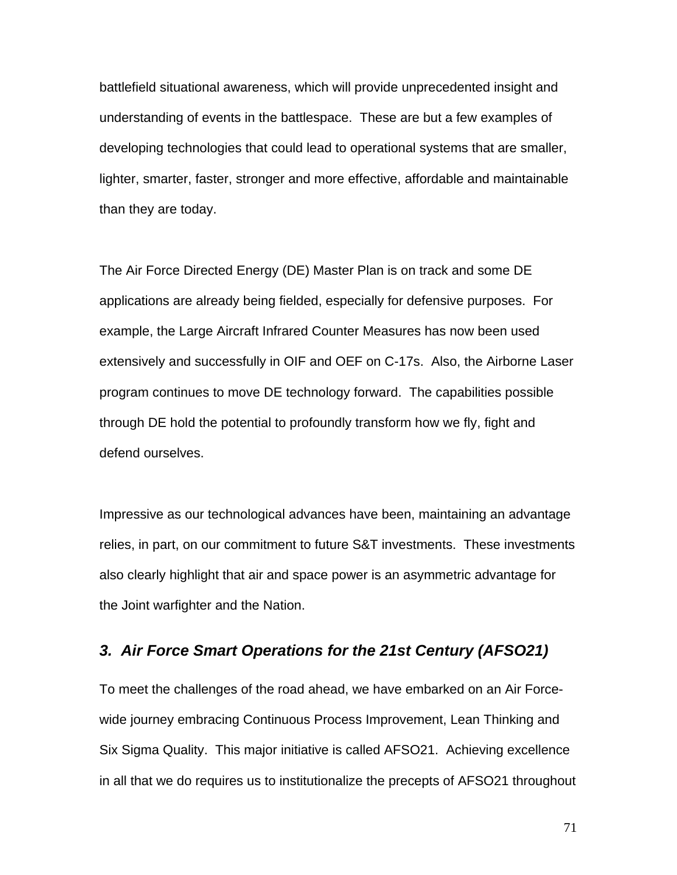battlefield situational awareness, which will provide unprecedented insight and understanding of events in the battlespace. These are but a few examples of developing technologies that could lead to operational systems that are smaller, lighter, smarter, faster, stronger and more effective, affordable and maintainable than they are today.

The Air Force Directed Energy (DE) Master Plan is on track and some DE applications are already being fielded, especially for defensive purposes. For example, the Large Aircraft Infrared Counter Measures has now been used extensively and successfully in OIF and OEF on C-17s. Also, the Airborne Laser program continues to move DE technology forward. The capabilities possible through DE hold the potential to profoundly transform how we fly, fight and defend ourselves.

Impressive as our technological advances have been, maintaining an advantage relies, in part, on our commitment to future S&T investments. These investments also clearly highlight that air and space power is an asymmetric advantage for the Joint warfighter and the Nation.

# *3. Air Force Smart Operations for the 21st Century (AFSO21)*

To meet the challenges of the road ahead, we have embarked on an Air Forcewide journey embracing Continuous Process Improvement, Lean Thinking and Six Sigma Quality. This major initiative is called AFSO21. Achieving excellence in all that we do requires us to institutionalize the precepts of AFSO21 throughout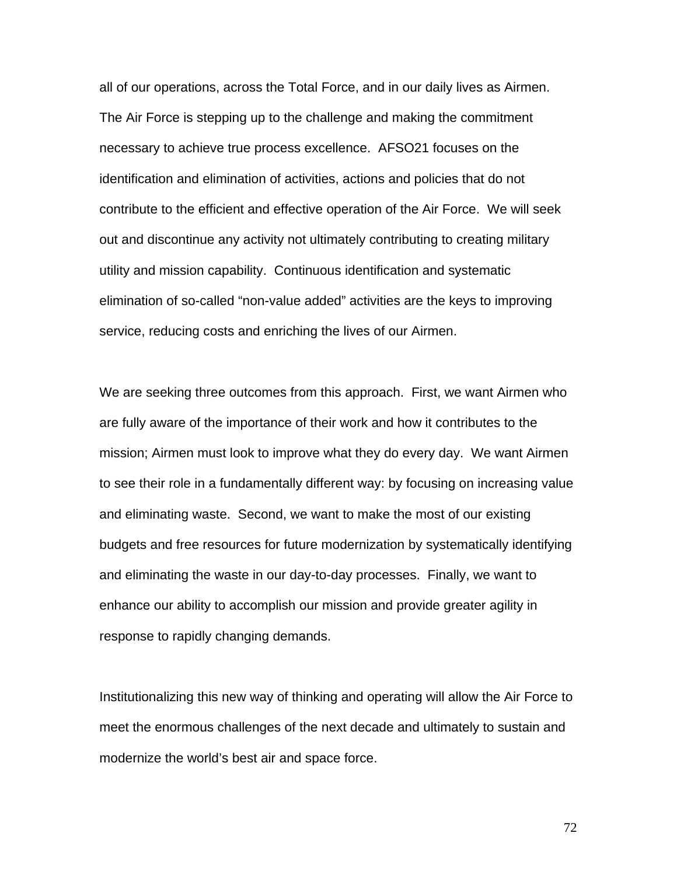all of our operations, across the Total Force, and in our daily lives as Airmen. The Air Force is stepping up to the challenge and making the commitment necessary to achieve true process excellence. AFSO21 focuses on the identification and elimination of activities, actions and policies that do not contribute to the efficient and effective operation of the Air Force. We will seek out and discontinue any activity not ultimately contributing to creating military utility and mission capability. Continuous identification and systematic elimination of so-called "non-value added" activities are the keys to improving service, reducing costs and enriching the lives of our Airmen.

We are seeking three outcomes from this approach. First, we want Airmen who are fully aware of the importance of their work and how it contributes to the mission; Airmen must look to improve what they do every day. We want Airmen to see their role in a fundamentally different way: by focusing on increasing value and eliminating waste. Second, we want to make the most of our existing budgets and free resources for future modernization by systematically identifying and eliminating the waste in our day-to-day processes. Finally, we want to enhance our ability to accomplish our mission and provide greater agility in response to rapidly changing demands.

Institutionalizing this new way of thinking and operating will allow the Air Force to meet the enormous challenges of the next decade and ultimately to sustain and modernize the world's best air and space force.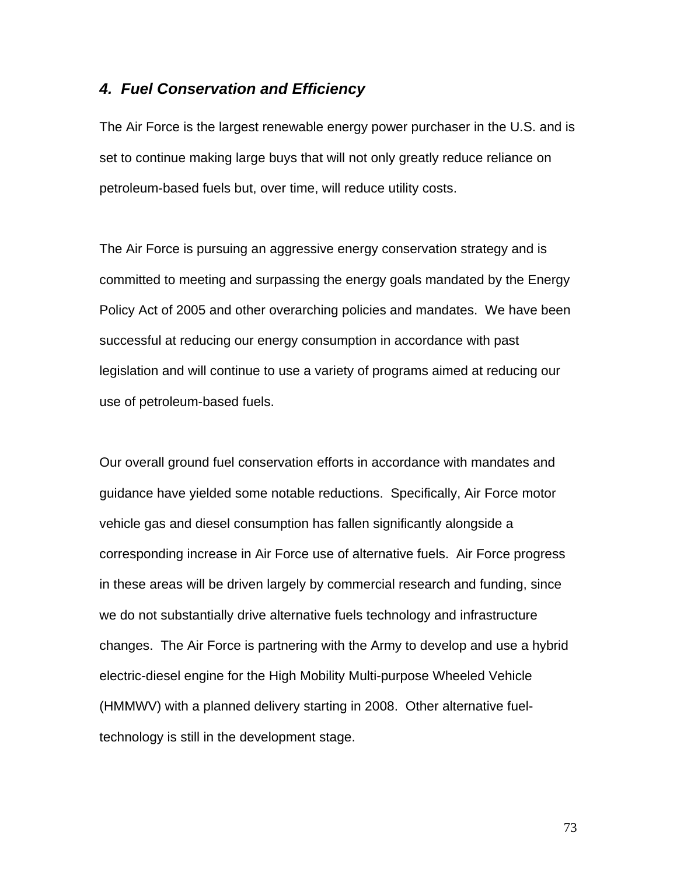### *4. Fuel Conservation and Efficiency*

The Air Force is the largest renewable energy power purchaser in the U.S. and is set to continue making large buys that will not only greatly reduce reliance on petroleum-based fuels but, over time, will reduce utility costs.

The Air Force is pursuing an aggressive energy conservation strategy and is committed to meeting and surpassing the energy goals mandated by the Energy Policy Act of 2005 and other overarching policies and mandates. We have been successful at reducing our energy consumption in accordance with past legislation and will continue to use a variety of programs aimed at reducing our use of petroleum-based fuels.

Our overall ground fuel conservation efforts in accordance with mandates and guidance have yielded some notable reductions. Specifically, Air Force motor vehicle gas and diesel consumption has fallen significantly alongside a corresponding increase in Air Force use of alternative fuels. Air Force progress in these areas will be driven largely by commercial research and funding, since we do not substantially drive alternative fuels technology and infrastructure changes. The Air Force is partnering with the Army to develop and use a hybrid electric-diesel engine for the High Mobility Multi-purpose Wheeled Vehicle (HMMWV) with a planned delivery starting in 2008. Other alternative fueltechnology is still in the development stage.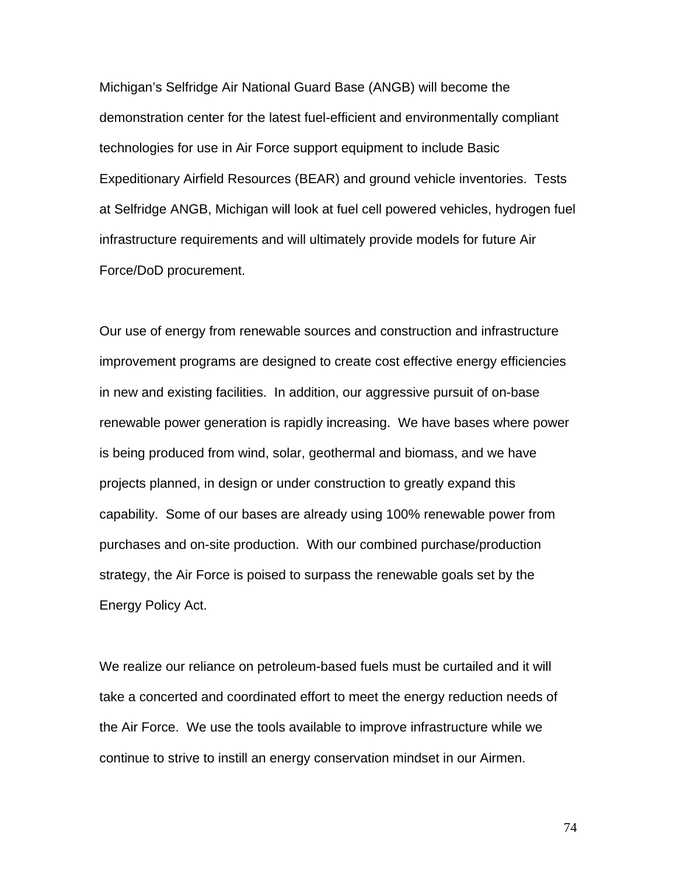Michigan's Selfridge Air National Guard Base (ANGB) will become the demonstration center for the latest fuel-efficient and environmentally compliant technologies for use in Air Force support equipment to include Basic Expeditionary Airfield Resources (BEAR) and ground vehicle inventories. Tests at Selfridge ANGB, Michigan will look at fuel cell powered vehicles, hydrogen fuel infrastructure requirements and will ultimately provide models for future Air Force/DoD procurement.

Our use of energy from renewable sources and construction and infrastructure improvement programs are designed to create cost effective energy efficiencies in new and existing facilities. In addition, our aggressive pursuit of on-base renewable power generation is rapidly increasing. We have bases where power is being produced from wind, solar, geothermal and biomass, and we have projects planned, in design or under construction to greatly expand this capability. Some of our bases are already using 100% renewable power from purchases and on-site production. With our combined purchase/production strategy, the Air Force is poised to surpass the renewable goals set by the Energy Policy Act.

We realize our reliance on petroleum-based fuels must be curtailed and it will take a concerted and coordinated effort to meet the energy reduction needs of the Air Force. We use the tools available to improve infrastructure while we continue to strive to instill an energy conservation mindset in our Airmen.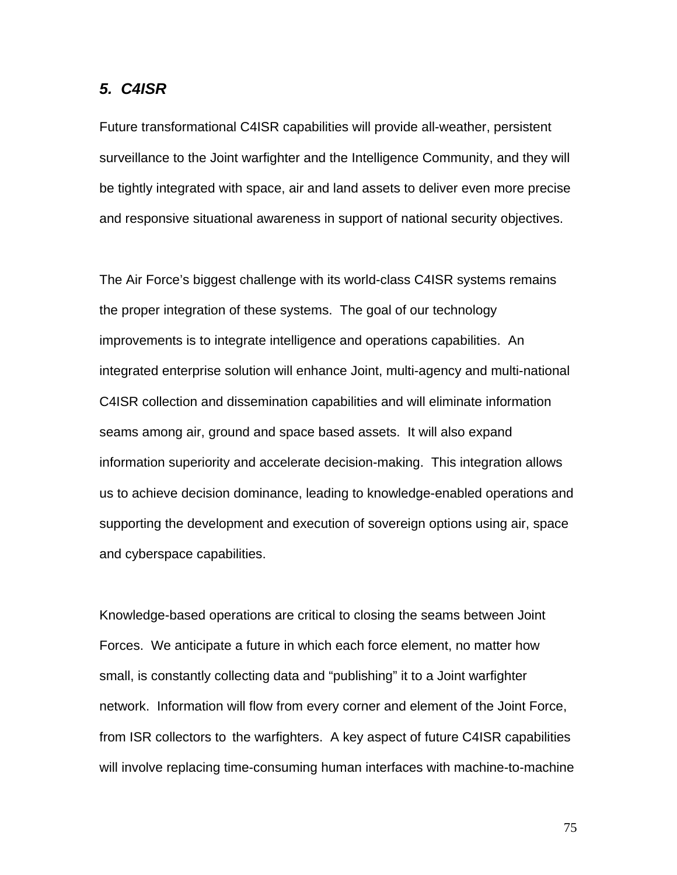#### *5. C4ISR*

Future transformational C4ISR capabilities will provide all-weather, persistent surveillance to the Joint warfighter and the Intelligence Community, and they will be tightly integrated with space, air and land assets to deliver even more precise and responsive situational awareness in support of national security objectives.

The Air Force's biggest challenge with its world-class C4ISR systems remains the proper integration of these systems. The goal of our technology improvements is to integrate intelligence and operations capabilities. An integrated enterprise solution will enhance Joint, multi-agency and multi-national C4ISR collection and dissemination capabilities and will eliminate information seams among air, ground and space based assets. It will also expand information superiority and accelerate decision-making. This integration allows us to achieve decision dominance, leading to knowledge-enabled operations and supporting the development and execution of sovereign options using air, space and cyberspace capabilities.

Knowledge-based operations are critical to closing the seams between Joint Forces. We anticipate a future in which each force element, no matter how small, is constantly collecting data and "publishing" it to a Joint warfighter network. Information will flow from every corner and element of the Joint Force, from ISR collectors to the warfighters. A key aspect of future C4ISR capabilities will involve replacing time-consuming human interfaces with machine-to-machine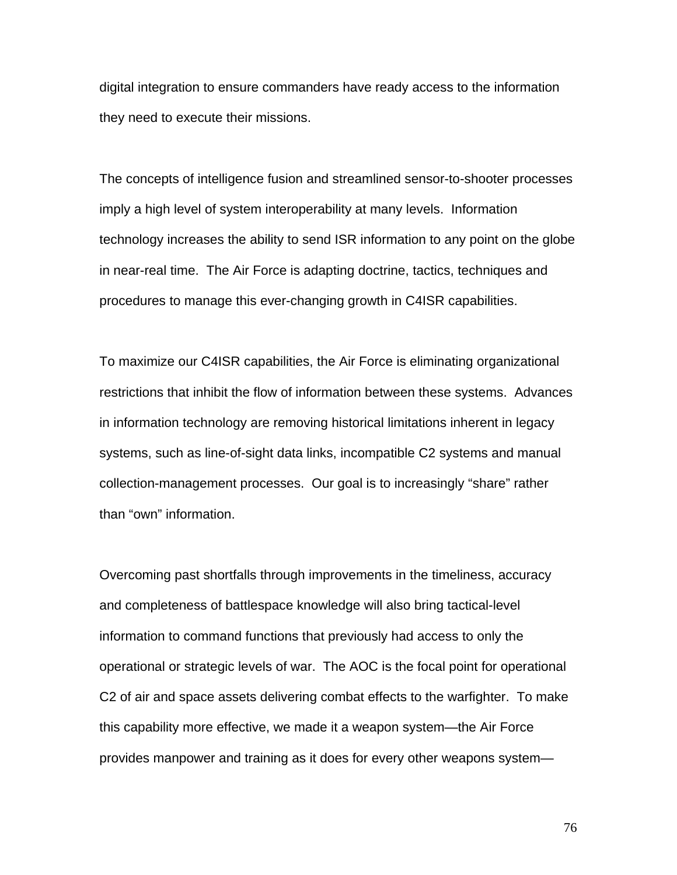digital integration to ensure commanders have ready access to the information they need to execute their missions.

The concepts of intelligence fusion and streamlined sensor-to-shooter processes imply a high level of system interoperability at many levels. Information technology increases the ability to send ISR information to any point on the globe in near-real time. The Air Force is adapting doctrine, tactics, techniques and procedures to manage this ever-changing growth in C4ISR capabilities.

To maximize our C4ISR capabilities, the Air Force is eliminating organizational restrictions that inhibit the flow of information between these systems. Advances in information technology are removing historical limitations inherent in legacy systems, such as line-of-sight data links, incompatible C2 systems and manual collection-management processes. Our goal is to increasingly "share" rather than "own" information.

Overcoming past shortfalls through improvements in the timeliness, accuracy and completeness of battlespace knowledge will also bring tactical-level information to command functions that previously had access to only the operational or strategic levels of war. The AOC is the focal point for operational C2 of air and space assets delivering combat effects to the warfighter. To make this capability more effective, we made it a weapon system—the Air Force provides manpower and training as it does for every other weapons system—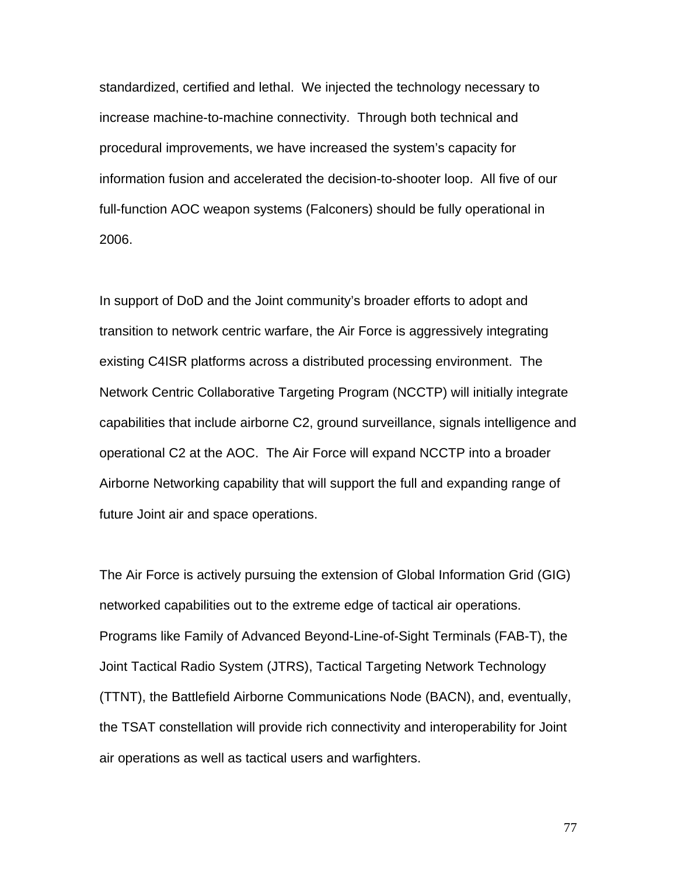standardized, certified and lethal. We injected the technology necessary to increase machine-to-machine connectivity. Through both technical and procedural improvements, we have increased the system's capacity for information fusion and accelerated the decision-to-shooter loop. All five of our full-function AOC weapon systems (Falconers) should be fully operational in 2006.

In support of DoD and the Joint community's broader efforts to adopt and transition to network centric warfare, the Air Force is aggressively integrating existing C4ISR platforms across a distributed processing environment. The Network Centric Collaborative Targeting Program (NCCTP) will initially integrate capabilities that include airborne C2, ground surveillance, signals intelligence and operational C2 at the AOC. The Air Force will expand NCCTP into a broader Airborne Networking capability that will support the full and expanding range of future Joint air and space operations.

The Air Force is actively pursuing the extension of Global Information Grid (GIG) networked capabilities out to the extreme edge of tactical air operations. Programs like Family of Advanced Beyond-Line-of-Sight Terminals (FAB-T), the Joint Tactical Radio System (JTRS), Tactical Targeting Network Technology (TTNT), the Battlefield Airborne Communications Node (BACN), and, eventually, the TSAT constellation will provide rich connectivity and interoperability for Joint air operations as well as tactical users and warfighters.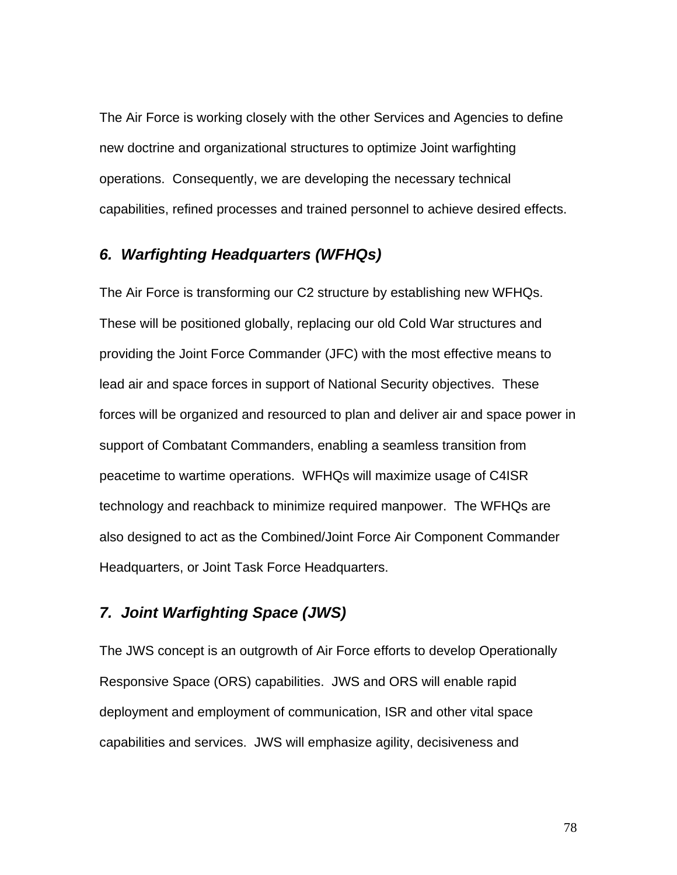The Air Force is working closely with the other Services and Agencies to define new doctrine and organizational structures to optimize Joint warfighting operations. Consequently, we are developing the necessary technical capabilities, refined processes and trained personnel to achieve desired effects.

# *6. Warfighting Headquarters (WFHQs)*

The Air Force is transforming our C2 structure by establishing new WFHQs. These will be positioned globally, replacing our old Cold War structures and providing the Joint Force Commander (JFC) with the most effective means to lead air and space forces in support of National Security objectives. These forces will be organized and resourced to plan and deliver air and space power in support of Combatant Commanders, enabling a seamless transition from peacetime to wartime operations. WFHQs will maximize usage of C4ISR technology and reachback to minimize required manpower. The WFHQs are also designed to act as the Combined/Joint Force Air Component Commander Headquarters, or Joint Task Force Headquarters.

# *7. Joint Warfighting Space (JWS)*

The JWS concept is an outgrowth of Air Force efforts to develop Operationally Responsive Space (ORS) capabilities. JWS and ORS will enable rapid deployment and employment of communication, ISR and other vital space capabilities and services. JWS will emphasize agility, decisiveness and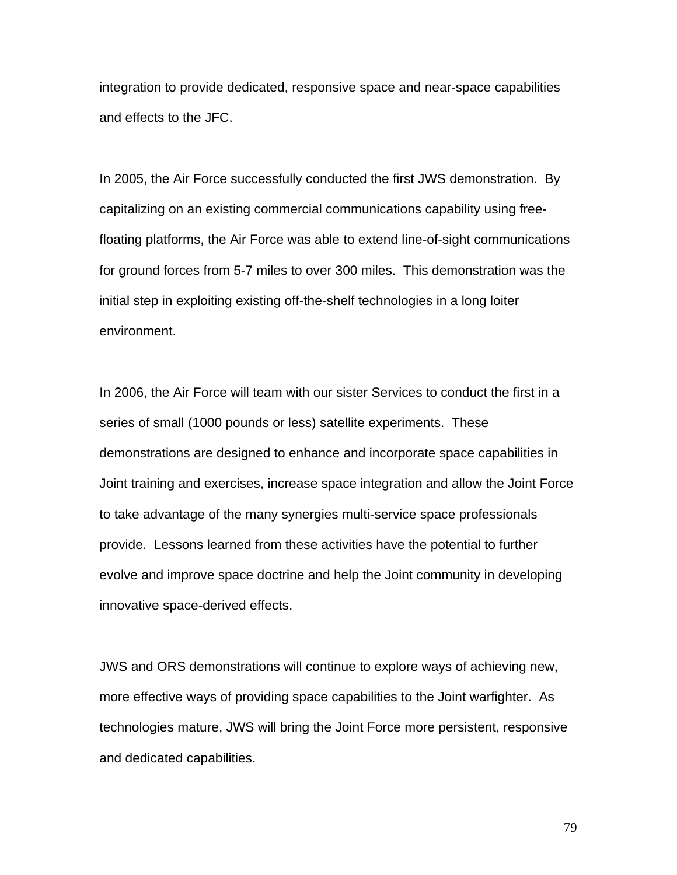integration to provide dedicated, responsive space and near-space capabilities and effects to the JFC.

In 2005, the Air Force successfully conducted the first JWS demonstration. By capitalizing on an existing commercial communications capability using freefloating platforms, the Air Force was able to extend line-of-sight communications for ground forces from 5-7 miles to over 300 miles. This demonstration was the initial step in exploiting existing off-the-shelf technologies in a long loiter environment.

In 2006, the Air Force will team with our sister Services to conduct the first in a series of small (1000 pounds or less) satellite experiments. These demonstrations are designed to enhance and incorporate space capabilities in Joint training and exercises, increase space integration and allow the Joint Force to take advantage of the many synergies multi-service space professionals provide. Lessons learned from these activities have the potential to further evolve and improve space doctrine and help the Joint community in developing innovative space-derived effects.

JWS and ORS demonstrations will continue to explore ways of achieving new, more effective ways of providing space capabilities to the Joint warfighter. As technologies mature, JWS will bring the Joint Force more persistent, responsive and dedicated capabilities.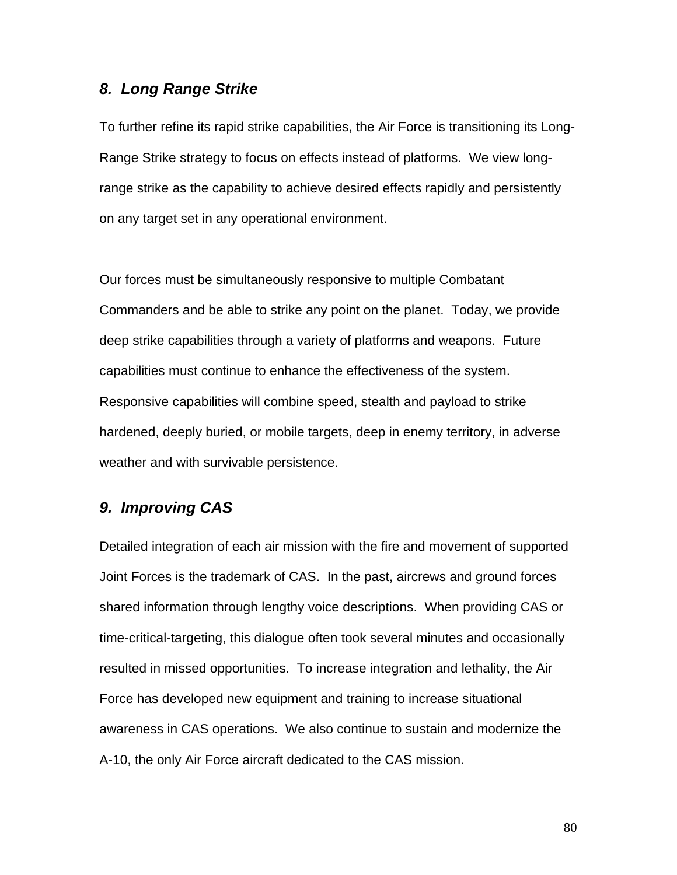## *8. Long Range Strike*

To further refine its rapid strike capabilities, the Air Force is transitioning its Long-Range Strike strategy to focus on effects instead of platforms. We view longrange strike as the capability to achieve desired effects rapidly and persistently on any target set in any operational environment.

Our forces must be simultaneously responsive to multiple Combatant Commanders and be able to strike any point on the planet. Today, we provide deep strike capabilities through a variety of platforms and weapons. Future capabilities must continue to enhance the effectiveness of the system. Responsive capabilities will combine speed, stealth and payload to strike hardened, deeply buried, or mobile targets, deep in enemy territory, in adverse weather and with survivable persistence.

# *9. Improving CAS*

Detailed integration of each air mission with the fire and movement of supported Joint Forces is the trademark of CAS. In the past, aircrews and ground forces shared information through lengthy voice descriptions. When providing CAS or time-critical-targeting, this dialogue often took several minutes and occasionally resulted in missed opportunities. To increase integration and lethality, the Air Force has developed new equipment and training to increase situational awareness in CAS operations. We also continue to sustain and modernize the A-10, the only Air Force aircraft dedicated to the CAS mission.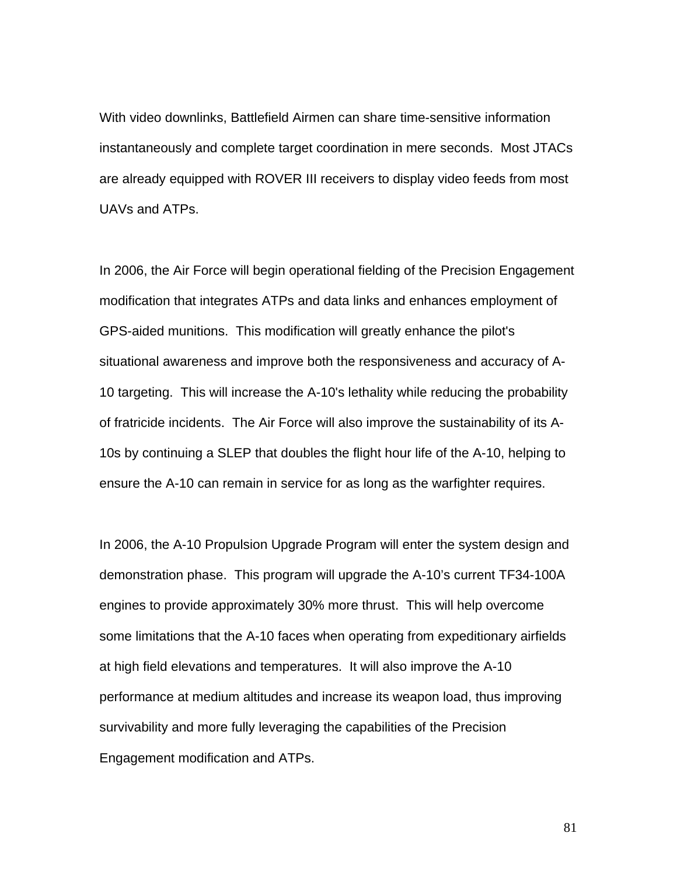With video downlinks, Battlefield Airmen can share time-sensitive information instantaneously and complete target coordination in mere seconds. Most JTACs are already equipped with ROVER III receivers to display video feeds from most UAVs and ATPs.

In 2006, the Air Force will begin operational fielding of the Precision Engagement modification that integrates ATPs and data links and enhances employment of GPS-aided munitions. This modification will greatly enhance the pilot's situational awareness and improve both the responsiveness and accuracy of A-10 targeting. This will increase the A-10's lethality while reducing the probability of fratricide incidents. The Air Force will also improve the sustainability of its A-10s by continuing a SLEP that doubles the flight hour life of the A-10, helping to ensure the A-10 can remain in service for as long as the warfighter requires.

In 2006, the A-10 Propulsion Upgrade Program will enter the system design and demonstration phase. This program will upgrade the A-10's current TF34-100A engines to provide approximately 30% more thrust. This will help overcome some limitations that the A-10 faces when operating from expeditionary airfields at high field elevations and temperatures. It will also improve the A-10 performance at medium altitudes and increase its weapon load, thus improving survivability and more fully leveraging the capabilities of the Precision Engagement modification and ATPs.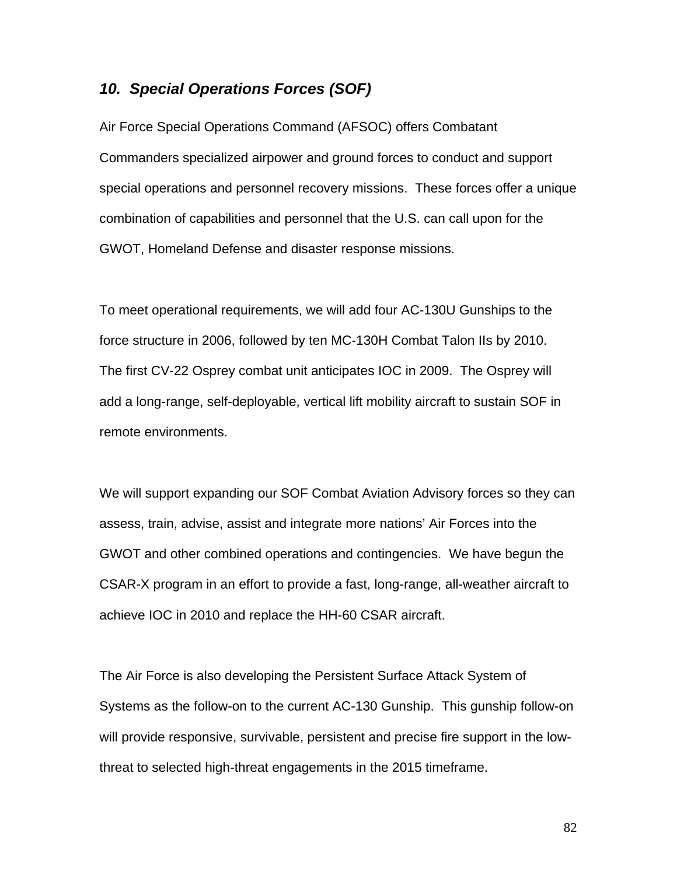## *10. Special Operations Forces (SOF)*

Air Force Special Operations Command (AFSOC) offers Combatant Commanders specialized airpower and ground forces to conduct and support special operations and personnel recovery missions. These forces offer a unique combination of capabilities and personnel that the U.S. can call upon for the GWOT, Homeland Defense and disaster response missions.

To meet operational requirements, we will add four AC-130U Gunships to the force structure in 2006, followed by ten MC-130H Combat Talon IIs by 2010. The first CV-22 Osprey combat unit anticipates IOC in 2009. The Osprey will add a long-range, self-deployable, vertical lift mobility aircraft to sustain SOF in remote environments.

We will support expanding our SOF Combat Aviation Advisory forces so they can assess, train, advise, assist and integrate more nations' Air Forces into the GWOT and other combined operations and contingencies. We have begun the CSAR-X program in an effort to provide a fast, long-range, all-weather aircraft to achieve IOC in 2010 and replace the HH-60 CSAR aircraft.

The Air Force is also developing the Persistent Surface Attack System of Systems as the follow-on to the current AC-130 Gunship. This gunship follow-on will provide responsive, survivable, persistent and precise fire support in the lowthreat to selected high-threat engagements in the 2015 timeframe.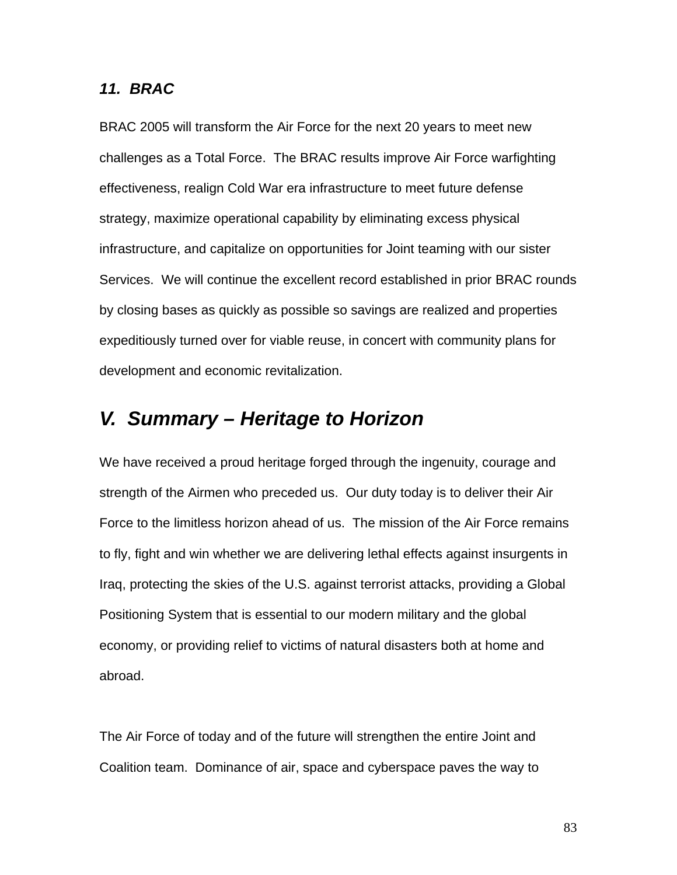#### *11. BRAC*

BRAC 2005 will transform the Air Force for the next 20 years to meet new challenges as a Total Force. The BRAC results improve Air Force warfighting effectiveness, realign Cold War era infrastructure to meet future defense strategy, maximize operational capability by eliminating excess physical infrastructure, and capitalize on opportunities for Joint teaming with our sister Services. We will continue the excellent record established in prior BRAC rounds by closing bases as quickly as possible so savings are realized and properties expeditiously turned over for viable reuse, in concert with community plans for development and economic revitalization.

# *V. Summary – Heritage to Horizon*

We have received a proud heritage forged through the ingenuity, courage and strength of the Airmen who preceded us. Our duty today is to deliver their Air Force to the limitless horizon ahead of us. The mission of the Air Force remains to fly, fight and win whether we are delivering lethal effects against insurgents in Iraq, protecting the skies of the U.S. against terrorist attacks, providing a Global Positioning System that is essential to our modern military and the global economy, or providing relief to victims of natural disasters both at home and abroad.

The Air Force of today and of the future will strengthen the entire Joint and Coalition team. Dominance of air, space and cyberspace paves the way to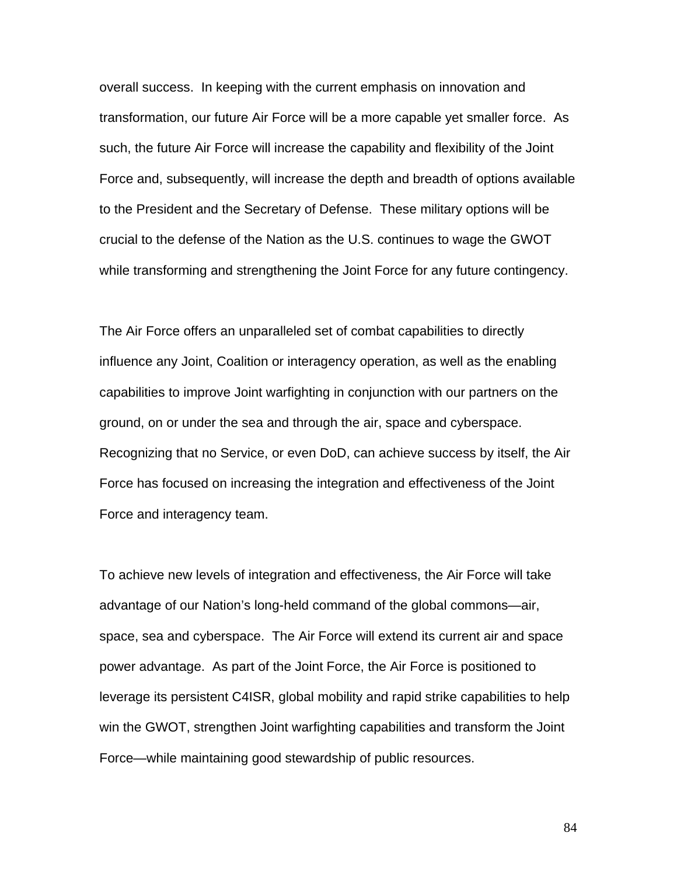overall success. In keeping with the current emphasis on innovation and transformation, our future Air Force will be a more capable yet smaller force. As such, the future Air Force will increase the capability and flexibility of the Joint Force and, subsequently, will increase the depth and breadth of options available to the President and the Secretary of Defense. These military options will be crucial to the defense of the Nation as the U.S. continues to wage the GWOT while transforming and strengthening the Joint Force for any future contingency.

The Air Force offers an unparalleled set of combat capabilities to directly influence any Joint, Coalition or interagency operation, as well as the enabling capabilities to improve Joint warfighting in conjunction with our partners on the ground, on or under the sea and through the air, space and cyberspace. Recognizing that no Service, or even DoD, can achieve success by itself, the Air Force has focused on increasing the integration and effectiveness of the Joint Force and interagency team.

To achieve new levels of integration and effectiveness, the Air Force will take advantage of our Nation's long-held command of the global commons—air, space, sea and cyberspace. The Air Force will extend its current air and space power advantage. As part of the Joint Force, the Air Force is positioned to leverage its persistent C4ISR, global mobility and rapid strike capabilities to help win the GWOT, strengthen Joint warfighting capabilities and transform the Joint Force—while maintaining good stewardship of public resources.